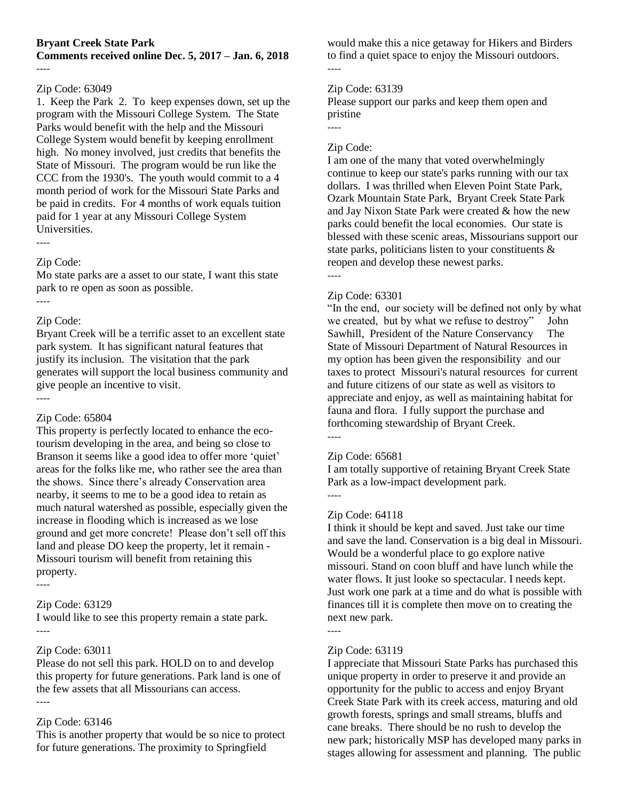### **Bryant Creek State Park**

**Comments received online Dec. 5, 2017 – Jan. 6, 2018** ----

### Zip Code: 63049

1. Keep the Park 2. To keep expenses down, set up the program with the Missouri College System. The State Parks would benefit with the help and the Missouri College System would benefit by keeping enrollment high. No money involved, just credits that benefits the State of Missouri. The program would be run like the CCC from the 1930's. The youth would commit to a 4 month period of work for the Missouri State Parks and be paid in credits. For 4 months of work equals tuition paid for 1 year at any Missouri College System Universities.

## Zip Code:

Mo state parks are a asset to our state, I want this state park to re open as soon as possible. ----

### Zip Code:

Bryant Creek will be a terrific asset to an excellent state park system. It has significant natural features that justify its inclusion. The visitation that the park generates will support the local business community and give people an incentive to visit. ----

### Zip Code: 65804

This property is perfectly located to enhance the ecotourism developing in the area, and being so close to Branson it seems like a good idea to offer more 'quiet' areas for the folks like me, who rather see the area than the shows. Since there's already Conservation area nearby, it seems to me to be a good idea to retain as much natural watershed as possible, especially given the increase in flooding which is increased as we lose ground and get more concrete! Please don't sell off this land and please DO keep the property, let it remain - Missouri tourism will benefit from retaining this property.

----

#### Zip Code: 63129

I would like to see this property remain a state park. ----

#### Zip Code: 63011

Please do not sell this park. HOLD on to and develop this property for future generations. Park land is one of the few assets that all Missourians can access. ----

### Zip Code: 63146

This is another property that would be so nice to protect for future generations. The proximity to Springfield

would make this a nice getaway for Hikers and Birders to find a quiet space to enjoy the Missouri outdoors. ----

### Zip Code: 63139

Please support our parks and keep them open and pristine

### Zip Code:

----

I am one of the many that voted overwhelmingly continue to keep our state's parks running with our tax dollars. I was thrilled when Eleven Point State Park, Ozark Mountain State Park, Bryant Creek State Park and Jay Nixon State Park were created & how the new parks could benefit the local economies. Our state is blessed with these scenic areas, Missourians support our state parks, politicians listen to your constituents  $\&$ reopen and develop these newest parks.

----

### Zip Code: 63301

"In the end, our society will be defined not only by what we created, but by what we refuse to destroy" John Sawhill, President of the Nature Conservancy The State of Missouri Department of Natural Resources in my option has been given the responsibility and our taxes to protect Missouri's natural resources for current and future citizens of our state as well as visitors to appreciate and enjoy, as well as maintaining habitat for fauna and flora. I fully support the purchase and forthcoming stewardship of Bryant Creek. ----

#### Zip Code: 65681

I am totally supportive of retaining Bryant Creek State Park as a low-impact development park.

----

### Zip Code: 64118

I think it should be kept and saved. Just take our time and save the land. Conservation is a big deal in Missouri. Would be a wonderful place to go explore native missouri. Stand on coon bluff and have lunch while the water flows. It just looke so spectacular. I needs kept. Just work one park at a time and do what is possible with finances till it is complete then move on to creating the next new park.

#### ----

### Zip Code: 63119

I appreciate that Missouri State Parks has purchased this unique property in order to preserve it and provide an opportunity for the public to access and enjoy Bryant Creek State Park with its creek access, maturing and old growth forests, springs and small streams, bluffs and cane breaks. There should be no rush to develop the new park; historically MSP has developed many parks in stages allowing for assessment and planning. The public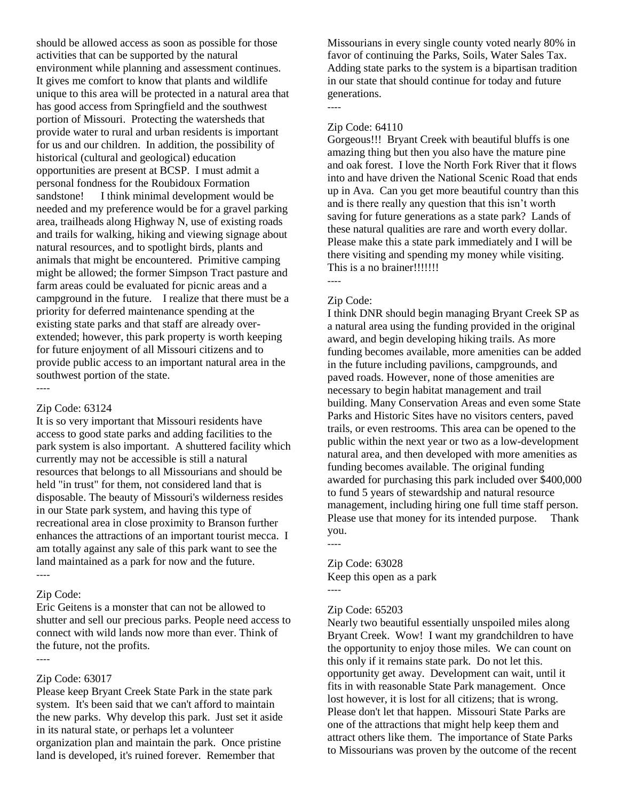should be allowed access as soon as possible for those activities that can be supported by the natural environment while planning and assessment continues. It gives me comfort to know that plants and wildlife unique to this area will be protected in a natural area that has good access from Springfield and the southwest portion of Missouri. Protecting the watersheds that provide water to rural and urban residents is important for us and our children. In addition, the possibility of historical (cultural and geological) education opportunities are present at BCSP. I must admit a personal fondness for the Roubidoux Formation sandstone! I think minimal development would be needed and my preference would be for a gravel parking area, trailheads along Highway N, use of existing roads and trails for walking, hiking and viewing signage about natural resources, and to spotlight birds, plants and animals that might be encountered. Primitive camping might be allowed; the former Simpson Tract pasture and farm areas could be evaluated for picnic areas and a campground in the future. I realize that there must be a priority for deferred maintenance spending at the existing state parks and that staff are already overextended; however, this park property is worth keeping for future enjoyment of all Missouri citizens and to provide public access to an important natural area in the southwest portion of the state.

----

#### Zip Code: 63124

It is so very important that Missouri residents have access to good state parks and adding facilities to the park system is also important. A shuttered facility which currently may not be accessible is still a natural resources that belongs to all Missourians and should be held "in trust" for them, not considered land that is disposable. The beauty of Missouri's wilderness resides in our State park system, and having this type of recreational area in close proximity to Branson further enhances the attractions of an important tourist mecca. I am totally against any sale of this park want to see the land maintained as a park for now and the future. ----

#### Zip Code:

Eric Geitens is a monster that can not be allowed to shutter and sell our precious parks. People need access to connect with wild lands now more than ever. Think of the future, not the profits.

----

### Zip Code: 63017

Please keep Bryant Creek State Park in the state park system. It's been said that we can't afford to maintain the new parks. Why develop this park. Just set it aside in its natural state, or perhaps let a volunteer organization plan and maintain the park. Once pristine land is developed, it's ruined forever. Remember that

Missourians in every single county voted nearly 80% in favor of continuing the Parks, Soils, Water Sales Tax. Adding state parks to the system is a bipartisan tradition in our state that should continue for today and future generations.

### Zip Code: 64110

----

Gorgeous!!! Bryant Creek with beautiful bluffs is one amazing thing but then you also have the mature pine and oak forest. I love the North Fork River that it flows into and have driven the National Scenic Road that ends up in Ava. Can you get more beautiful country than this and is there really any question that this isn't worth saving for future generations as a state park? Lands of these natural qualities are rare and worth every dollar. Please make this a state park immediately and I will be there visiting and spending my money while visiting. This is a no brainer!!!!!!!!

### Zip Code:

----

I think DNR should begin managing Bryant Creek SP as a natural area using the funding provided in the original award, and begin developing hiking trails. As more funding becomes available, more amenities can be added in the future including pavilions, campgrounds, and paved roads. However, none of those amenities are necessary to begin habitat management and trail building. Many Conservation Areas and even some State Parks and Historic Sites have no visitors centers, paved trails, or even restrooms. This area can be opened to the public within the next year or two as a low-development natural area, and then developed with more amenities as funding becomes available. The original funding awarded for purchasing this park included over \$400,000 to fund 5 years of stewardship and natural resource management, including hiring one full time staff person. Please use that money for its intended purpose. Thank you.

Zip Code: 63028 Keep this open as a park ----

#### Zip Code: 65203

----

Nearly two beautiful essentially unspoiled miles along Bryant Creek. Wow! I want my grandchildren to have the opportunity to enjoy those miles. We can count on this only if it remains state park. Do not let this. opportunity get away. Development can wait, until it fits in with reasonable State Park management. Once lost however, it is lost for all citizens; that is wrong. Please don't let that happen. Missouri State Parks are one of the attractions that might help keep them and attract others like them. The importance of State Parks to Missourians was proven by the outcome of the recent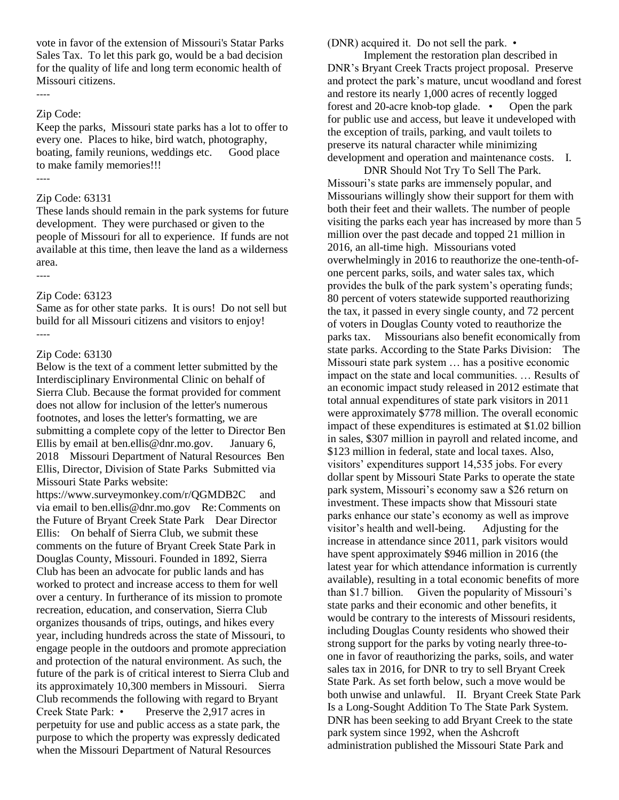vote in favor of the extension of Missouri's Statar Parks Sales Tax. To let this park go, would be a bad decision for the quality of life and long term economic health of Missouri citizens.

### Zip Code:

----

Keep the parks, Missouri state parks has a lot to offer to every one. Places to hike, bird watch, photography, boating, family reunions, weddings etc. Good place to make family memories!!! ----

#### Zip Code: 63131

These lands should remain in the park systems for future development. They were purchased or given to the people of Missouri for all to experience. If funds are not available at this time, then leave the land as a wilderness area.

----

#### Zip Code: 63123

Same as for other state parks. It is ours! Do not sell but build for all Missouri citizens and visitors to enjoy! ----

#### Zip Code: 63130

Below is the text of a comment letter submitted by the Interdisciplinary Environmental Clinic on behalf of Sierra Club. Because the format provided for comment does not allow for inclusion of the letter's numerous footnotes, and loses the letter's formatting, we are submitting a complete copy of the letter to Director Ben Ellis by email at ben.ellis@dnr.mo.gov. January 6, 2018 Missouri Department of Natural Resources Ben Ellis, Director, Division of State Parks Submitted via Missouri State Parks website:

https://www.surveymonkey.com/r/QGMDB2C and via email to ben.ellis@dnr.mo.gov Re:Comments on the Future of Bryant Creek State Park Dear Director Ellis: On behalf of Sierra Club, we submit these comments on the future of Bryant Creek State Park in Douglas County, Missouri. Founded in 1892, Sierra Club has been an advocate for public lands and has worked to protect and increase access to them for well over a century. In furtherance of its mission to promote recreation, education, and conservation, Sierra Club organizes thousands of trips, outings, and hikes every year, including hundreds across the state of Missouri, to engage people in the outdoors and promote appreciation and protection of the natural environment. As such, the future of the park is of critical interest to Sierra Club and its approximately 10,300 members in Missouri. Sierra Club recommends the following with regard to Bryant Creek State Park: • Preserve the 2,917 acres in perpetuity for use and public access as a state park, the purpose to which the property was expressly dedicated when the Missouri Department of Natural Resources

(DNR) acquired it. Do not sell the park. •

Implement the restoration plan described in DNR's Bryant Creek Tracts project proposal. Preserve and protect the park's mature, uncut woodland and forest and restore its nearly 1,000 acres of recently logged forest and 20-acre knob-top glade. • Open the park for public use and access, but leave it undeveloped with the exception of trails, parking, and vault toilets to preserve its natural character while minimizing development and operation and maintenance costs. I.

DNR Should Not Try To Sell The Park. Missouri's state parks are immensely popular, and Missourians willingly show their support for them with both their feet and their wallets. The number of people visiting the parks each year has increased by more than 5 million over the past decade and topped 21 million in 2016, an all-time high. Missourians voted overwhelmingly in 2016 to reauthorize the one-tenth-ofone percent parks, soils, and water sales tax, which provides the bulk of the park system's operating funds; 80 percent of voters statewide supported reauthorizing the tax, it passed in every single county, and 72 percent of voters in Douglas County voted to reauthorize the parks tax. Missourians also benefit economically from state parks. According to the State Parks Division: The Missouri state park system … has a positive economic impact on the state and local communities. … Results of an economic impact study released in 2012 estimate that total annual expenditures of state park visitors in 2011 were approximately \$778 million. The overall economic impact of these expenditures is estimated at \$1.02 billion in sales, \$307 million in payroll and related income, and \$123 million in federal, state and local taxes. Also, visitors' expenditures support 14,535 jobs. For every dollar spent by Missouri State Parks to operate the state park system, Missouri's economy saw a \$26 return on investment. These impacts show that Missouri state parks enhance our state's economy as well as improve visitor's health and well-being. Adjusting for the increase in attendance since 2011, park visitors would have spent approximately \$946 million in 2016 (the latest year for which attendance information is currently available), resulting in a total economic benefits of more than \$1.7 billion. Given the popularity of Missouri's state parks and their economic and other benefits, it would be contrary to the interests of Missouri residents, including Douglas County residents who showed their strong support for the parks by voting nearly three-toone in favor of reauthorizing the parks, soils, and water sales tax in 2016, for DNR to try to sell Bryant Creek State Park. As set forth below, such a move would be both unwise and unlawful. II. Bryant Creek State Park Is a Long-Sought Addition To The State Park System. DNR has been seeking to add Bryant Creek to the state park system since 1992, when the Ashcroft administration published the Missouri State Park and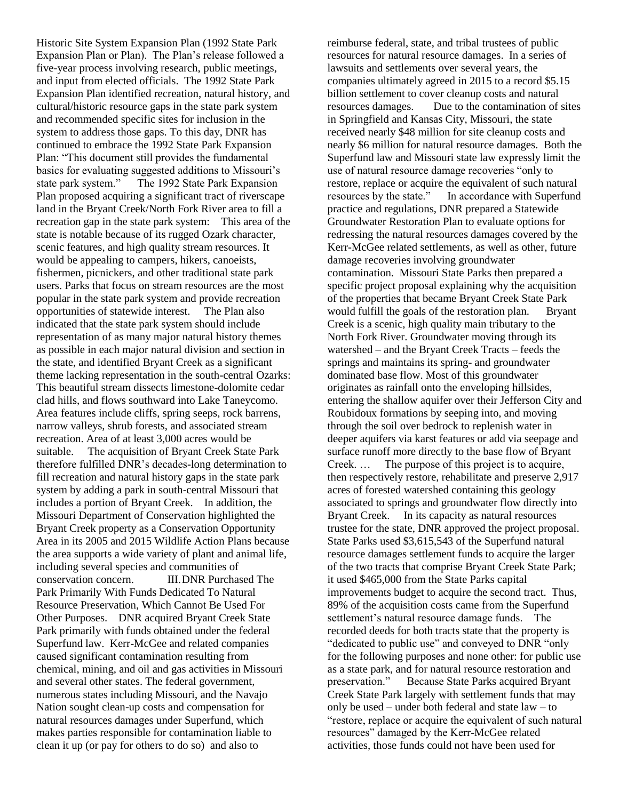Historic Site System Expansion Plan (1992 State Park Expansion Plan or Plan). The Plan's release followed a five-year process involving research, public meetings, and input from elected officials. The 1992 State Park Expansion Plan identified recreation, natural history, and cultural/historic resource gaps in the state park system and recommended specific sites for inclusion in the system to address those gaps. To this day, DNR has continued to embrace the 1992 State Park Expansion Plan: "This document still provides the fundamental basics for evaluating suggested additions to Missouri's state park system." The 1992 State Park Expansion Plan proposed acquiring a significant tract of riverscape land in the Bryant Creek/North Fork River area to fill a recreation gap in the state park system: This area of the state is notable because of its rugged Ozark character, scenic features, and high quality stream resources. It would be appealing to campers, hikers, canoeists, fishermen, picnickers, and other traditional state park users. Parks that focus on stream resources are the most popular in the state park system and provide recreation opportunities of statewide interest. The Plan also indicated that the state park system should include representation of as many major natural history themes as possible in each major natural division and section in the state, and identified Bryant Creek as a significant theme lacking representation in the south-central Ozarks: This beautiful stream dissects limestone-dolomite cedar clad hills, and flows southward into Lake Taneycomo. Area features include cliffs, spring seeps, rock barrens, narrow valleys, shrub forests, and associated stream recreation. Area of at least 3,000 acres would be suitable. The acquisition of Bryant Creek State Park therefore fulfilled DNR's decades-long determination to fill recreation and natural history gaps in the state park system by adding a park in south-central Missouri that includes a portion of Bryant Creek. In addition, the Missouri Department of Conservation highlighted the Bryant Creek property as a Conservation Opportunity Area in its 2005 and 2015 Wildlife Action Plans because the area supports a wide variety of plant and animal life, including several species and communities of conservation concern. III.DNR Purchased The Park Primarily With Funds Dedicated To Natural Resource Preservation, Which Cannot Be Used For Other Purposes. DNR acquired Bryant Creek State Park primarily with funds obtained under the federal Superfund law. Kerr-McGee and related companies caused significant contamination resulting from chemical, mining, and oil and gas activities in Missouri and several other states. The federal government, numerous states including Missouri, and the Navajo Nation sought clean-up costs and compensation for natural resources damages under Superfund, which makes parties responsible for contamination liable to clean it up (or pay for others to do so) and also to

reimburse federal, state, and tribal trustees of public resources for natural resource damages. In a series of lawsuits and settlements over several years, the companies ultimately agreed in 2015 to a record \$5.15 billion settlement to cover cleanup costs and natural resources damages. Due to the contamination of sites in Springfield and Kansas City, Missouri, the state received nearly \$48 million for site cleanup costs and nearly \$6 million for natural resource damages. Both the Superfund law and Missouri state law expressly limit the use of natural resource damage recoveries "only to restore, replace or acquire the equivalent of such natural resources by the state." In accordance with Superfund practice and regulations, DNR prepared a Statewide Groundwater Restoration Plan to evaluate options for redressing the natural resources damages covered by the Kerr-McGee related settlements, as well as other, future damage recoveries involving groundwater contamination. Missouri State Parks then prepared a specific project proposal explaining why the acquisition of the properties that became Bryant Creek State Park would fulfill the goals of the restoration plan. Bryant Creek is a scenic, high quality main tributary to the North Fork River. Groundwater moving through its watershed – and the Bryant Creek Tracts – feeds the springs and maintains its spring- and groundwater dominated base flow. Most of this groundwater originates as rainfall onto the enveloping hillsides, entering the shallow aquifer over their Jefferson City and Roubidoux formations by seeping into, and moving through the soil over bedrock to replenish water in deeper aquifers via karst features or add via seepage and surface runoff more directly to the base flow of Bryant Creek. … The purpose of this project is to acquire, then respectively restore, rehabilitate and preserve 2,917 acres of forested watershed containing this geology associated to springs and groundwater flow directly into Bryant Creek. In its capacity as natural resources trustee for the state, DNR approved the project proposal. State Parks used \$3,615,543 of the Superfund natural resource damages settlement funds to acquire the larger of the two tracts that comprise Bryant Creek State Park; it used \$465,000 from the State Parks capital improvements budget to acquire the second tract. Thus, 89% of the acquisition costs came from the Superfund settlement's natural resource damage funds. The recorded deeds for both tracts state that the property is "dedicated to public use" and conveyed to DNR "only for the following purposes and none other: for public use as a state park, and for natural resource restoration and preservation." Because State Parks acquired Bryant Creek State Park largely with settlement funds that may only be used – under both federal and state law – to "restore, replace or acquire the equivalent of such natural resources" damaged by the Kerr-McGee related activities, those funds could not have been used for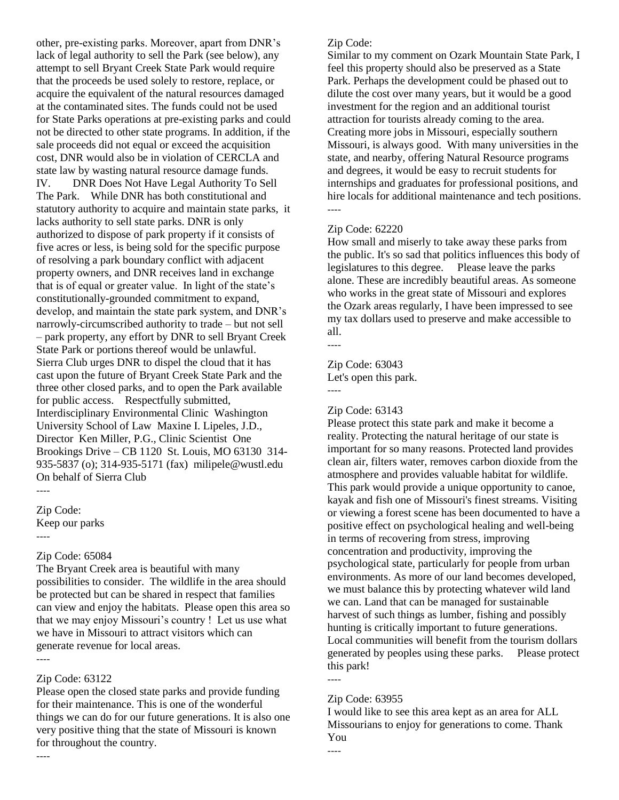other, pre-existing parks. Moreover, apart from DNR's lack of legal authority to sell the Park (see below), any attempt to sell Bryant Creek State Park would require that the proceeds be used solely to restore, replace, or acquire the equivalent of the natural resources damaged at the contaminated sites. The funds could not be used for State Parks operations at pre-existing parks and could not be directed to other state programs. In addition, if the sale proceeds did not equal or exceed the acquisition cost, DNR would also be in violation of CERCLA and state law by wasting natural resource damage funds. IV. DNR Does Not Have Legal Authority To Sell The Park. While DNR has both constitutional and statutory authority to acquire and maintain state parks, it lacks authority to sell state parks. DNR is only authorized to dispose of park property if it consists of five acres or less, is being sold for the specific purpose of resolving a park boundary conflict with adjacent property owners, and DNR receives land in exchange that is of equal or greater value. In light of the state's constitutionally-grounded commitment to expand, develop, and maintain the state park system, and DNR's narrowly-circumscribed authority to trade – but not sell – park property, any effort by DNR to sell Bryant Creek State Park or portions thereof would be unlawful. Sierra Club urges DNR to dispel the cloud that it has cast upon the future of Bryant Creek State Park and the three other closed parks, and to open the Park available for public access. Respectfully submitted, Interdisciplinary Environmental Clinic Washington University School of Law Maxine I. Lipeles, J.D., Director Ken Miller, P.G., Clinic Scientist One Brookings Drive – CB 1120 St. Louis, MO 63130 314- 935-5837 (o); 314-935-5171 (fax) milipele@wustl.edu On behalf of Sierra Club

Zip Code: Keep our parks ----

----

### Zip Code: 65084

The Bryant Creek area is beautiful with many possibilities to consider. The wildlife in the area should be protected but can be shared in respect that families can view and enjoy the habitats. Please open this area so that we may enjoy Missouri's country ! Let us use what we have in Missouri to attract visitors which can generate revenue for local areas.

----

----

### Zip Code: 63122

Please open the closed state parks and provide funding for their maintenance. This is one of the wonderful things we can do for our future generations. It is also one very positive thing that the state of Missouri is known for throughout the country.

### Zip Code:

Similar to my comment on Ozark Mountain State Park, I feel this property should also be preserved as a State Park. Perhaps the development could be phased out to dilute the cost over many years, but it would be a good investment for the region and an additional tourist attraction for tourists already coming to the area. Creating more jobs in Missouri, especially southern Missouri, is always good. With many universities in the state, and nearby, offering Natural Resource programs and degrees, it would be easy to recruit students for internships and graduates for professional positions, and hire locals for additional maintenance and tech positions. ----

### Zip Code: 62220

How small and miserly to take away these parks from the public. It's so sad that politics influences this body of legislatures to this degree. Please leave the parks alone. These are incredibly beautiful areas. As someone who works in the great state of Missouri and explores the Ozark areas regularly, I have been impressed to see my tax dollars used to preserve and make accessible to all.

----

----

Zip Code: 63043 Let's open this park.

### Zip Code: 63143

Please protect this state park and make it become a reality. Protecting the natural heritage of our state is important for so many reasons. Protected land provides clean air, filters water, removes carbon dioxide from the atmosphere and provides valuable habitat for wildlife. This park would provide a unique opportunity to canoe, kayak and fish one of Missouri's finest streams. Visiting or viewing a forest scene has been documented to have a positive effect on psychological healing and well-being in terms of recovering from stress, improving concentration and productivity, improving the psychological state, particularly for people from urban environments. As more of our land becomes developed, we must balance this by protecting whatever wild land we can. Land that can be managed for sustainable harvest of such things as lumber, fishing and possibly hunting is critically important to future generations. Local communities will benefit from the tourism dollars generated by peoples using these parks. Please protect this park!

### Zip Code: 63955

----

----

I would like to see this area kept as an area for ALL Missourians to enjoy for generations to come. Thank You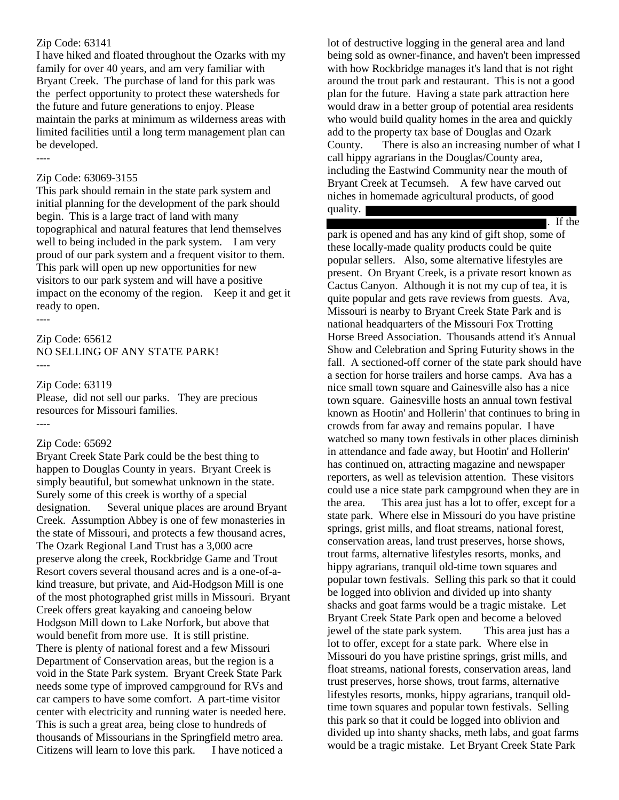#### Zip Code: 63141

I have hiked and floated throughout the Ozarks with my family for over 40 years, and am very familiar with Bryant Creek. The purchase of land for this park was the perfect opportunity to protect these watersheds for the future and future generations to enjoy. Please maintain the parks at minimum as wilderness areas with limited facilities until a long term management plan can be developed.

----

#### Zip Code: 63069-3155

This park should remain in the state park system and initial planning for the development of the park should begin. This is a large tract of land with many topographical and natural features that lend themselves well to being included in the park system. I am very proud of our park system and a frequent visitor to them. This park will open up new opportunities for new visitors to our park system and will have a positive impact on the economy of the region. Keep it and get it ready to open.

----

----

Zip Code: 65612 NO SELLING OF ANY STATE PARK! ----

#### Zip Code: 63119

Please, did not sell our parks. They are precious resources for Missouri families.

#### Zip Code: 65692

Bryant Creek State Park could be the best thing to happen to Douglas County in years. Bryant Creek is simply beautiful, but somewhat unknown in the state. Surely some of this creek is worthy of a special designation. Several unique places are around Bryant Creek. Assumption Abbey is one of few monasteries in the state of Missouri, and protects a few thousand acres, The Ozark Regional Land Trust has a 3,000 acre preserve along the creek, Rockbridge Game and Trout Resort covers several thousand acres and is a one-of-akind treasure, but private, and Aid-Hodgson Mill is one of the most photographed grist mills in Missouri. Bryant Creek offers great kayaking and canoeing below Hodgson Mill down to Lake Norfork, but above that would benefit from more use. It is still pristine. There is plenty of national forest and a few Missouri Department of Conservation areas, but the region is a void in the State Park system. Bryant Creek State Park needs some type of improved campground for RVs and car campers to have some comfort. A part-time visitor center with electricity and running water is needed here. This is such a great area, being close to hundreds of thousands of Missourians in the Springfield metro area. Citizens will learn to love this park. I have noticed a

lot of destructive logging in the general area and land being sold as owner-finance, and haven't been impressed with how Rockbridge manages it's land that is not right around the trout park and restaurant. This is not a good plan for the future. Having a state park attraction here would draw in a better group of potential area residents who would build quality homes in the area and quickly add to the property tax base of Douglas and Ozark County. There is also an increasing number of what I call hippy agrarians in the Douglas/County area, including the Eastwind Community near the mouth of Bryant Creek at Tecumseh. A few have carved out niches in homemade agricultural products, of good quality.

. If the

park is opened and has any kind of gift shop, some of these locally-made quality products could be quite popular sellers. Also, some alternative lifestyles are present. On Bryant Creek, is a private resort known as Cactus Canyon. Although it is not my cup of tea, it is quite popular and gets rave reviews from guests. Ava, Missouri is nearby to Bryant Creek State Park and is national headquarters of the Missouri Fox Trotting Horse Breed Association. Thousands attend it's Annual Show and Celebration and Spring Futurity shows in the fall. A sectioned-off corner of the state park should have a section for horse trailers and horse camps. Ava has a nice small town square and Gainesville also has a nice town square. Gainesville hosts an annual town festival known as Hootin' and Hollerin' that continues to bring in crowds from far away and remains popular. I have watched so many town festivals in other places diminish in attendance and fade away, but Hootin' and Hollerin' has continued on, attracting magazine and newspaper reporters, as well as television attention. These visitors could use a nice state park campground when they are in the area. This area just has a lot to offer, except for a state park. Where else in Missouri do you have pristine springs, grist mills, and float streams, national forest, conservation areas, land trust preserves, horse shows, trout farms, alternative lifestyles resorts, monks, and hippy agrarians, tranquil old-time town squares and popular town festivals. Selling this park so that it could be logged into oblivion and divided up into shanty shacks and goat farms would be a tragic mistake. Let Bryant Creek State Park open and become a beloved jewel of the state park system. This area just has a lot to offer, except for a state park. Where else in Missouri do you have pristine springs, grist mills, and float streams, national forests, conservation areas, land trust preserves, horse shows, trout farms, alternative lifestyles resorts, monks, hippy agrarians, tranquil oldtime town squares and popular town festivals. Selling this park so that it could be logged into oblivion and divided up into shanty shacks, meth labs, and goat farms would be a tragic mistake. Let Bryant Creek State Park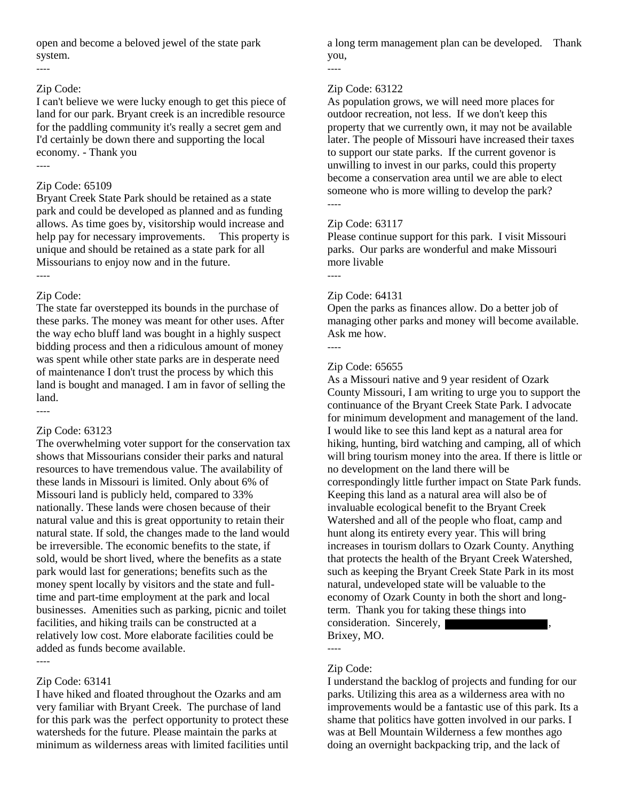open and become a beloved jewel of the state park system.

#### ----

#### Zip Code:

I can't believe we were lucky enough to get this piece of land for our park. Bryant creek is an incredible resource for the paddling community it's really a secret gem and I'd certainly be down there and supporting the local economy. - Thank you

### ----

#### Zip Code: 65109

Bryant Creek State Park should be retained as a state park and could be developed as planned and as funding allows. As time goes by, visitorship would increase and help pay for necessary improvements. This property is unique and should be retained as a state park for all Missourians to enjoy now and in the future.

### ----

----

### Zip Code:

The state far overstepped its bounds in the purchase of these parks. The money was meant for other uses. After the way echo bluff land was bought in a highly suspect bidding process and then a ridiculous amount of money was spent while other state parks are in desperate need of maintenance I don't trust the process by which this land is bought and managed. I am in favor of selling the land.

### Zip Code: 63123

The overwhelming voter support for the conservation tax shows that Missourians consider their parks and natural resources to have tremendous value. The availability of these lands in Missouri is limited. Only about 6% of Missouri land is publicly held, compared to 33% nationally. These lands were chosen because of their natural value and this is great opportunity to retain their natural state. If sold, the changes made to the land would be irreversible. The economic benefits to the state, if sold, would be short lived, where the benefits as a state park would last for generations; benefits such as the money spent locally by visitors and the state and fulltime and part-time employment at the park and local businesses. Amenities such as parking, picnic and toilet facilities, and hiking trails can be constructed at a relatively low cost. More elaborate facilities could be added as funds become available.

# ----

Zip Code: 63141 I have hiked and floated throughout the Ozarks and am very familiar with Bryant Creek. The purchase of land for this park was the perfect opportunity to protect these watersheds for the future. Please maintain the parks at minimum as wilderness areas with limited facilities until

a long term management plan can be developed. Thank you,

#### Zip Code: 63122

----

As population grows, we will need more places for outdoor recreation, not less. If we don't keep this property that we currently own, it may not be available later. The people of Missouri have increased their taxes to support our state parks. If the current govenor is unwilling to invest in our parks, could this property become a conservation area until we are able to elect someone who is more willing to develop the park? ----

#### Zip Code: 63117

Please continue support for this park. I visit Missouri parks. Our parks are wonderful and make Missouri more livable

### Zip Code: 64131

Open the parks as finances allow. Do a better job of managing other parks and money will become available. Ask me how.

----

----

### Zip Code: 65655

As a Missouri native and 9 year resident of Ozark County Missouri, I am writing to urge you to support the continuance of the Bryant Creek State Park. I advocate for minimum development and management of the land. I would like to see this land kept as a natural area for hiking, hunting, bird watching and camping, all of which will bring tourism money into the area. If there is little or no development on the land there will be correspondingly little further impact on State Park funds. Keeping this land as a natural area will also be of invaluable ecological benefit to the Bryant Creek Watershed and all of the people who float, camp and hunt along its entirety every year. This will bring increases in tourism dollars to Ozark County. Anything that protects the health of the Bryant Creek Watershed, such as keeping the Bryant Creek State Park in its most natural, undeveloped state will be valuable to the economy of Ozark County in both the short and longterm. Thank you for taking these things into consideration. Sincerely,

Brixey, MO.

### Zip Code:

----

I understand the backlog of projects and funding for our parks. Utilizing this area as a wilderness area with no improvements would be a fantastic use of this park. Its a shame that politics have gotten involved in our parks. I was at Bell Mountain Wilderness a few monthes ago doing an overnight backpacking trip, and the lack of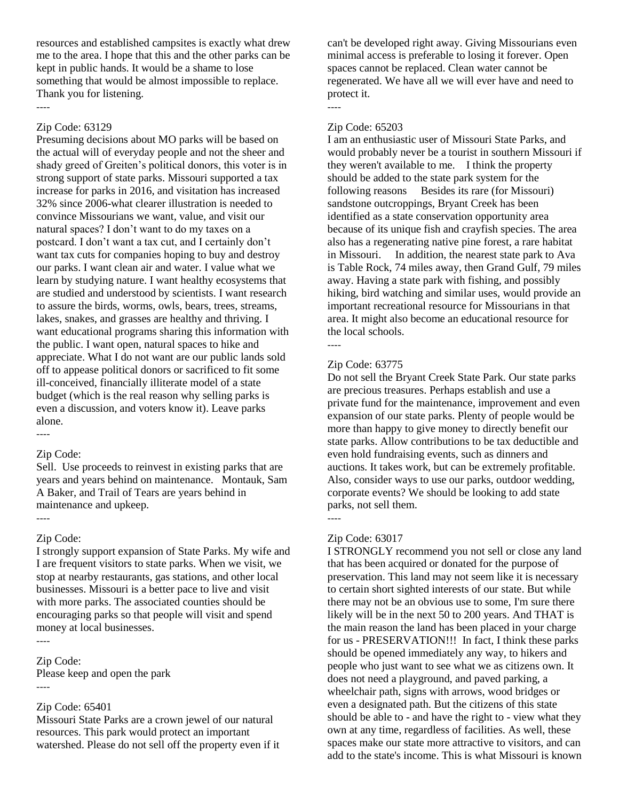resources and established campsites is exactly what drew me to the area. I hope that this and the other parks can be kept in public hands. It would be a shame to lose something that would be almost impossible to replace. Thank you for listening.

#### Zip Code: 63129

----

Presuming decisions about MO parks will be based on the actual will of everyday people and not the sheer and shady greed of Greiten's political donors, this voter is in strong support of state parks. Missouri supported a tax increase for parks in 2016, and visitation has increased 32% since 2006-what clearer illustration is needed to convince Missourians we want, value, and visit our natural spaces? I don't want to do my taxes on a postcard. I don't want a tax cut, and I certainly don't want tax cuts for companies hoping to buy and destroy our parks. I want clean air and water. I value what we learn by studying nature. I want healthy ecosystems that are studied and understood by scientists. I want research to assure the birds, worms, owls, bears, trees, streams, lakes, snakes, and grasses are healthy and thriving. I want educational programs sharing this information with the public. I want open, natural spaces to hike and appreciate. What I do not want are our public lands sold off to appease political donors or sacrificed to fit some ill-conceived, financially illiterate model of a state budget (which is the real reason why selling parks is even a discussion, and voters know it). Leave parks alone.

#### ----

#### Zip Code:

Sell. Use proceeds to reinvest in existing parks that are years and years behind on maintenance. Montauk, Sam A Baker, and Trail of Tears are years behind in maintenance and upkeep.

#### ----

#### Zip Code:

I strongly support expansion of State Parks. My wife and I are frequent visitors to state parks. When we visit, we stop at nearby restaurants, gas stations, and other local businesses. Missouri is a better pace to live and visit with more parks. The associated counties should be encouraging parks so that people will visit and spend money at local businesses.

#### Zip Code:

----

Please keep and open the park ----

#### Zip Code: 65401

Missouri State Parks are a crown jewel of our natural resources. This park would protect an important watershed. Please do not sell off the property even if it can't be developed right away. Giving Missourians even minimal access is preferable to losing it forever. Open spaces cannot be replaced. Clean water cannot be regenerated. We have all we will ever have and need to protect it.

#### Zip Code: 65203

----

I am an enthusiastic user of Missouri State Parks, and would probably never be a tourist in southern Missouri if they weren't available to me. I think the property should be added to the state park system for the following reasons Besides its rare (for Missouri) sandstone outcroppings, Bryant Creek has been identified as a state conservation opportunity area because of its unique fish and crayfish species. The area also has a regenerating native pine forest, a rare habitat in Missouri. In addition, the nearest state park to Ava is Table Rock, 74 miles away, then Grand Gulf, 79 miles away. Having a state park with fishing, and possibly hiking, bird watching and similar uses, would provide an important recreational resource for Missourians in that area. It might also become an educational resource for the local schools. ----

### Zip Code: 63775

Do not sell the Bryant Creek State Park. Our state parks are precious treasures. Perhaps establish and use a private fund for the maintenance, improvement and even expansion of our state parks. Plenty of people would be more than happy to give money to directly benefit our state parks. Allow contributions to be tax deductible and even hold fundraising events, such as dinners and auctions. It takes work, but can be extremely profitable. Also, consider ways to use our parks, outdoor wedding, corporate events? We should be looking to add state parks, not sell them.

#### ----

#### Zip Code: 63017

I STRONGLY recommend you not sell or close any land that has been acquired or donated for the purpose of preservation. This land may not seem like it is necessary to certain short sighted interests of our state. But while there may not be an obvious use to some, I'm sure there likely will be in the next 50 to 200 years. And THAT is the main reason the land has been placed in your charge for us - PRESERVATION!!! In fact, I think these parks should be opened immediately any way, to hikers and people who just want to see what we as citizens own. It does not need a playground, and paved parking, a wheelchair path, signs with arrows, wood bridges or even a designated path. But the citizens of this state should be able to - and have the right to - view what they own at any time, regardless of facilities. As well, these spaces make our state more attractive to visitors, and can add to the state's income. This is what Missouri is known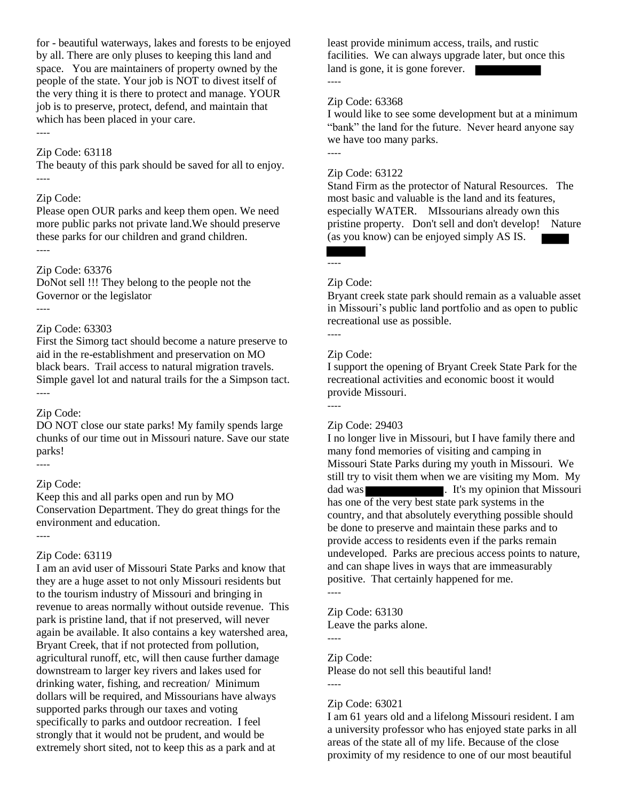for - beautiful waterways, lakes and forests to be enjoyed by all. There are only pluses to keeping this land and space. You are maintainers of property owned by the people of the state. Your job is NOT to divest itself of the very thing it is there to protect and manage. YOUR job is to preserve, protect, defend, and maintain that which has been placed in your care.

### ----

### Zip Code: 63118

The beauty of this park should be saved for all to enjoy. ----

#### Zip Code:

Please open OUR parks and keep them open. We need more public parks not private land.We should preserve these parks for our children and grand children.

----

#### Zip Code: 63376

DoNot sell !!! They belong to the people not the Governor or the legislator ----

#### Zip Code: 63303

First the Simorg tact should become a nature preserve to aid in the re-establishment and preservation on MO black bears. Trail access to natural migration travels. Simple gavel lot and natural trails for the a Simpson tact. ----

#### Zip Code:

DO NOT close our state parks! My family spends large chunks of our time out in Missouri nature. Save our state parks!

### Zip Code:

----

----

Keep this and all parks open and run by MO Conservation Department. They do great things for the environment and education.

### Zip Code: 63119

I am an avid user of Missouri State Parks and know that they are a huge asset to not only Missouri residents but to the tourism industry of Missouri and bringing in revenue to areas normally without outside revenue. This park is pristine land, that if not preserved, will never again be available. It also contains a key watershed area, Bryant Creek, that if not protected from pollution, agricultural runoff, etc, will then cause further damage downstream to larger key rivers and lakes used for drinking water, fishing, and recreation/ Minimum dollars will be required, and Missourians have always supported parks through our taxes and voting specifically to parks and outdoor recreation. I feel strongly that it would not be prudent, and would be extremely short sited, not to keep this as a park and at

least provide minimum access, trails, and rustic facilities. We can always upgrade later, but once this land is gone, it is gone forever. ----

#### Zip Code: 63368

I would like to see some development but at a minimum "bank" the land for the future. Never heard anyone say we have too many parks.

----

#### Zip Code: 63122

Stand Firm as the protector of Natural Resources. The most basic and valuable is the land and its features, especially WATER. MIssourians already own this pristine property. Don't sell and don't develop! Nature (as you know) can be enjoyed simply AS IS.

#### Zip Code:

----

Bryant creek state park should remain as a valuable asset in Missouri's public land portfolio and as open to public recreational use as possible.

# ----

### Zip Code:

I support the opening of Bryant Creek State Park for the recreational activities and economic boost it would provide Missouri.

#### ----

#### Zip Code: 29403

I no longer live in Missouri, but I have family there and many fond memories of visiting and camping in Missouri State Parks during my youth in Missouri. We still try to visit them when we are visiting my Mom. My dad was **. It's my opinion that Missouri** has one of the very best state park systems in the country, and that absolutely everything possible should be done to preserve and maintain these parks and to provide access to residents even if the parks remain undeveloped. Parks are precious access points to nature, and can shape lives in ways that are immeasurably positive. That certainly happened for me. ----

Zip Code: 63130 Leave the parks alone.

----

#### Zip Code:

Please do not sell this beautiful land!

----

#### Zip Code: 63021

I am 61 years old and a lifelong Missouri resident. I am a university professor who has enjoyed state parks in all areas of the state all of my life. Because of the close proximity of my residence to one of our most beautiful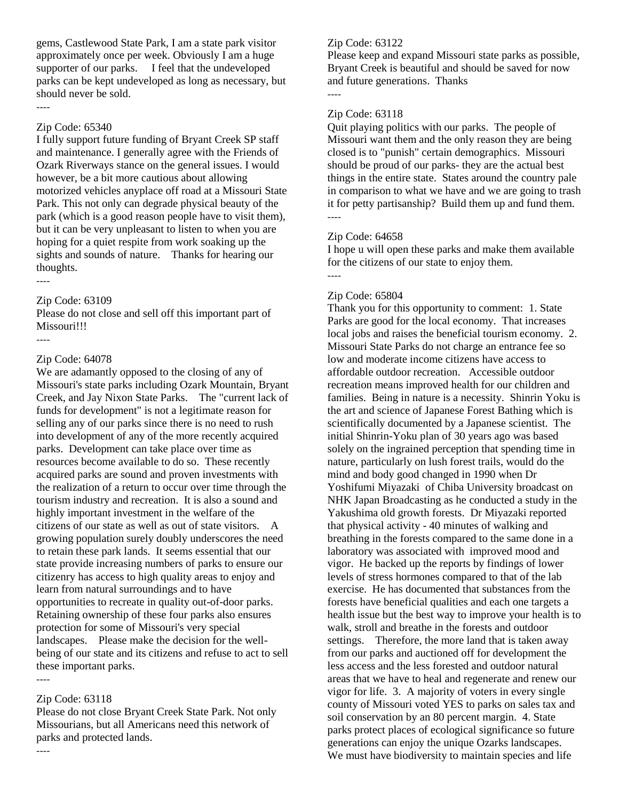gems, Castlewood State Park, I am a state park visitor approximately once per week. Obviously I am a huge supporter of our parks. I feel that the undeveloped parks can be kept undeveloped as long as necessary, but should never be sold.

#### Zip Code: 65340

----

I fully support future funding of Bryant Creek SP staff and maintenance. I generally agree with the Friends of Ozark Riverways stance on the general issues. I would however, be a bit more cautious about allowing motorized vehicles anyplace off road at a Missouri State Park. This not only can degrade physical beauty of the park (which is a good reason people have to visit them), but it can be very unpleasant to listen to when you are hoping for a quiet respite from work soaking up the sights and sounds of nature. Thanks for hearing our thoughts. ----

### Zip Code: 63109

Please do not close and sell off this important part of Missouri!!!

# Zip Code: 64078

----

We are adamantly opposed to the closing of any of Missouri's state parks including Ozark Mountain, Bryant Creek, and Jay Nixon State Parks. The "current lack of funds for development" is not a legitimate reason for selling any of our parks since there is no need to rush into development of any of the more recently acquired parks. Development can take place over time as resources become available to do so. These recently acquired parks are sound and proven investments with the realization of a return to occur over time through the tourism industry and recreation. It is also a sound and highly important investment in the welfare of the citizens of our state as well as out of state visitors. A growing population surely doubly underscores the need to retain these park lands. It seems essential that our state provide increasing numbers of parks to ensure our citizenry has access to high quality areas to enjoy and learn from natural surroundings and to have opportunities to recreate in quality out-of-door parks. Retaining ownership of these four parks also ensures protection for some of Missouri's very special landscapes. Please make the decision for the wellbeing of our state and its citizens and refuse to act to sell these important parks.

### Zip Code: 63118

----

----

Please do not close Bryant Creek State Park. Not only Missourians, but all Americans need this network of parks and protected lands.

### Zip Code: 63122

Please keep and expand Missouri state parks as possible, Bryant Creek is beautiful and should be saved for now and future generations. Thanks ----

### Zip Code: 63118

Quit playing politics with our parks. The people of Missouri want them and the only reason they are being closed is to "punish" certain demographics. Missouri should be proud of our parks- they are the actual best things in the entire state. States around the country pale in comparison to what we have and we are going to trash it for petty partisanship? Build them up and fund them. ----

### Zip Code: 64658

I hope u will open these parks and make them available for the citizens of our state to enjoy them.

----

### Zip Code: 65804

Thank you for this opportunity to comment: 1. State Parks are good for the local economy. That increases local jobs and raises the beneficial tourism economy. 2. Missouri State Parks do not charge an entrance fee so low and moderate income citizens have access to affordable outdoor recreation. Accessible outdoor recreation means improved health for our children and families. Being in nature is a necessity. Shinrin Yoku is the art and science of Japanese Forest Bathing which is scientifically documented by a Japanese scientist. The initial Shinrin-Yoku plan of 30 years ago was based solely on the ingrained perception that spending time in nature, particularly on lush forest trails, would do the mind and body good changed in 1990 when Dr Yoshifumi Miyazaki of Chiba University broadcast on NHK Japan Broadcasting as he conducted a study in the Yakushima old growth forests. Dr Miyazaki reported that physical activity - 40 minutes of walking and breathing in the forests compared to the same done in a laboratory was associated with improved mood and vigor. He backed up the reports by findings of lower levels of stress hormones compared to that of the lab exercise. He has documented that substances from the forests have beneficial qualities and each one targets a health issue but the best way to improve your health is to walk, stroll and breathe in the forests and outdoor settings. Therefore, the more land that is taken away from our parks and auctioned off for development the less access and the less forested and outdoor natural areas that we have to heal and regenerate and renew our vigor for life. 3. A majority of voters in every single county of Missouri voted YES to parks on sales tax and soil conservation by an 80 percent margin. 4. State parks protect places of ecological significance so future generations can enjoy the unique Ozarks landscapes. We must have biodiversity to maintain species and life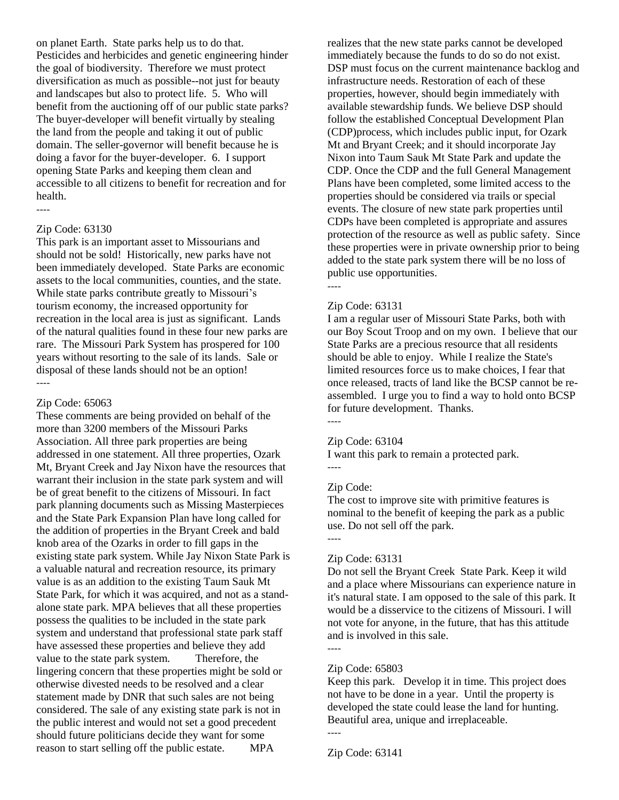on planet Earth. State parks help us to do that. Pesticides and herbicides and genetic engineering hinder the goal of biodiversity. Therefore we must protect diversification as much as possible--not just for beauty and landscapes but also to protect life. 5. Who will benefit from the auctioning off of our public state parks? The buyer-developer will benefit virtually by stealing the land from the people and taking it out of public domain. The seller-governor will benefit because he is doing a favor for the buyer-developer. 6. I support opening State Parks and keeping them clean and accessible to all citizens to benefit for recreation and for health.

#### Zip Code: 63130

----

This park is an important asset to Missourians and should not be sold! Historically, new parks have not been immediately developed. State Parks are economic assets to the local communities, counties, and the state. While state parks contribute greatly to Missouri's tourism economy, the increased opportunity for recreation in the local area is just as significant. Lands of the natural qualities found in these four new parks are rare. The Missouri Park System has prospered for 100 years without resorting to the sale of its lands. Sale or disposal of these lands should not be an option! ----

#### Zip Code: 65063

These comments are being provided on behalf of the more than 3200 members of the Missouri Parks Association. All three park properties are being addressed in one statement. All three properties, Ozark Mt, Bryant Creek and Jay Nixon have the resources that warrant their inclusion in the state park system and will be of great benefit to the citizens of Missouri. In fact park planning documents such as Missing Masterpieces and the State Park Expansion Plan have long called for the addition of properties in the Bryant Creek and bald knob area of the Ozarks in order to fill gaps in the existing state park system. While Jay Nixon State Park is a valuable natural and recreation resource, its primary value is as an addition to the existing Taum Sauk Mt State Park, for which it was acquired, and not as a standalone state park. MPA believes that all these properties possess the qualities to be included in the state park system and understand that professional state park staff have assessed these properties and believe they add value to the state park system. Therefore, the lingering concern that these properties might be sold or otherwise divested needs to be resolved and a clear statement made by DNR that such sales are not being considered. The sale of any existing state park is not in the public interest and would not set a good precedent should future politicians decide they want for some reason to start selling off the public estate. MPA

realizes that the new state parks cannot be developed immediately because the funds to do so do not exist. DSP must focus on the current maintenance backlog and infrastructure needs. Restoration of each of these properties, however, should begin immediately with available stewardship funds. We believe DSP should follow the established Conceptual Development Plan (CDP)process, which includes public input, for Ozark Mt and Bryant Creek; and it should incorporate Jay Nixon into Taum Sauk Mt State Park and update the CDP. Once the CDP and the full General Management Plans have been completed, some limited access to the properties should be considered via trails or special events. The closure of new state park properties until CDPs have been completed is appropriate and assures protection of the resource as well as public safety. Since these properties were in private ownership prior to being added to the state park system there will be no loss of public use opportunities. ----

# Zip Code: 63131

### I am a regular user of Missouri State Parks, both with our Boy Scout Troop and on my own. I believe that our State Parks are a precious resource that all residents should be able to enjoy. While I realize the State's limited resources force us to make choices, I fear that once released, tracts of land like the BCSP cannot be reassembled. I urge you to find a way to hold onto BCSP for future development. Thanks.

----

#### Zip Code: 63104

I want this park to remain a protected park.

----

#### Zip Code:

The cost to improve site with primitive features is nominal to the benefit of keeping the park as a public use. Do not sell off the park.

----

----

----

#### Zip Code: 63131

Do not sell the Bryant Creek State Park. Keep it wild and a place where Missourians can experience nature in it's natural state. I am opposed to the sale of this park. It would be a disservice to the citizens of Missouri. I will not vote for anyone, in the future, that has this attitude and is involved in this sale.

#### Zip Code: 65803

Keep this park. Develop it in time. This project does not have to be done in a year. Until the property is developed the state could lease the land for hunting. Beautiful area, unique and irreplaceable.

Zip Code: 63141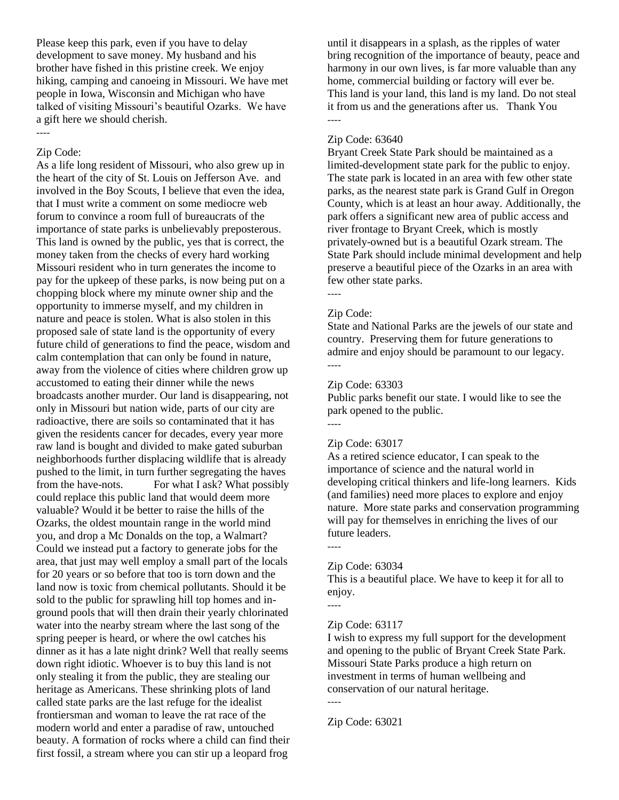Please keep this park, even if you have to delay development to save money. My husband and his brother have fished in this pristine creek. We enjoy hiking, camping and canoeing in Missouri. We have met people in Iowa, Wisconsin and Michigan who have talked of visiting Missouri's beautiful Ozarks. We have a gift here we should cherish.

#### Zip Code:

----

As a life long resident of Missouri, who also grew up in the heart of the city of St. Louis on Jefferson Ave. and involved in the Boy Scouts, I believe that even the idea, that I must write a comment on some mediocre web forum to convince a room full of bureaucrats of the importance of state parks is unbelievably preposterous. This land is owned by the public, yes that is correct, the money taken from the checks of every hard working Missouri resident who in turn generates the income to pay for the upkeep of these parks, is now being put on a chopping block where my minute owner ship and the opportunity to immerse myself, and my children in nature and peace is stolen. What is also stolen in this proposed sale of state land is the opportunity of every future child of generations to find the peace, wisdom and calm contemplation that can only be found in nature, away from the violence of cities where children grow up accustomed to eating their dinner while the news broadcasts another murder. Our land is disappearing, not only in Missouri but nation wide, parts of our city are radioactive, there are soils so contaminated that it has given the residents cancer for decades, every year more raw land is bought and divided to make gated suburban neighborhoods further displacing wildlife that is already pushed to the limit, in turn further segregating the haves from the have-nots. For what I ask? What possibly could replace this public land that would deem more valuable? Would it be better to raise the hills of the Ozarks, the oldest mountain range in the world mind you, and drop a Mc Donalds on the top, a Walmart? Could we instead put a factory to generate jobs for the area, that just may well employ a small part of the locals for 20 years or so before that too is torn down and the land now is toxic from chemical pollutants. Should it be sold to the public for sprawling hill top homes and inground pools that will then drain their yearly chlorinated water into the nearby stream where the last song of the spring peeper is heard, or where the owl catches his dinner as it has a late night drink? Well that really seems down right idiotic. Whoever is to buy this land is not only stealing it from the public, they are stealing our heritage as Americans. These shrinking plots of land called state parks are the last refuge for the idealist frontiersman and woman to leave the rat race of the modern world and enter a paradise of raw, untouched beauty. A formation of rocks where a child can find their first fossil, a stream where you can stir up a leopard frog

until it disappears in a splash, as the ripples of water bring recognition of the importance of beauty, peace and harmony in our own lives, is far more valuable than any home, commercial building or factory will ever be. This land is your land, this land is my land. Do not steal it from us and the generations after us. Thank You ----

### Zip Code: 63640

Bryant Creek State Park should be maintained as a limited-development state park for the public to enjoy. The state park is located in an area with few other state parks, as the nearest state park is Grand Gulf in Oregon County, which is at least an hour away. Additionally, the park offers a significant new area of public access and river frontage to Bryant Creek, which is mostly privately-owned but is a beautiful Ozark stream. The State Park should include minimal development and help preserve a beautiful piece of the Ozarks in an area with few other state parks. ----

### Zip Code:

State and National Parks are the jewels of our state and country. Preserving them for future generations to admire and enjoy should be paramount to our legacy. ----

### Zip Code: 63303

Public parks benefit our state. I would like to see the park opened to the public. ----

#### Zip Code: 63017

As a retired science educator, I can speak to the importance of science and the natural world in developing critical thinkers and life-long learners. Kids (and families) need more places to explore and enjoy nature. More state parks and conservation programming will pay for themselves in enriching the lives of our future leaders.

----

### Zip Code: 63034

This is a beautiful place. We have to keep it for all to enjoy.

----

### Zip Code: 63117

I wish to express my full support for the development and opening to the public of Bryant Creek State Park. Missouri State Parks produce a high return on investment in terms of human wellbeing and conservation of our natural heritage.

----

Zip Code: 63021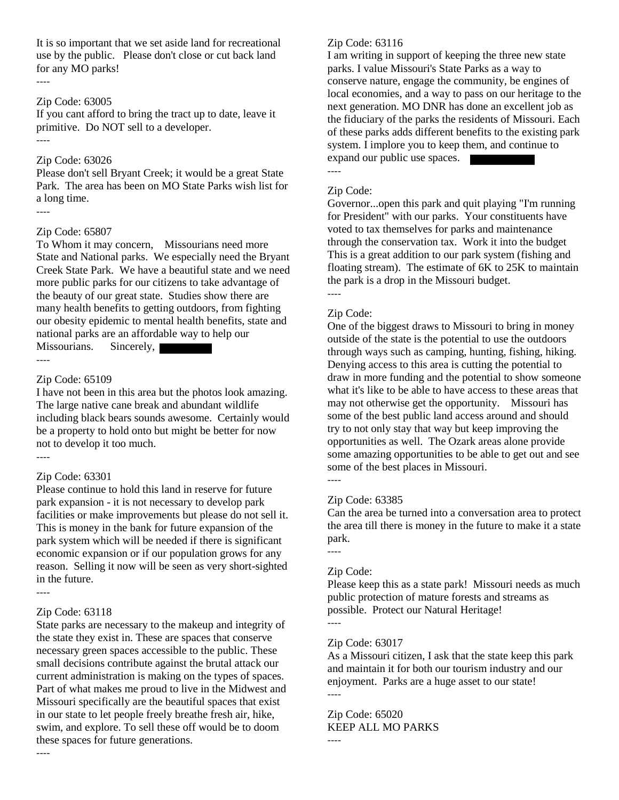It is so important that we set aside land for recreational use by the public. Please don't close or cut back land for any MO parks!

#### Zip Code: 63005

----

If you cant afford to bring the tract up to date, leave it primitive. Do NOT sell to a developer. ----

#### Zip Code: 63026

Please don't sell Bryant Creek; it would be a great State Park. The area has been on MO State Parks wish list for a long time. ----

#### Zip Code: 65807

To Whom it may concern, Missourians need more State and National parks. We especially need the Bryant Creek State Park. We have a beautiful state and we need more public parks for our citizens to take advantage of the beauty of our great state. Studies show there are many health benefits to getting outdoors, from fighting our obesity epidemic to mental health benefits, state and national parks are an affordable way to help our Missourians. Sincerely,

----

#### Zip Code: 65109

I have not been in this area but the photos look amazing. The large native cane break and abundant wildlife including black bears sounds awesome. Certainly would be a property to hold onto but might be better for now not to develop it too much. ----

#### Zip Code: 63301

Please continue to hold this land in reserve for future park expansion - it is not necessary to develop park facilities or make improvements but please do not sell it. This is money in the bank for future expansion of the park system which will be needed if there is significant economic expansion or if our population grows for any reason. Selling it now will be seen as very short-sighted in the future.

----

----

#### Zip Code: 63118

State parks are necessary to the makeup and integrity of the state they exist in. These are spaces that conserve necessary green spaces accessible to the public. These small decisions contribute against the brutal attack our current administration is making on the types of spaces. Part of what makes me proud to live in the Midwest and Missouri specifically are the beautiful spaces that exist in our state to let people freely breathe fresh air, hike, swim, and explore. To sell these off would be to doom these spaces for future generations.

#### Zip Code: 63116

I am writing in support of keeping the three new state parks. I value Missouri's State Parks as a way to conserve nature, engage the community, be engines of local economies, and a way to pass on our heritage to the next generation. MO DNR has done an excellent job as the fiduciary of the parks the residents of Missouri. Each of these parks adds different benefits to the existing park system. I implore you to keep them, and continue to expand our public use spaces.

Zip Code:

----

Governor...open this park and quit playing "I'm running for President" with our parks. Your constituents have voted to tax themselves for parks and maintenance through the conservation tax. Work it into the budget This is a great addition to our park system (fishing and floating stream). The estimate of 6K to 25K to maintain the park is a drop in the Missouri budget. ----

#### Zip Code:

One of the biggest draws to Missouri to bring in money outside of the state is the potential to use the outdoors through ways such as camping, hunting, fishing, hiking. Denying access to this area is cutting the potential to draw in more funding and the potential to show someone what it's like to be able to have access to these areas that may not otherwise get the opportunity. Missouri has some of the best public land access around and should try to not only stay that way but keep improving the opportunities as well. The Ozark areas alone provide some amazing opportunities to be able to get out and see some of the best places in Missouri.

----

### Zip Code: 63385

Can the area be turned into a conversation area to protect the area till there is money in the future to make it a state park.

----

----

### Zip Code:

Please keep this as a state park! Missouri needs as much public protection of mature forests and streams as possible. Protect our Natural Heritage! ----

#### Zip Code: 63017

As a Missouri citizen, I ask that the state keep this park and maintain it for both our tourism industry and our enjoyment. Parks are a huge asset to our state! ----

Zip Code: 65020 KEEP ALL MO PARKS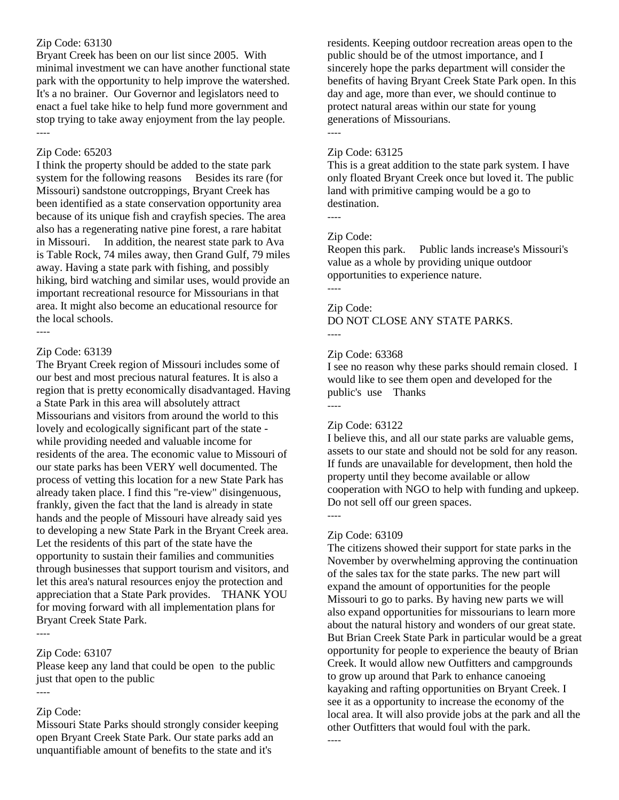### Zip Code: 63130

Bryant Creek has been on our list since 2005. With minimal investment we can have another functional state park with the opportunity to help improve the watershed. It's a no brainer. Our Governor and legislators need to enact a fuel take hike to help fund more government and stop trying to take away enjoyment from the lay people. ----

### Zip Code: 65203

I think the property should be added to the state park system for the following reasons Besides its rare (for Missouri) sandstone outcroppings, Bryant Creek has been identified as a state conservation opportunity area because of its unique fish and crayfish species. The area also has a regenerating native pine forest, a rare habitat in Missouri. In addition, the nearest state park to Ava is Table Rock, 74 miles away, then Grand Gulf, 79 miles away. Having a state park with fishing, and possibly hiking, bird watching and similar uses, would provide an important recreational resource for Missourians in that area. It might also become an educational resource for the local schools.

### Zip Code: 63139

----

The Bryant Creek region of Missouri includes some of our best and most precious natural features. It is also a region that is pretty economically disadvantaged. Having a State Park in this area will absolutely attract Missourians and visitors from around the world to this lovely and ecologically significant part of the state while providing needed and valuable income for residents of the area. The economic value to Missouri of our state parks has been VERY well documented. The process of vetting this location for a new State Park has already taken place. I find this "re-view" disingenuous, frankly, given the fact that the land is already in state hands and the people of Missouri have already said yes to developing a new State Park in the Bryant Creek area. Let the residents of this part of the state have the opportunity to sustain their families and communities through businesses that support tourism and visitors, and let this area's natural resources enjoy the protection and appreciation that a State Park provides. THANK YOU for moving forward with all implementation plans for Bryant Creek State Park.

----

### Zip Code: 63107

Please keep any land that could be open to the public just that open to the public

### ----

### Zip Code:

Missouri State Parks should strongly consider keeping open Bryant Creek State Park. Our state parks add an unquantifiable amount of benefits to the state and it's

residents. Keeping outdoor recreation areas open to the public should be of the utmost importance, and I sincerely hope the parks department will consider the benefits of having Bryant Creek State Park open. In this day and age, more than ever, we should continue to protect natural areas within our state for young generations of Missourians.

# Zip Code: 63125

This is a great addition to the state park system. I have only floated Bryant Creek once but loved it. The public land with primitive camping would be a go to destination.

----

----

### Zip Code:

Reopen this park. Public lands increase's Missouri's value as a whole by providing unique outdoor opportunities to experience nature.

----

#### Zip Code:

DO NOT CLOSE ANY STATE PARKS. ----

#### Zip Code: 63368

I see no reason why these parks should remain closed. I would like to see them open and developed for the public's use Thanks ----

#### Zip Code: 63122

I believe this, and all our state parks are valuable gems, assets to our state and should not be sold for any reason. If funds are unavailable for development, then hold the property until they become available or allow cooperation with NGO to help with funding and upkeep. Do not sell off our green spaces.

#### Zip Code: 63109

----

The citizens showed their support for state parks in the November by overwhelming approving the continuation of the sales tax for the state parks. The new part will expand the amount of opportunities for the people Missouri to go to parks. By having new parts we will also expand opportunities for missourians to learn more about the natural history and wonders of our great state. But Brian Creek State Park in particular would be a great opportunity for people to experience the beauty of Brian Creek. It would allow new Outfitters and campgrounds to grow up around that Park to enhance canoeing kayaking and rafting opportunities on Bryant Creek. I see it as a opportunity to increase the economy of the local area. It will also provide jobs at the park and all the other Outfitters that would foul with the park. ----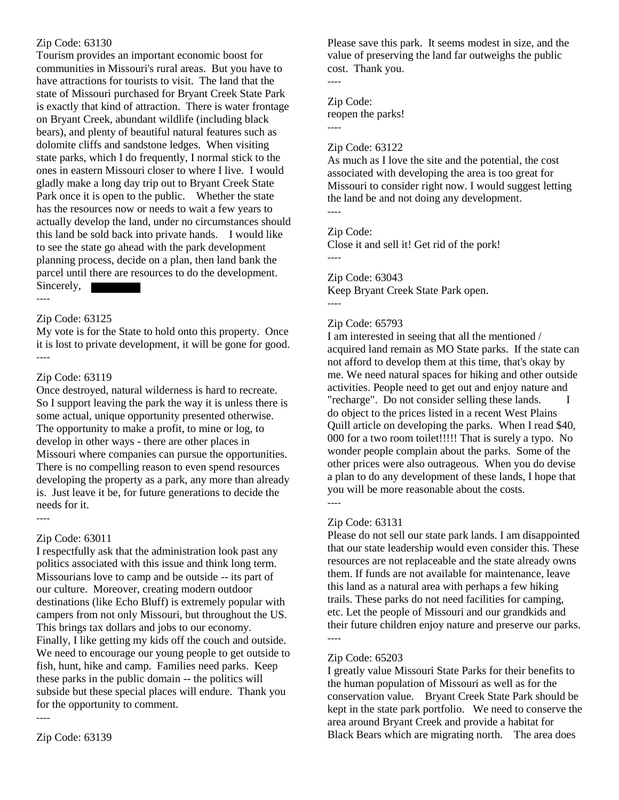### Zip Code: 63130

Tourism provides an important economic boost for communities in Missouri's rural areas. But you have to have attractions for tourists to visit. The land that the state of Missouri purchased for Bryant Creek State Park is exactly that kind of attraction. There is water frontage on Bryant Creek, abundant wildlife (including black bears), and plenty of beautiful natural features such as dolomite cliffs and sandstone ledges. When visiting state parks, which I do frequently, I normal stick to the ones in eastern Missouri closer to where I live. I would gladly make a long day trip out to Bryant Creek State Park once it is open to the public. Whether the state has the resources now or needs to wait a few years to actually develop the land, under no circumstances should this land be sold back into private hands. I would like to see the state go ahead with the park development planning process, decide on a plan, then land bank the parcel until there are resources to do the development. Sincerely,

### Zip Code: 63125

----

My vote is for the State to hold onto this property. Once it is lost to private development, it will be gone for good. ----

### Zip Code: 63119

Once destroyed, natural wilderness is hard to recreate. So I support leaving the park the way it is unless there is some actual, unique opportunity presented otherwise. The opportunity to make a profit, to mine or log, to develop in other ways - there are other places in Missouri where companies can pursue the opportunities. There is no compelling reason to even spend resources developing the property as a park, any more than already is. Just leave it be, for future generations to decide the needs for it.

----

### Zip Code: 63011

I respectfully ask that the administration look past any politics associated with this issue and think long term. Missourians love to camp and be outside -- its part of our culture. Moreover, creating modern outdoor destinations (like Echo Bluff) is extremely popular with campers from not only Missouri, but throughout the US. This brings tax dollars and jobs to our economy. Finally, I like getting my kids off the couch and outside. We need to encourage our young people to get outside to fish, hunt, hike and camp. Families need parks. Keep these parks in the public domain -- the politics will subside but these special places will endure. Thank you for the opportunity to comment.

----

Please save this park. It seems modest in size, and the value of preserving the land far outweighs the public cost. Thank you.

### Zip Code:

----

----

reopen the parks!

### Zip Code: 63122

As much as I love the site and the potential, the cost associated with developing the area is too great for Missouri to consider right now. I would suggest letting the land be and not doing any development. ----

# Zip Code:

Close it and sell it! Get rid of the pork!

----

### Zip Code: 63043

Keep Bryant Creek State Park open. ----

### Zip Code: 65793

I am interested in seeing that all the mentioned / acquired land remain as MO State parks. If the state can not afford to develop them at this time, that's okay by me. We need natural spaces for hiking and other outside activities. People need to get out and enjoy nature and "recharge". Do not consider selling these lands. I do object to the prices listed in a recent West Plains Quill article on developing the parks. When I read \$40, 000 for a two room toilet!!!!! That is surely a typo. No wonder people complain about the parks. Some of the other prices were also outrageous. When you do devise a plan to do any development of these lands, I hope that you will be more reasonable about the costs. ----

### Zip Code: 63131

Please do not sell our state park lands. I am disappointed that our state leadership would even consider this. These resources are not replaceable and the state already owns them. If funds are not available for maintenance, leave this land as a natural area with perhaps a few hiking trails. These parks do not need facilities for camping, etc. Let the people of Missouri and our grandkids and their future children enjoy nature and preserve our parks. ----

### Zip Code: 65203

I greatly value Missouri State Parks for their benefits to the human population of Missouri as well as for the conservation value. Bryant Creek State Park should be kept in the state park portfolio. We need to conserve the area around Bryant Creek and provide a habitat for Black Bears which are migrating north. The area does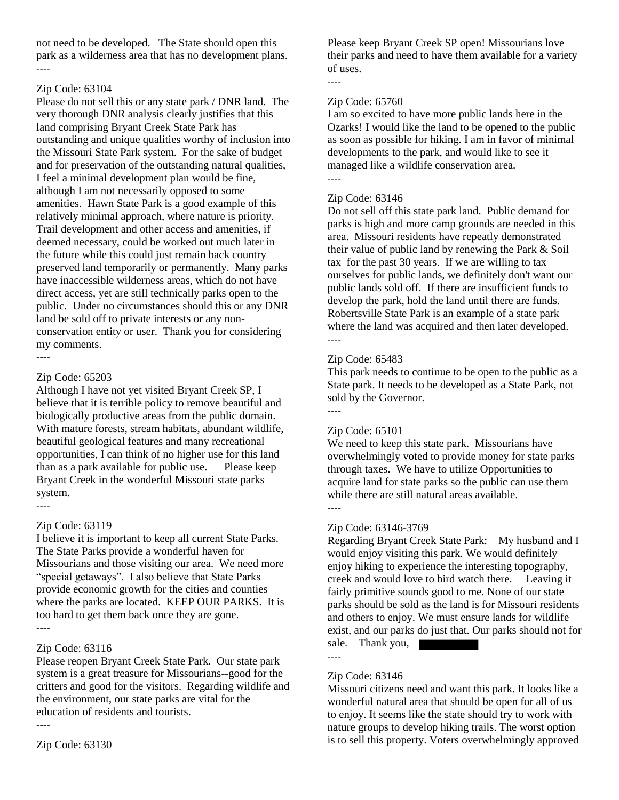not need to be developed. The State should open this park as a wilderness area that has no development plans. ----

### Zip Code: 63104

Please do not sell this or any state park / DNR land. The very thorough DNR analysis clearly justifies that this land comprising Bryant Creek State Park has outstanding and unique qualities worthy of inclusion into the Missouri State Park system. For the sake of budget and for preservation of the outstanding natural qualities, I feel a minimal development plan would be fine, although I am not necessarily opposed to some amenities. Hawn State Park is a good example of this relatively minimal approach, where nature is priority. Trail development and other access and amenities, if deemed necessary, could be worked out much later in the future while this could just remain back country preserved land temporarily or permanently. Many parks have inaccessible wilderness areas, which do not have direct access, yet are still technically parks open to the public. Under no circumstances should this or any DNR land be sold off to private interests or any nonconservation entity or user. Thank you for considering my comments.

----

### Zip Code: 65203

Although I have not yet visited Bryant Creek SP, I believe that it is terrible policy to remove beautiful and biologically productive areas from the public domain. With mature forests, stream habitats, abundant wildlife, beautiful geological features and many recreational opportunities, I can think of no higher use for this land than as a park available for public use. Please keep Bryant Creek in the wonderful Missouri state parks system.

----

#### Zip Code: 63119

I believe it is important to keep all current State Parks. The State Parks provide a wonderful haven for Missourians and those visiting our area. We need more "special getaways". I also believe that State Parks provide economic growth for the cities and counties where the parks are located. KEEP OUR PARKS. It is too hard to get them back once they are gone. ----

### Zip Code: 63116

Please reopen Bryant Creek State Park. Our state park system is a great treasure for Missourians--good for the critters and good for the visitors. Regarding wildlife and the environment, our state parks are vital for the education of residents and tourists.

----

Zip Code: 63130

Please keep Bryant Creek SP open! Missourians love their parks and need to have them available for a variety of uses.

### ----

### Zip Code: 65760

I am so excited to have more public lands here in the Ozarks! I would like the land to be opened to the public as soon as possible for hiking. I am in favor of minimal developments to the park, and would like to see it managed like a wildlife conservation area. ----

### Zip Code: 63146

Do not sell off this state park land. Public demand for parks is high and more camp grounds are needed in this area. Missouri residents have repeatly demonstrated their value of public land by renewing the Park & Soil tax for the past 30 years. If we are willing to tax ourselves for public lands, we definitely don't want our public lands sold off. If there are insufficient funds to develop the park, hold the land until there are funds. Robertsville State Park is an example of a state park where the land was acquired and then later developed. ----

### Zip Code: 65483

This park needs to continue to be open to the public as a State park. It needs to be developed as a State Park, not sold by the Governor.

# ----

### Zip Code: 65101

We need to keep this state park. Missourians have overwhelmingly voted to provide money for state parks through taxes. We have to utilize Opportunities to acquire land for state parks so the public can use them while there are still natural areas available. ----

### Zip Code: 63146-3769

Regarding Bryant Creek State Park: My husband and I would enjoy visiting this park. We would definitely enjoy hiking to experience the interesting topography, creek and would love to bird watch there. Leaving it fairly primitive sounds good to me. None of our state parks should be sold as the land is for Missouri residents and others to enjoy. We must ensure lands for wildlife exist, and our parks do just that. Our parks should not for sale. Thank you,

----

#### Zip Code: 63146

Missouri citizens need and want this park. It looks like a wonderful natural area that should be open for all of us to enjoy. It seems like the state should try to work with nature groups to develop hiking trails. The worst option is to sell this property. Voters overwhelmingly approved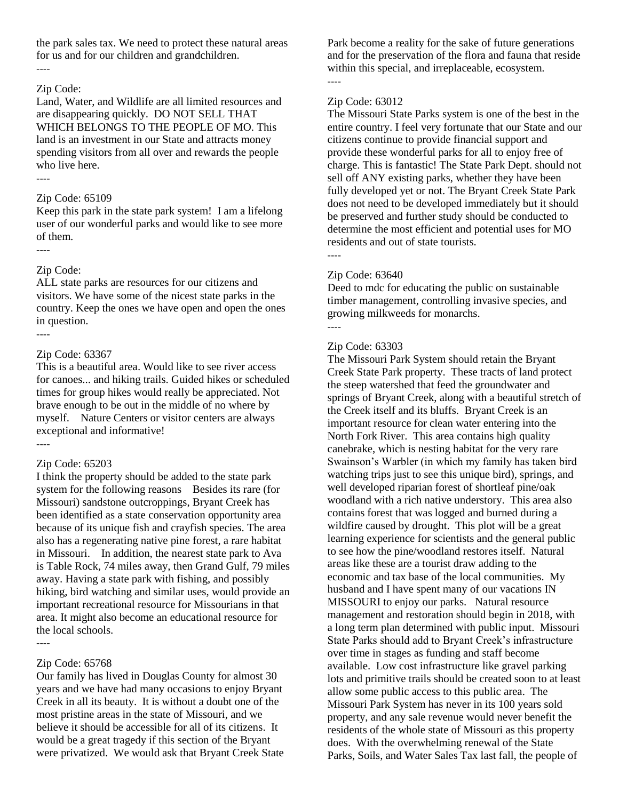the park sales tax. We need to protect these natural areas for us and for our children and grandchildren.

# Zip Code:

----

Land, Water, and Wildlife are all limited resources and are disappearing quickly. DO NOT SELL THAT WHICH BELONGS TO THE PEOPLE OF MO. This land is an investment in our State and attracts money spending visitors from all over and rewards the people who live here. ----

### Zip Code: 65109

Keep this park in the state park system! I am a lifelong user of our wonderful parks and would like to see more of them.

----

### Zip Code:

ALL state parks are resources for our citizens and visitors. We have some of the nicest state parks in the country. Keep the ones we have open and open the ones in question.

----

### Zip Code: 63367

This is a beautiful area. Would like to see river access for canoes... and hiking trails. Guided hikes or scheduled times for group hikes would really be appreciated. Not brave enough to be out in the middle of no where by myself. Nature Centers or visitor centers are always exceptional and informative! ----

### Zip Code: 65203

I think the property should be added to the state park system for the following reasons Besides its rare (for Missouri) sandstone outcroppings, Bryant Creek has been identified as a state conservation opportunity area because of its unique fish and crayfish species. The area also has a regenerating native pine forest, a rare habitat in Missouri. In addition, the nearest state park to Ava is Table Rock, 74 miles away, then Grand Gulf, 79 miles away. Having a state park with fishing, and possibly hiking, bird watching and similar uses, would provide an important recreational resource for Missourians in that area. It might also become an educational resource for the local schools. ----

### Zip Code: 65768

Our family has lived in Douglas County for almost 30 years and we have had many occasions to enjoy Bryant Creek in all its beauty. It is without a doubt one of the most pristine areas in the state of Missouri, and we believe it should be accessible for all of its citizens. It would be a great tragedy if this section of the Bryant were privatized. We would ask that Bryant Creek State Park become a reality for the sake of future generations and for the preservation of the flora and fauna that reside within this special, and irreplaceable, ecosystem. ----

### Zip Code: 63012

The Missouri State Parks system is one of the best in the entire country. I feel very fortunate that our State and our citizens continue to provide financial support and provide these wonderful parks for all to enjoy free of charge. This is fantastic! The State Park Dept. should not sell off ANY existing parks, whether they have been fully developed yet or not. The Bryant Creek State Park does not need to be developed immediately but it should be preserved and further study should be conducted to determine the most efficient and potential uses for MO residents and out of state tourists.

----

### Zip Code: 63640

Deed to mdc for educating the public on sustainable timber management, controlling invasive species, and growing milkweeds for monarchs. ----

### Zip Code: 63303

The Missouri Park System should retain the Bryant Creek State Park property. These tracts of land protect the steep watershed that feed the groundwater and springs of Bryant Creek, along with a beautiful stretch of the Creek itself and its bluffs. Bryant Creek is an important resource for clean water entering into the North Fork River. This area contains high quality canebrake, which is nesting habitat for the very rare Swainson's Warbler (in which my family has taken bird watching trips just to see this unique bird), springs, and well developed riparian forest of shortleaf pine/oak woodland with a rich native understory. This area also contains forest that was logged and burned during a wildfire caused by drought. This plot will be a great learning experience for scientists and the general public to see how the pine/woodland restores itself. Natural areas like these are a tourist draw adding to the economic and tax base of the local communities. My husband and I have spent many of our vacations IN MISSOURI to enjoy our parks. Natural resource management and restoration should begin in 2018, with a long term plan determined with public input. Missouri State Parks should add to Bryant Creek's infrastructure over time in stages as funding and staff become available. Low cost infrastructure like gravel parking lots and primitive trails should be created soon to at least allow some public access to this public area. The Missouri Park System has never in its 100 years sold property, and any sale revenue would never benefit the residents of the whole state of Missouri as this property does. With the overwhelming renewal of the State Parks, Soils, and Water Sales Tax last fall, the people of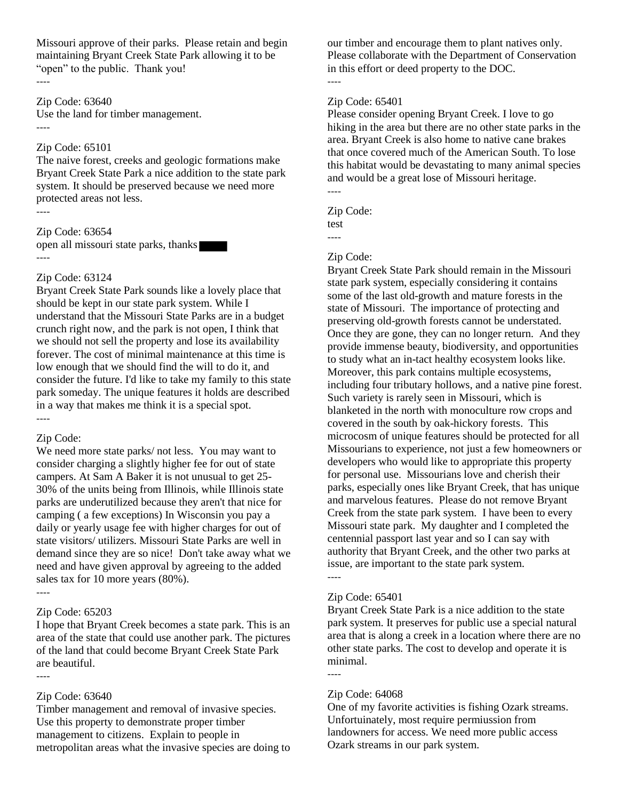Missouri approve of their parks. Please retain and begin maintaining Bryant Creek State Park allowing it to be "open" to the public. Thank you! ----

Zip Code: 63640

Use the land for timber management. ----

#### Zip Code: 65101

The naive forest, creeks and geologic formations make Bryant Creek State Park a nice addition to the state park system. It should be preserved because we need more protected areas not less. ----

### Zip Code: 63654

open all missouri state parks, thanks ----

#### Zip Code: 63124

Bryant Creek State Park sounds like a lovely place that should be kept in our state park system. While I understand that the Missouri State Parks are in a budget crunch right now, and the park is not open, I think that we should not sell the property and lose its availability forever. The cost of minimal maintenance at this time is low enough that we should find the will to do it, and consider the future. I'd like to take my family to this state park someday. The unique features it holds are described in a way that makes me think it is a special spot. ----

#### Zip Code:

We need more state parks/ not less. You may want to consider charging a slightly higher fee for out of state campers. At Sam A Baker it is not unusual to get 25- 30% of the units being from Illinois, while Illinois state parks are underutilized because they aren't that nice for camping ( a few exceptions) In Wisconsin you pay a daily or yearly usage fee with higher charges for out of state visitors/ utilizers. Missouri State Parks are well in demand since they are so nice! Don't take away what we need and have given approval by agreeing to the added sales tax for 10 more years (80%). ----

### Zip Code: 65203

I hope that Bryant Creek becomes a state park. This is an area of the state that could use another park. The pictures of the land that could become Bryant Creek State Park are beautiful.

#### Zip Code: 63640

----

Timber management and removal of invasive species. Use this property to demonstrate proper timber management to citizens. Explain to people in metropolitan areas what the invasive species are doing to our timber and encourage them to plant natives only. Please collaborate with the Department of Conservation in this effort or deed property to the DOC. ----

#### Zip Code: 65401

Please consider opening Bryant Creek. I love to go hiking in the area but there are no other state parks in the area. Bryant Creek is also home to native cane brakes that once covered much of the American South. To lose this habitat would be devastating to many animal species and would be a great lose of Missouri heritage. ----

Zip Code: test ----

#### Zip Code:

Bryant Creek State Park should remain in the Missouri state park system, especially considering it contains some of the last old-growth and mature forests in the state of Missouri. The importance of protecting and preserving old-growth forests cannot be understated. Once they are gone, they can no longer return. And they provide immense beauty, biodiversity, and opportunities to study what an in-tact healthy ecosystem looks like. Moreover, this park contains multiple ecosystems, including four tributary hollows, and a native pine forest. Such variety is rarely seen in Missouri, which is blanketed in the north with monoculture row crops and covered in the south by oak-hickory forests. This microcosm of unique features should be protected for all Missourians to experience, not just a few homeowners or developers who would like to appropriate this property for personal use. Missourians love and cherish their parks, especially ones like Bryant Creek, that has unique and marvelous features. Please do not remove Bryant Creek from the state park system. I have been to every Missouri state park. My daughter and I completed the centennial passport last year and so I can say with authority that Bryant Creek, and the other two parks at issue, are important to the state park system. ----

#### Zip Code: 65401

Bryant Creek State Park is a nice addition to the state park system. It preserves for public use a special natural area that is along a creek in a location where there are no other state parks. The cost to develop and operate it is minimal.

#### Zip Code: 64068

----

One of my favorite activities is fishing Ozark streams. Unfortuinately, most require permiussion from landowners for access. We need more public access Ozark streams in our park system.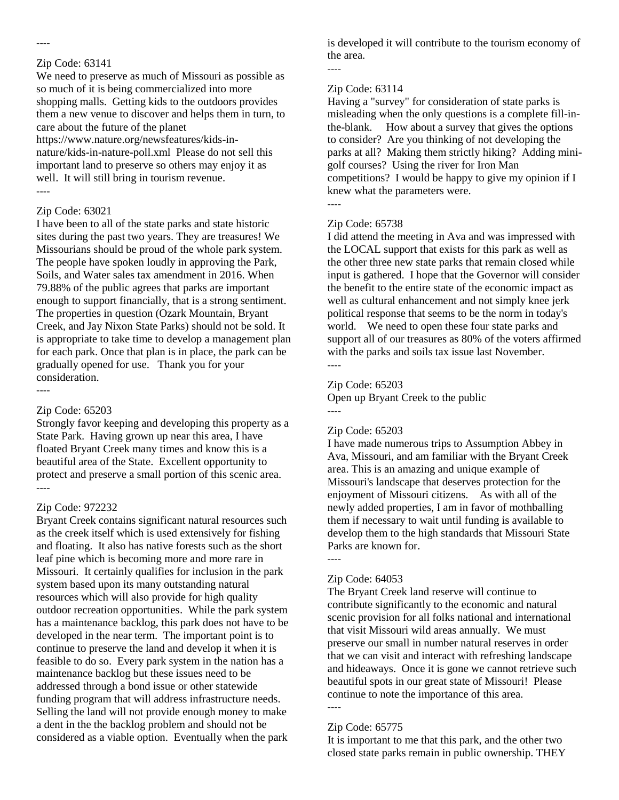# Zip Code: 63141

----

We need to preserve as much of Missouri as possible as so much of it is being commercialized into more shopping malls. Getting kids to the outdoors provides them a new venue to discover and helps them in turn, to care about the future of the planet https://www.nature.org/newsfeatures/kids-innature/kids-in-nature-poll.xml Please do not sell this important land to preserve so others may enjoy it as well. It will still bring in tourism revenue. ----

### Zip Code: 63021

I have been to all of the state parks and state historic sites during the past two years. They are treasures! We Missourians should be proud of the whole park system. The people have spoken loudly in approving the Park, Soils, and Water sales tax amendment in 2016. When 79.88% of the public agrees that parks are important enough to support financially, that is a strong sentiment. The properties in question (Ozark Mountain, Bryant Creek, and Jay Nixon State Parks) should not be sold. It is appropriate to take time to develop a management plan for each park. Once that plan is in place, the park can be gradually opened for use. Thank you for your consideration.

----

### Zip Code: 65203

Strongly favor keeping and developing this property as a State Park. Having grown up near this area, I have floated Bryant Creek many times and know this is a beautiful area of the State. Excellent opportunity to protect and preserve a small portion of this scenic area. ----

#### Zip Code: 972232

Bryant Creek contains significant natural resources such as the creek itself which is used extensively for fishing and floating. It also has native forests such as the short leaf pine which is becoming more and more rare in Missouri. It certainly qualifies for inclusion in the park system based upon its many outstanding natural resources which will also provide for high quality outdoor recreation opportunities. While the park system has a maintenance backlog, this park does not have to be developed in the near term. The important point is to continue to preserve the land and develop it when it is feasible to do so. Every park system in the nation has a maintenance backlog but these issues need to be addressed through a bond issue or other statewide funding program that will address infrastructure needs. Selling the land will not provide enough money to make a dent in the the backlog problem and should not be considered as a viable option. Eventually when the park

is developed it will contribute to the tourism economy of the area.

----

#### Zip Code: 63114

Having a "survey" for consideration of state parks is misleading when the only questions is a complete fill-inthe-blank. How about a survey that gives the options to consider? Are you thinking of not developing the parks at all? Making them strictly hiking? Adding minigolf courses? Using the river for Iron Man competitions? I would be happy to give my opinion if I knew what the parameters were.

----

### Zip Code: 65738

I did attend the meeting in Ava and was impressed with the LOCAL support that exists for this park as well as the other three new state parks that remain closed while input is gathered. I hope that the Governor will consider the benefit to the entire state of the economic impact as well as cultural enhancement and not simply knee jerk political response that seems to be the norm in today's world. We need to open these four state parks and support all of our treasures as 80% of the voters affirmed with the parks and soils tax issue last November. ----

### Zip Code: 65203

Open up Bryant Creek to the public

### Zip Code: 65203

I have made numerous trips to Assumption Abbey in Ava, Missouri, and am familiar with the Bryant Creek area. This is an amazing and unique example of Missouri's landscape that deserves protection for the enjoyment of Missouri citizens. As with all of the newly added properties, I am in favor of mothballing them if necessary to wait until funding is available to develop them to the high standards that Missouri State Parks are known for.

#### ----

----

### Zip Code: 64053

The Bryant Creek land reserve will continue to contribute significantly to the economic and natural scenic provision for all folks national and international that visit Missouri wild areas annually. We must preserve our small in number natural reserves in order that we can visit and interact with refreshing landscape and hideaways. Once it is gone we cannot retrieve such beautiful spots in our great state of Missouri! Please continue to note the importance of this area. ----

### Zip Code: 65775

It is important to me that this park, and the other two closed state parks remain in public ownership. THEY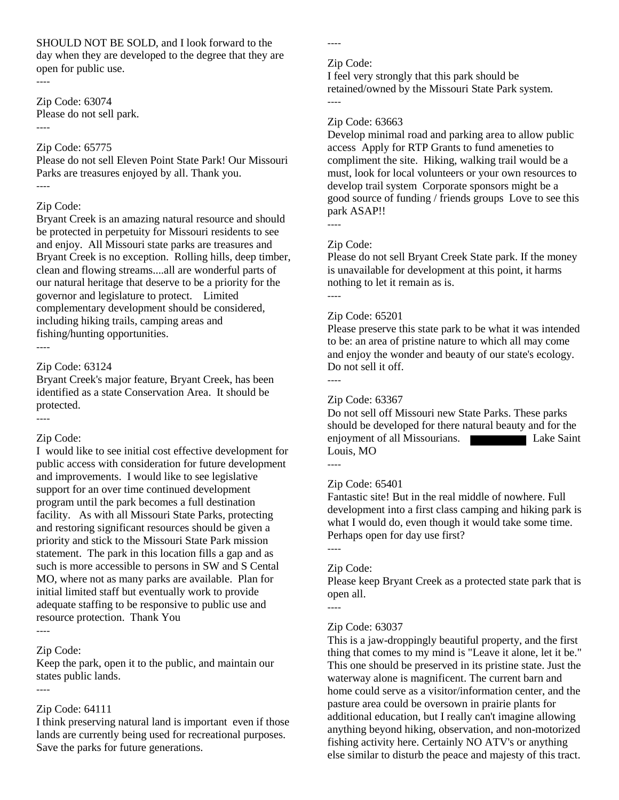SHOULD NOT BE SOLD, and I look forward to the day when they are developed to the degree that they are open for public use. ----

Zip Code: 63074 Please do not sell park. ----

### Zip Code: 65775

Please do not sell Eleven Point State Park! Our Missouri Parks are treasures enjoyed by all. Thank you. ----

### Zip Code:

Bryant Creek is an amazing natural resource and should be protected in perpetuity for Missouri residents to see and enjoy. All Missouri state parks are treasures and Bryant Creek is no exception. Rolling hills, deep timber, clean and flowing streams....all are wonderful parts of our natural heritage that deserve to be a priority for the governor and legislature to protect. Limited complementary development should be considered, including hiking trails, camping areas and fishing/hunting opportunities. ----

### Zip Code: 63124

Bryant Creek's major feature, Bryant Creek, has been identified as a state Conservation Area. It should be protected.

----

#### Zip Code:

I would like to see initial cost effective development for public access with consideration for future development and improvements. I would like to see legislative support for an over time continued development program until the park becomes a full destination facility. As with all Missouri State Parks, protecting and restoring significant resources should be given a priority and stick to the Missouri State Park mission statement. The park in this location fills a gap and as such is more accessible to persons in SW and S Cental MO, where not as many parks are available. Plan for initial limited staff but eventually work to provide adequate staffing to be responsive to public use and resource protection. Thank You ----

### Zip Code:

Keep the park, open it to the public, and maintain our states public lands.

----

#### Zip Code: 64111

I think preserving natural land is important even if those lands are currently being used for recreational purposes. Save the parks for future generations.

----

#### Zip Code:

I feel very strongly that this park should be retained/owned by the Missouri State Park system. ----

### Zip Code: 63663

Develop minimal road and parking area to allow public access Apply for RTP Grants to fund ameneties to compliment the site. Hiking, walking trail would be a must, look for local volunteers or your own resources to develop trail system Corporate sponsors might be a good source of funding / friends groups Love to see this park ASAP!!

----

### Zip Code:

Please do not sell Bryant Creek State park. If the money is unavailable for development at this point, it harms nothing to let it remain as is. ----

### Zip Code: 65201

Please preserve this state park to be what it was intended to be: an area of pristine nature to which all may come and enjoy the wonder and beauty of our state's ecology. Do not sell it off.

----

### Zip Code: 63367

Do not sell off Missouri new State Parks. These parks should be developed for there natural beauty and for the enjoyment of all Missourians. **Lake Saint** Louis, MO

----

### Zip Code: 65401

Fantastic site! But in the real middle of nowhere. Full development into a first class camping and hiking park is what I would do, even though it would take some time. Perhaps open for day use first?

### Zip Code:

----

----

Please keep Bryant Creek as a protected state park that is open all.

#### Zip Code: 63037

This is a jaw-droppingly beautiful property, and the first thing that comes to my mind is "Leave it alone, let it be." This one should be preserved in its pristine state. Just the waterway alone is magnificent. The current barn and home could serve as a visitor/information center, and the pasture area could be oversown in prairie plants for additional education, but I really can't imagine allowing anything beyond hiking, observation, and non-motorized fishing activity here. Certainly NO ATV's or anything else similar to disturb the peace and majesty of this tract.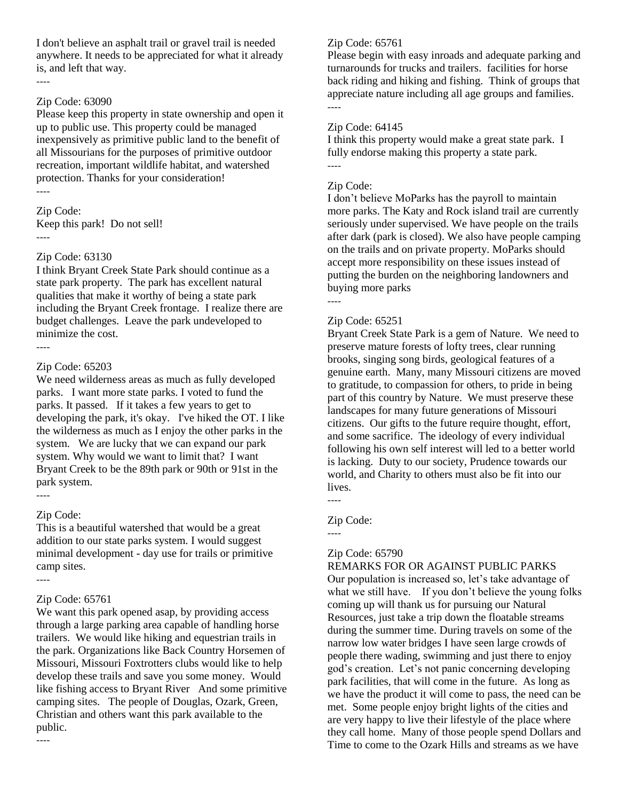I don't believe an asphalt trail or gravel trail is needed anywhere. It needs to be appreciated for what it already is, and left that way. ----

### Zip Code: 63090

Please keep this property in state ownership and open it up to public use. This property could be managed inexpensively as primitive public land to the benefit of all Missourians for the purposes of primitive outdoor recreation, important wildlife habitat, and watershed protection. Thanks for your consideration! ----

Zip Code:

Keep this park! Do not sell! ----

### Zip Code: 63130

I think Bryant Creek State Park should continue as a state park property. The park has excellent natural qualities that make it worthy of being a state park including the Bryant Creek frontage. I realize there are budget challenges. Leave the park undeveloped to minimize the cost. ----

### Zip Code: 65203

We need wilderness areas as much as fully developed parks. I want more state parks. I voted to fund the parks. It passed. If it takes a few years to get to developing the park, it's okay. I've hiked the OT. I like the wilderness as much as I enjoy the other parks in the system. We are lucky that we can expand our park system. Why would we want to limit that? I want Bryant Creek to be the 89th park or 90th or 91st in the park system.

#### Zip Code:

----

----

----

This is a beautiful watershed that would be a great addition to our state parks system. I would suggest minimal development - day use for trails or primitive camp sites.

### Zip Code: 65761

We want this park opened asap, by providing access through a large parking area capable of handling horse trailers. We would like hiking and equestrian trails in the park. Organizations like Back Country Horsemen of Missouri, Missouri Foxtrotters clubs would like to help develop these trails and save you some money. Would like fishing access to Bryant River And some primitive camping sites. The people of Douglas, Ozark, Green, Christian and others want this park available to the public.

### Zip Code: 65761

Please begin with easy inroads and adequate parking and turnarounds for trucks and trailers. facilities for horse back riding and hiking and fishing. Think of groups that appreciate nature including all age groups and families. ----

#### Zip Code: 64145

I think this property would make a great state park. I fully endorse making this property a state park. ----

### Zip Code:

I don't believe MoParks has the payroll to maintain more parks. The Katy and Rock island trail are currently seriously under supervised. We have people on the trails after dark (park is closed). We also have people camping on the trails and on private property. MoParks should accept more responsibility on these issues instead of putting the burden on the neighboring landowners and buying more parks

----

#### Zip Code: 65251

Bryant Creek State Park is a gem of Nature. We need to preserve mature forests of lofty trees, clear running brooks, singing song birds, geological features of a genuine earth. Many, many Missouri citizens are moved to gratitude, to compassion for others, to pride in being part of this country by Nature. We must preserve these landscapes for many future generations of Missouri citizens. Our gifts to the future require thought, effort, and some sacrifice. The ideology of every individual following his own self interest will led to a better world is lacking. Duty to our society, Prudence towards our world, and Charity to others must also be fit into our lives.

----

----

#### Zip Code:

Zip Code: 65790

### REMARKS FOR OR AGAINST PUBLIC PARKS

Our population is increased so, let's take advantage of what we still have. If you don't believe the young folks coming up will thank us for pursuing our Natural Resources, just take a trip down the floatable streams during the summer time. During travels on some of the narrow low water bridges I have seen large crowds of people there wading, swimming and just there to enjoy god's creation. Let's not panic concerning developing park facilities, that will come in the future. As long as we have the product it will come to pass, the need can be met. Some people enjoy bright lights of the cities and are very happy to live their lifestyle of the place where they call home. Many of those people spend Dollars and Time to come to the Ozark Hills and streams as we have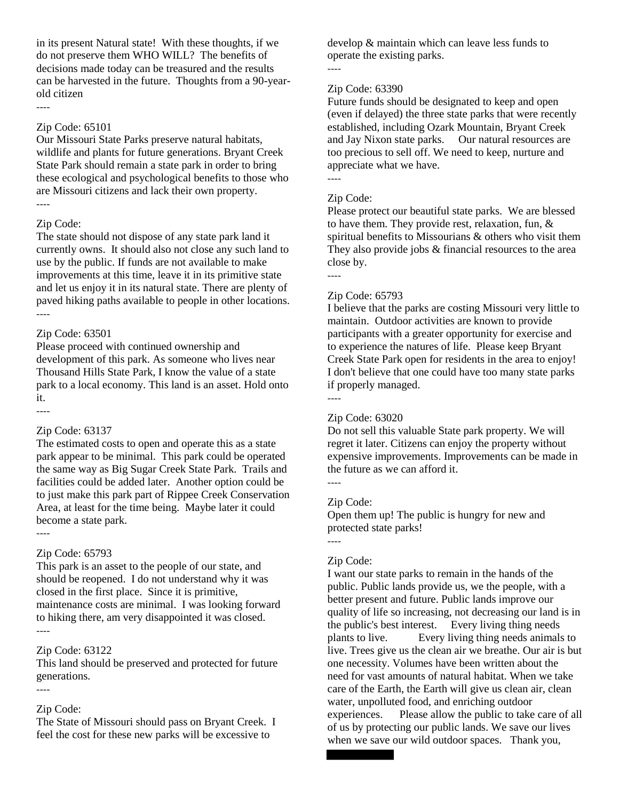in its present Natural state! With these thoughts, if we do not preserve them WHO WILL? The benefits of decisions made today can be treasured and the results can be harvested in the future. Thoughts from a 90-yearold citizen

### Zip Code: 65101

----

Our Missouri State Parks preserve natural habitats, wildlife and plants for future generations. Bryant Creek State Park should remain a state park in order to bring these ecological and psychological benefits to those who are Missouri citizens and lack their own property. ----

#### Zip Code:

The state should not dispose of any state park land it currently owns. It should also not close any such land to use by the public. If funds are not available to make improvements at this time, leave it in its primitive state and let us enjoy it in its natural state. There are plenty of paved hiking paths available to people in other locations. ----

### Zip Code: 63501

Please proceed with continued ownership and development of this park. As someone who lives near Thousand Hills State Park, I know the value of a state park to a local economy. This land is an asset. Hold onto it.

#### Zip Code: 63137

The estimated costs to open and operate this as a state park appear to be minimal. This park could be operated the same way as Big Sugar Creek State Park. Trails and facilities could be added later. Another option could be to just make this park part of Rippee Creek Conservation Area, at least for the time being. Maybe later it could become a state park.

### ----

----

#### Zip Code: 65793

This park is an asset to the people of our state, and should be reopened. I do not understand why it was closed in the first place. Since it is primitive, maintenance costs are minimal. I was looking forward to hiking there, am very disappointed it was closed. ----

#### Zip Code: 63122

This land should be preserved and protected for future generations.

#### ----

#### Zip Code:

The State of Missouri should pass on Bryant Creek. I feel the cost for these new parks will be excessive to

develop & maintain which can leave less funds to operate the existing parks.

#### ----

### Zip Code: 63390

Future funds should be designated to keep and open (even if delayed) the three state parks that were recently established, including Ozark Mountain, Bryant Creek and Jay Nixon state parks. Our natural resources are too precious to sell off. We need to keep, nurture and appreciate what we have.

#### Zip Code:

----

Please protect our beautiful state parks. We are blessed to have them. They provide rest, relaxation, fun, & spiritual benefits to Missourians & others who visit them They also provide jobs & financial resources to the area close by.

----

### Zip Code: 65793

I believe that the parks are costing Missouri very little to maintain. Outdoor activities are known to provide participants with a greater opportunity for exercise and to experience the natures of life. Please keep Bryant Creek State Park open for residents in the area to enjoy! I don't believe that one could have too many state parks if properly managed. ----

#### Zip Code: 63020

Do not sell this valuable State park property. We will regret it later. Citizens can enjoy the property without expensive improvements. Improvements can be made in the future as we can afford it.

----

----

#### Zip Code:

Open them up! The public is hungry for new and protected state parks!

#### Zip Code:

I want our state parks to remain in the hands of the public. Public lands provide us, we the people, with a better present and future. Public lands improve our quality of life so increasing, not decreasing our land is in the public's best interest. Every living thing needs plants to live. Every living thing needs animals to live. Trees give us the clean air we breathe. Our air is but one necessity. Volumes have been written about the need for vast amounts of natural habitat. When we take care of the Earth, the Earth will give us clean air, clean water, unpolluted food, and enriching outdoor experiences. Please allow the public to take care of all of us by protecting our public lands. We save our lives when we save our wild outdoor spaces. Thank you,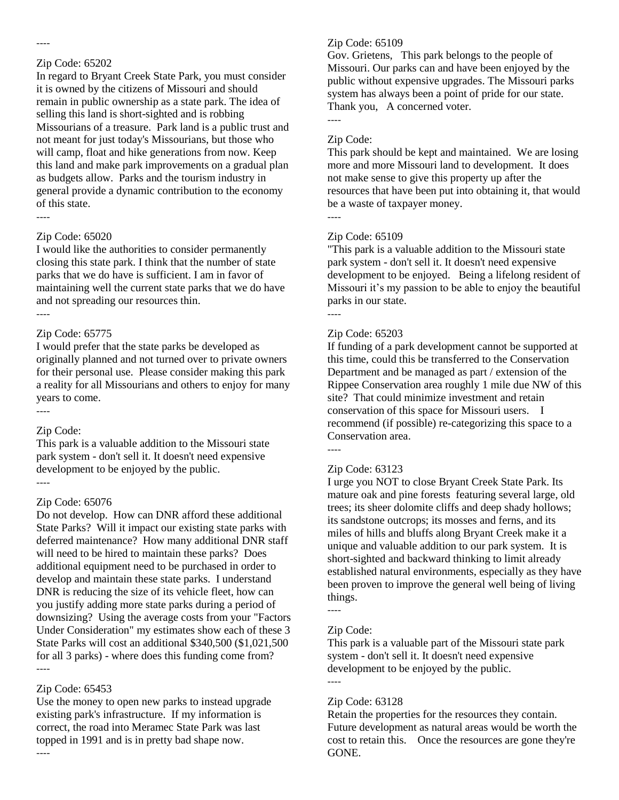#### ----

#### Zip Code: 65202

In regard to Bryant Creek State Park, you must consider it is owned by the citizens of Missouri and should remain in public ownership as a state park. The idea of selling this land is short-sighted and is robbing Missourians of a treasure. Park land is a public trust and not meant for just today's Missourians, but those who will camp, float and hike generations from now. Keep this land and make park improvements on a gradual plan as budgets allow. Parks and the tourism industry in general provide a dynamic contribution to the economy of this state.

----

#### Zip Code: 65020

I would like the authorities to consider permanently closing this state park. I think that the number of state parks that we do have is sufficient. I am in favor of maintaining well the current state parks that we do have and not spreading our resources thin. ----

#### Zip Code: 65775

I would prefer that the state parks be developed as originally planned and not turned over to private owners for their personal use. Please consider making this park a reality for all Missourians and others to enjoy for many years to come.

#### Zip Code:

----

This park is a valuable addition to the Missouri state park system - don't sell it. It doesn't need expensive development to be enjoyed by the public. ----

#### Zip Code: 65076

Do not develop. How can DNR afford these additional State Parks? Will it impact our existing state parks with deferred maintenance? How many additional DNR staff will need to be hired to maintain these parks? Does additional equipment need to be purchased in order to develop and maintain these state parks. I understand DNR is reducing the size of its vehicle fleet, how can you justify adding more state parks during a period of downsizing? Using the average costs from your "Factors Under Consideration" my estimates show each of these 3 State Parks will cost an additional \$340,500 (\$1,021,500 for all 3 parks) - where does this funding come from? ----

#### Zip Code: 65453

----

Use the money to open new parks to instead upgrade existing park's infrastructure. If my information is correct, the road into Meramec State Park was last topped in 1991 and is in pretty bad shape now.

#### Zip Code: 65109

Gov. Grietens, This park belongs to the people of Missouri. Our parks can and have been enjoyed by the public without expensive upgrades. The Missouri parks system has always been a point of pride for our state. Thank you, A concerned voter.

----

### Zip Code:

This park should be kept and maintained. We are losing more and more Missouri land to development. It does not make sense to give this property up after the resources that have been put into obtaining it, that would be a waste of taxpayer money.

----

### Zip Code: 65109

"This park is a valuable addition to the Missouri state park system - don't sell it. It doesn't need expensive development to be enjoyed. Being a lifelong resident of Missouri it's my passion to be able to enjoy the beautiful parks in our state. ----

### Zip Code: 65203

If funding of a park development cannot be supported at this time, could this be transferred to the Conservation Department and be managed as part / extension of the Rippee Conservation area roughly 1 mile due NW of this site? That could minimize investment and retain conservation of this space for Missouri users. I recommend (if possible) re-categorizing this space to a Conservation area.

#### Zip Code: 63123

I urge you NOT to close Bryant Creek State Park. Its mature oak and pine forests featuring several large, old trees; its sheer dolomite cliffs and deep shady hollows; its sandstone outcrops; its mosses and ferns, and its miles of hills and bluffs along Bryant Creek make it a unique and valuable addition to our park system. It is short-sighted and backward thinking to limit already established natural environments, especially as they have been proven to improve the general well being of living things.

#### Zip Code:

----

This park is a valuable part of the Missouri state park system - don't sell it. It doesn't need expensive development to be enjoyed by the public. ----

#### Zip Code: 63128

Retain the properties for the resources they contain. Future development as natural areas would be worth the cost to retain this. Once the resources are gone they're GONE.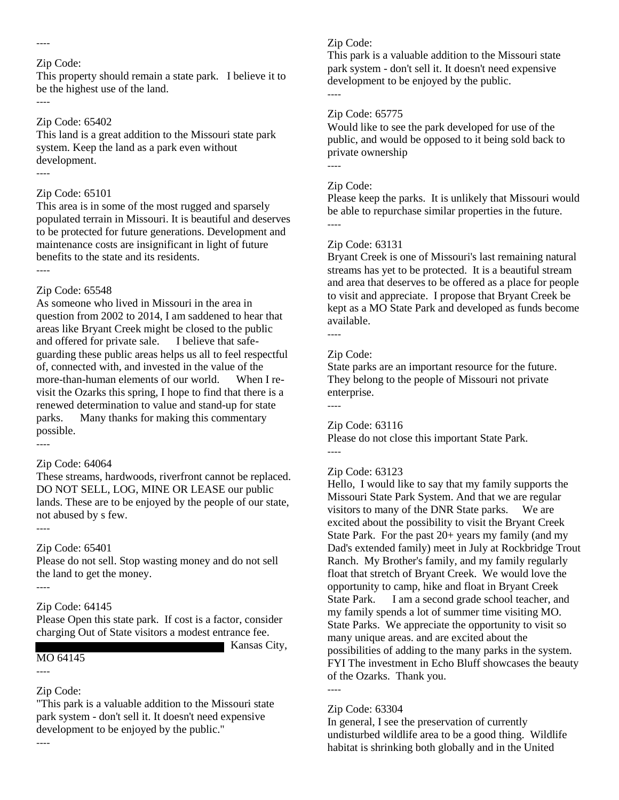#### ----

----

----

----

### Zip Code:

This property should remain a state park. I believe it to be the highest use of the land.

### Zip Code: 65402

This land is a great addition to the Missouri state park system. Keep the land as a park even without development.

### Zip Code: 65101

This area is in some of the most rugged and sparsely populated terrain in Missouri. It is beautiful and deserves to be protected for future generations. Development and maintenance costs are insignificant in light of future benefits to the state and its residents.

# Zip Code: 65548

As someone who lived in Missouri in the area in question from 2002 to 2014, I am saddened to hear that areas like Bryant Creek might be closed to the public and offered for private sale. I believe that safeguarding these public areas helps us all to feel respectful of, connected with, and invested in the value of the more-than-human elements of our world. When I revisit the Ozarks this spring, I hope to find that there is a renewed determination to value and stand-up for state parks. Many thanks for making this commentary possible.

### Zip Code: 64064

These streams, hardwoods, riverfront cannot be replaced. DO NOT SELL, LOG, MINE OR LEASE our public lands. These are to be enjoyed by the people of our state, not abused by s few.

### Zip Code: 65401

Please do not sell. Stop wasting money and do not sell the land to get the money.

----

----

----

### Zip Code: 64145

Please Open this state park. If cost is a factor, consider charging Out of State visitors a modest entrance fee. Kansas City,

### MO 64145

----

### Zip Code:

"This park is a valuable addition to the Missouri state park system - don't sell it. It doesn't need expensive development to be enjoyed by the public." ----

### Zip Code:

This park is a valuable addition to the Missouri state park system - don't sell it. It doesn't need expensive development to be enjoyed by the public. ----

### Zip Code: 65775

Would like to see the park developed for use of the public, and would be opposed to it being sold back to private ownership

### Zip Code:

----

Please keep the parks. It is unlikely that Missouri would be able to repurchase similar properties in the future. ----

### Zip Code: 63131

Bryant Creek is one of Missouri's last remaining natural streams has yet to be protected. It is a beautiful stream and area that deserves to be offered as a place for people to visit and appreciate. I propose that Bryant Creek be kept as a MO State Park and developed as funds become available.

# ----

### Zip Code:

State parks are an important resource for the future. They belong to the people of Missouri not private enterprise. ----

### Zip Code: 63116

Please do not close this important State Park. ----

### Zip Code: 63123

Hello, I would like to say that my family supports the Missouri State Park System. And that we are regular visitors to many of the DNR State parks. We are excited about the possibility to visit the Bryant Creek State Park. For the past 20+ years my family (and my Dad's extended family) meet in July at Rockbridge Trout Ranch. My Brother's family, and my family regularly float that stretch of Bryant Creek. We would love the opportunity to camp, hike and float in Bryant Creek State Park. I am a second grade school teacher, and my family spends a lot of summer time visiting MO. State Parks. We appreciate the opportunity to visit so many unique areas. and are excited about the possibilities of adding to the many parks in the system. FYI The investment in Echo Bluff showcases the beauty of the Ozarks. Thank you.

----

### Zip Code: 63304

In general, I see the preservation of currently undisturbed wildlife area to be a good thing. Wildlife habitat is shrinking both globally and in the United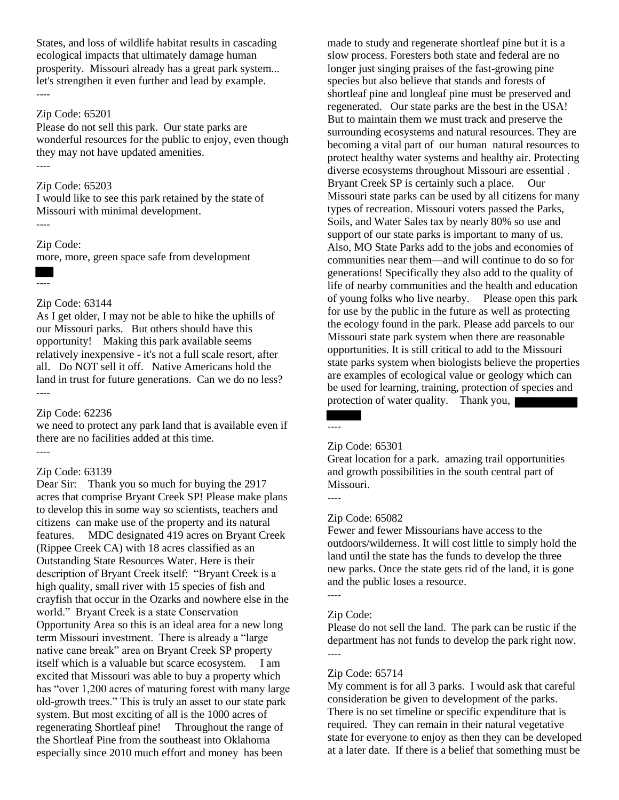States, and loss of wildlife habitat results in cascading ecological impacts that ultimately damage human prosperity. Missouri already has a great park system... let's strengthen it even further and lead by example. ----

#### Zip Code: 65201

Please do not sell this park. Our state parks are wonderful resources for the public to enjoy, even though they may not have updated amenities. ----

#### Zip Code: 65203

I would like to see this park retained by the state of Missouri with minimal development. ----

### Zip Code:

more, more, green space safe from development

----

#### Zip Code: 63144

As I get older, I may not be able to hike the uphills of our Missouri parks. But others should have this opportunity! Making this park available seems relatively inexpensive - it's not a full scale resort, after all. Do NOT sell it off. Native Americans hold the land in trust for future generations. Can we do no less? ----

#### Zip Code: 62236

we need to protect any park land that is available even if there are no facilities added at this time. ----

#### Zip Code: 63139

Dear Sir: Thank you so much for buying the 2917 acres that comprise Bryant Creek SP! Please make plans to develop this in some way so scientists, teachers and citizens can make use of the property and its natural features. MDC designated 419 acres on Bryant Creek (Rippee Creek CA) with 18 acres classified as an Outstanding State Resources Water. Here is their description of Bryant Creek itself: "Bryant Creek is a high quality, small river with 15 species of fish and crayfish that occur in the Ozarks and nowhere else in the world." Bryant Creek is a state Conservation Opportunity Area so this is an ideal area for a new long term Missouri investment. There is already a "large native cane break" area on Bryant Creek SP property itself which is a valuable but scarce ecosystem. I am excited that Missouri was able to buy a property which has "over 1,200 acres of maturing forest with many large old-growth trees." This is truly an asset to our state park system. But most exciting of all is the 1000 acres of regenerating Shortleaf pine! Throughout the range of the Shortleaf Pine from the southeast into Oklahoma especially since 2010 much effort and money has been

made to study and regenerate shortleaf pine but it is a slow process. Foresters both state and federal are no longer just singing praises of the fast-growing pine species but also believe that stands and forests of shortleaf pine and longleaf pine must be preserved and regenerated. Our state parks are the best in the USA! But to maintain them we must track and preserve the surrounding ecosystems and natural resources. They are becoming a vital part of our human natural resources to protect healthy water systems and healthy air. Protecting diverse ecosystems throughout Missouri are essential . Bryant Creek SP is certainly such a place. Our Missouri state parks can be used by all citizens for many types of recreation. Missouri voters passed the Parks, Soils, and Water Sales tax by nearly 80% so use and support of our state parks is important to many of us. Also, MO State Parks add to the jobs and economies of communities near them—and will continue to do so for generations! Specifically they also add to the quality of life of nearby communities and the health and education of young folks who live nearby. Please open this park for use by the public in the future as well as protecting the ecology found in the park. Please add parcels to our Missouri state park system when there are reasonable opportunities. It is still critical to add to the Missouri state parks system when biologists believe the properties are examples of ecological value or geology which can be used for learning, training, protection of species and protection of water quality. Thank you,

----

#### Zip Code: 65301

Great location for a park. amazing trail opportunities and growth possibilities in the south central part of Missouri.

----

### Zip Code: 65082

Fewer and fewer Missourians have access to the outdoors/wilderness. It will cost little to simply hold the land until the state has the funds to develop the three new parks. Once the state gets rid of the land, it is gone and the public loses a resource.

#### Zip Code:

----

Please do not sell the land. The park can be rustic if the department has not funds to develop the park right now. ----

#### Zip Code: 65714

My comment is for all 3 parks. I would ask that careful consideration be given to development of the parks. There is no set timeline or specific expenditure that is required. They can remain in their natural vegetative state for everyone to enjoy as then they can be developed at a later date. If there is a belief that something must be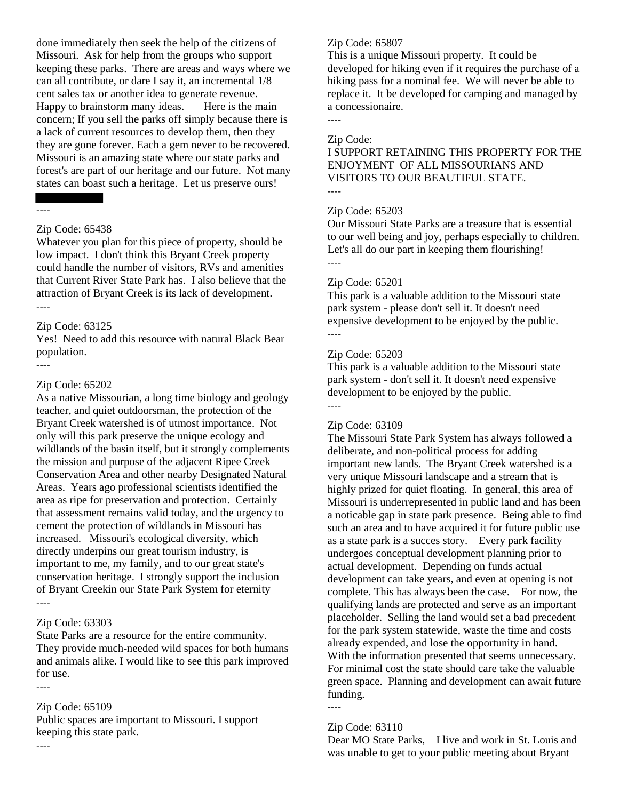done immediately then seek the help of the citizens of Missouri. Ask for help from the groups who support keeping these parks. There are areas and ways where we can all contribute, or dare I say it, an incremental 1/8 cent sales tax or another idea to generate revenue. Happy to brainstorm many ideas. Here is the main concern; If you sell the parks off simply because there is a lack of current resources to develop them, then they they are gone forever. Each a gem never to be recovered. Missouri is an amazing state where our state parks and forest's are part of our heritage and our future. Not many states can boast such a heritage. Let us preserve ours!

#### ----

----

#### Zip Code: 65438

Whatever you plan for this piece of property, should be low impact. I don't think this Bryant Creek property could handle the number of visitors, RVs and amenities that Current River State Park has. I also believe that the attraction of Bryant Creek is its lack of development. ----

#### Zip Code: 63125

Yes! Need to add this resource with natural Black Bear population.

#### Zip Code: 65202

As a native Missourian, a long time biology and geology teacher, and quiet outdoorsman, the protection of the Bryant Creek watershed is of utmost importance. Not only will this park preserve the unique ecology and wildlands of the basin itself, but it strongly complements the mission and purpose of the adjacent Ripee Creek Conservation Area and other nearby Designated Natural Areas. Years ago professional scientists identified the area as ripe for preservation and protection. Certainly that assessment remains valid today, and the urgency to cement the protection of wildlands in Missouri has increased. Missouri's ecological diversity, which directly underpins our great tourism industry, is important to me, my family, and to our great state's conservation heritage. I strongly support the inclusion of Bryant Creekin our State Park System for eternity ----

#### Zip Code: 63303

State Parks are a resource for the entire community. They provide much-needed wild spaces for both humans and animals alike. I would like to see this park improved for use.

----

----

#### Zip Code: 65109

Public spaces are important to Missouri. I support keeping this state park.

#### Zip Code: 65807

This is a unique Missouri property. It could be developed for hiking even if it requires the purchase of a hiking pass for a nominal fee. We will never be able to replace it. It be developed for camping and managed by a concessionaire.

----

#### Zip Code:

I SUPPORT RETAINING THIS PROPERTY FOR THE ENJOYMENT OF ALL MISSOURIANS AND VISITORS TO OUR BEAUTIFUL STATE. ----

#### Zip Code: 65203

Our Missouri State Parks are a treasure that is essential to our well being and joy, perhaps especially to children. Let's all do our part in keeping them flourishing! ----

#### Zip Code: 65201

This park is a valuable addition to the Missouri state park system - please don't sell it. It doesn't need expensive development to be enjoyed by the public. ----

#### Zip Code: 65203

This park is a valuable addition to the Missouri state park system - don't sell it. It doesn't need expensive development to be enjoyed by the public. ----

#### Zip Code: 63109

The Missouri State Park System has always followed a deliberate, and non-political process for adding important new lands. The Bryant Creek watershed is a very unique Missouri landscape and a stream that is highly prized for quiet floating. In general, this area of Missouri is underrepresented in public land and has been a noticable gap in state park presence. Being able to find such an area and to have acquired it for future public use as a state park is a succes story. Every park facility undergoes conceptual development planning prior to actual development. Depending on funds actual development can take years, and even at opening is not complete. This has always been the case. For now, the qualifying lands are protected and serve as an important placeholder. Selling the land would set a bad precedent for the park system statewide, waste the time and costs already expended, and lose the opportunity in hand. With the information presented that seems unnecessary. For minimal cost the state should care take the valuable green space. Planning and development can await future funding.

#### Zip Code: 63110

----

Dear MO State Parks, I live and work in St. Louis and was unable to get to your public meeting about Bryant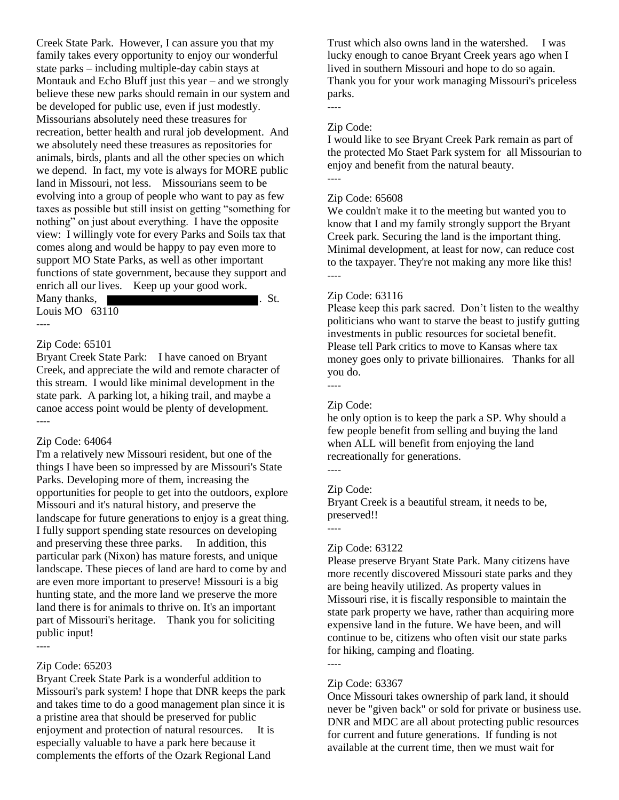Creek State Park. However, I can assure you that my family takes every opportunity to enjoy our wonderful state parks – including multiple-day cabin stays at Montauk and Echo Bluff just this year – and we strongly believe these new parks should remain in our system and be developed for public use, even if just modestly. Missourians absolutely need these treasures for recreation, better health and rural job development. And we absolutely need these treasures as repositories for animals, birds, plants and all the other species on which we depend. In fact, my vote is always for MORE public land in Missouri, not less. Missourians seem to be evolving into a group of people who want to pay as few taxes as possible but still insist on getting "something for nothing" on just about everything. I have the opposite view: I willingly vote for every Parks and Soils tax that comes along and would be happy to pay even more to support MO State Parks, as well as other important functions of state government, because they support and enrich all our lives. Keep up your good work. Many thanks, The Communication of the St. Louis MO 63110

#### ----

#### Zip Code: 65101

Bryant Creek State Park: I have canoed on Bryant Creek, and appreciate the wild and remote character of this stream. I would like minimal development in the state park. A parking lot, a hiking trail, and maybe a canoe access point would be plenty of development. ----

#### Zip Code: 64064

I'm a relatively new Missouri resident, but one of the things I have been so impressed by are Missouri's State Parks. Developing more of them, increasing the opportunities for people to get into the outdoors, explore Missouri and it's natural history, and preserve the landscape for future generations to enjoy is a great thing. I fully support spending state resources on developing and preserving these three parks. In addition, this particular park (Nixon) has mature forests, and unique landscape. These pieces of land are hard to come by and are even more important to preserve! Missouri is a big hunting state, and the more land we preserve the more land there is for animals to thrive on. It's an important part of Missouri's heritage. Thank you for soliciting public input! ----

#### Zip Code: 65203

Bryant Creek State Park is a wonderful addition to Missouri's park system! I hope that DNR keeps the park and takes time to do a good management plan since it is a pristine area that should be preserved for public enjoyment and protection of natural resources. It is especially valuable to have a park here because it complements the efforts of the Ozark Regional Land

Trust which also owns land in the watershed. I was lucky enough to canoe Bryant Creek years ago when I lived in southern Missouri and hope to do so again. Thank you for your work managing Missouri's priceless parks.

#### Zip Code:

----

I would like to see Bryant Creek Park remain as part of the protected Mo Staet Park system for all Missourian to enjoy and benefit from the natural beauty. ----

#### Zip Code: 65608

We couldn't make it to the meeting but wanted you to know that I and my family strongly support the Bryant Creek park. Securing the land is the important thing. Minimal development, at least for now, can reduce cost to the taxpayer. They're not making any more like this! ----

#### Zip Code: 63116

Please keep this park sacred. Don't listen to the wealthy politicians who want to starve the beast to justify gutting investments in public resources for societal benefit. Please tell Park critics to move to Kansas where tax money goes only to private billionaires. Thanks for all you do.

----

### Zip Code:

he only option is to keep the park a SP. Why should a few people benefit from selling and buying the land when ALL will benefit from enjoying the land recreationally for generations.

----

----

#### Zip Code:

Bryant Creek is a beautiful stream, it needs to be, preserved!!

#### Zip Code: 63122

Please preserve Bryant State Park. Many citizens have more recently discovered Missouri state parks and they are being heavily utilized. As property values in Missouri rise, it is fiscally responsible to maintain the state park property we have, rather than acquiring more expensive land in the future. We have been, and will continue to be, citizens who often visit our state parks for hiking, camping and floating.

#### ----

#### Zip Code: 63367

Once Missouri takes ownership of park land, it should never be "given back" or sold for private or business use. DNR and MDC are all about protecting public resources for current and future generations. If funding is not available at the current time, then we must wait for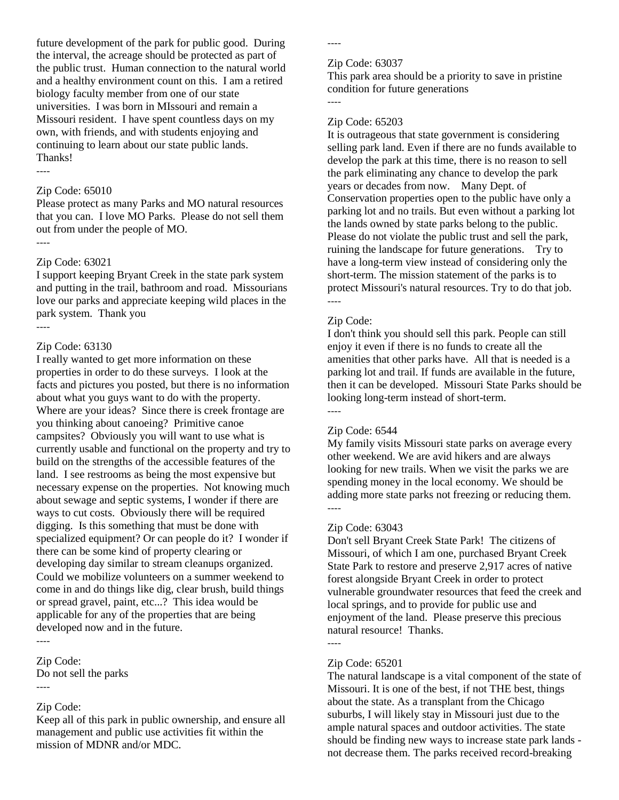future development of the park for public good. During the interval, the acreage should be protected as part of the public trust. Human connection to the natural world and a healthy environment count on this. I am a retired biology faculty member from one of our state universities. I was born in MIssouri and remain a Missouri resident. I have spent countless days on my own, with friends, and with students enjoying and continuing to learn about our state public lands. Thanks!

----

#### Zip Code: 65010

Please protect as many Parks and MO natural resources that you can. I love MO Parks. Please do not sell them out from under the people of MO. ----

#### Zip Code: 63021

I support keeping Bryant Creek in the state park system and putting in the trail, bathroom and road. Missourians love our parks and appreciate keeping wild places in the park system. Thank you ----

#### Zip Code: 63130

I really wanted to get more information on these properties in order to do these surveys. I look at the facts and pictures you posted, but there is no information about what you guys want to do with the property. Where are your ideas? Since there is creek frontage are you thinking about canoeing? Primitive canoe campsites? Obviously you will want to use what is currently usable and functional on the property and try to build on the strengths of the accessible features of the land. I see restrooms as being the most expensive but necessary expense on the properties. Not knowing much about sewage and septic systems, I wonder if there are ways to cut costs. Obviously there will be required digging. Is this something that must be done with specialized equipment? Or can people do it? I wonder if there can be some kind of property clearing or developing day similar to stream cleanups organized. Could we mobilize volunteers on a summer weekend to come in and do things like dig, clear brush, build things or spread gravel, paint, etc...? This idea would be applicable for any of the properties that are being developed now and in the future.

### Zip Code:

Do not sell the parks

----

----

### Zip Code:

Keep all of this park in public ownership, and ensure all management and public use activities fit within the mission of MDNR and/or MDC.

----

#### Zip Code: 63037

This park area should be a priority to save in pristine condition for future generations ----

#### Zip Code: 65203

It is outrageous that state government is considering selling park land. Even if there are no funds available to develop the park at this time, there is no reason to sell the park eliminating any chance to develop the park years or decades from now. Many Dept. of Conservation properties open to the public have only a parking lot and no trails. But even without a parking lot the lands owned by state parks belong to the public. Please do not violate the public trust and sell the park, ruining the landscape for future generations. Try to have a long-term view instead of considering only the short-term. The mission statement of the parks is to protect Missouri's natural resources. Try to do that job. ----

#### Zip Code:

I don't think you should sell this park. People can still enjoy it even if there is no funds to create all the amenities that other parks have. All that is needed is a parking lot and trail. If funds are available in the future, then it can be developed. Missouri State Parks should be looking long-term instead of short-term. ----

### Zip Code: 6544

My family visits Missouri state parks on average every other weekend. We are avid hikers and are always looking for new trails. When we visit the parks we are spending money in the local economy. We should be adding more state parks not freezing or reducing them. ----

#### Zip Code: 63043

Don't sell Bryant Creek State Park! The citizens of Missouri, of which I am one, purchased Bryant Creek State Park to restore and preserve 2,917 acres of native forest alongside Bryant Creek in order to protect vulnerable groundwater resources that feed the creek and local springs, and to provide for public use and enjoyment of the land. Please preserve this precious natural resource! Thanks.

#### Zip Code: 65201

----

The natural landscape is a vital component of the state of Missouri. It is one of the best, if not THE best, things about the state. As a transplant from the Chicago suburbs, I will likely stay in Missouri just due to the ample natural spaces and outdoor activities. The state should be finding new ways to increase state park lands not decrease them. The parks received record-breaking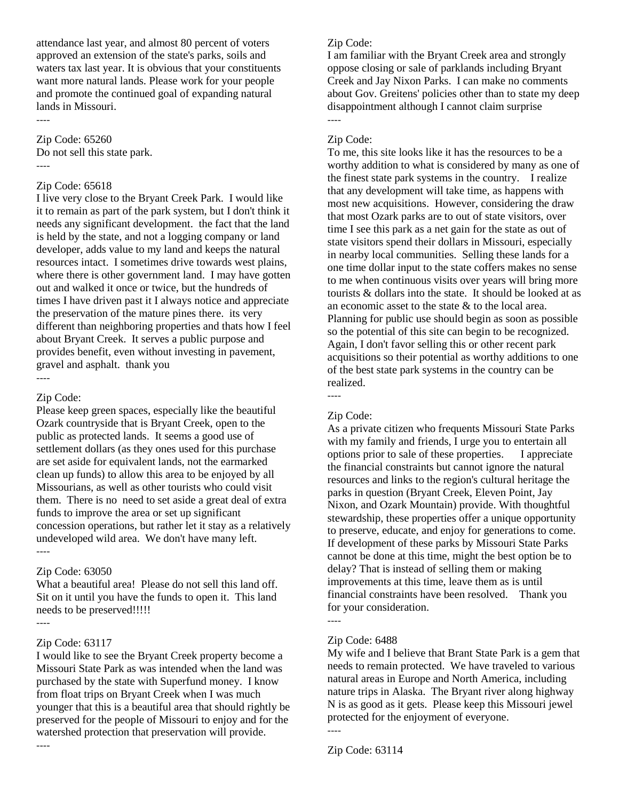attendance last year, and almost 80 percent of voters approved an extension of the state's parks, soils and waters tax last year. It is obvious that your constituents want more natural lands. Please work for your people and promote the continued goal of expanding natural lands in Missouri.

Zip Code: 65260 Do not sell this state park. ----

#### Zip Code: 65618

I live very close to the Bryant Creek Park. I would like it to remain as part of the park system, but I don't think it needs any significant development. the fact that the land is held by the state, and not a logging company or land developer, adds value to my land and keeps the natural resources intact. I sometimes drive towards west plains, where there is other government land. I may have gotten out and walked it once or twice, but the hundreds of times I have driven past it I always notice and appreciate the preservation of the mature pines there. its very different than neighboring properties and thats how I feel about Bryant Creek. It serves a public purpose and provides benefit, even without investing in pavement, gravel and asphalt. thank you ----

### Zip Code:

Please keep green spaces, especially like the beautiful Ozark countryside that is Bryant Creek, open to the public as protected lands. It seems a good use of settlement dollars (as they ones used for this purchase are set aside for equivalent lands, not the earmarked clean up funds) to allow this area to be enjoyed by all Missourians, as well as other tourists who could visit them. There is no need to set aside a great deal of extra funds to improve the area or set up significant concession operations, but rather let it stay as a relatively undeveloped wild area. We don't have many left.

----

### Zip Code: 63050

What a beautiful area! Please do not sell this land off. Sit on it until you have the funds to open it. This land needs to be preserved!!!!!

----

### Zip Code: 63117

I would like to see the Bryant Creek property become a Missouri State Park as was intended when the land was purchased by the state with Superfund money. I know from float trips on Bryant Creek when I was much younger that this is a beautiful area that should rightly be preserved for the people of Missouri to enjoy and for the watershed protection that preservation will provide. ----

### Zip Code:

I am familiar with the Bryant Creek area and strongly oppose closing or sale of parklands including Bryant Creek and Jay Nixon Parks. I can make no comments about Gov. Greitens' policies other than to state my deep disappointment although I cannot claim surprise ----

### Zip Code:

To me, this site looks like it has the resources to be a worthy addition to what is considered by many as one of the finest state park systems in the country. I realize that any development will take time, as happens with most new acquisitions. However, considering the draw that most Ozark parks are to out of state visitors, over time I see this park as a net gain for the state as out of state visitors spend their dollars in Missouri, especially in nearby local communities. Selling these lands for a one time dollar input to the state coffers makes no sense to me when continuous visits over years will bring more tourists & dollars into the state. It should be looked at as an economic asset to the state & to the local area. Planning for public use should begin as soon as possible so the potential of this site can begin to be recognized. Again, I don't favor selling this or other recent park acquisitions so their potential as worthy additions to one of the best state park systems in the country can be realized.

### Zip Code:

----

As a private citizen who frequents Missouri State Parks with my family and friends, I urge you to entertain all options prior to sale of these properties. I appreciate the financial constraints but cannot ignore the natural resources and links to the region's cultural heritage the parks in question (Bryant Creek, Eleven Point, Jay Nixon, and Ozark Mountain) provide. With thoughtful stewardship, these properties offer a unique opportunity to preserve, educate, and enjoy for generations to come. If development of these parks by Missouri State Parks cannot be done at this time, might the best option be to delay? That is instead of selling them or making improvements at this time, leave them as is until financial constraints have been resolved. Thank you for your consideration.

### ----

### Zip Code: 6488

My wife and I believe that Brant State Park is a gem that needs to remain protected. We have traveled to various natural areas in Europe and North America, including nature trips in Alaska. The Bryant river along highway N is as good as it gets. Please keep this Missouri jewel protected for the enjoyment of everyone. ----

Zip Code: 63114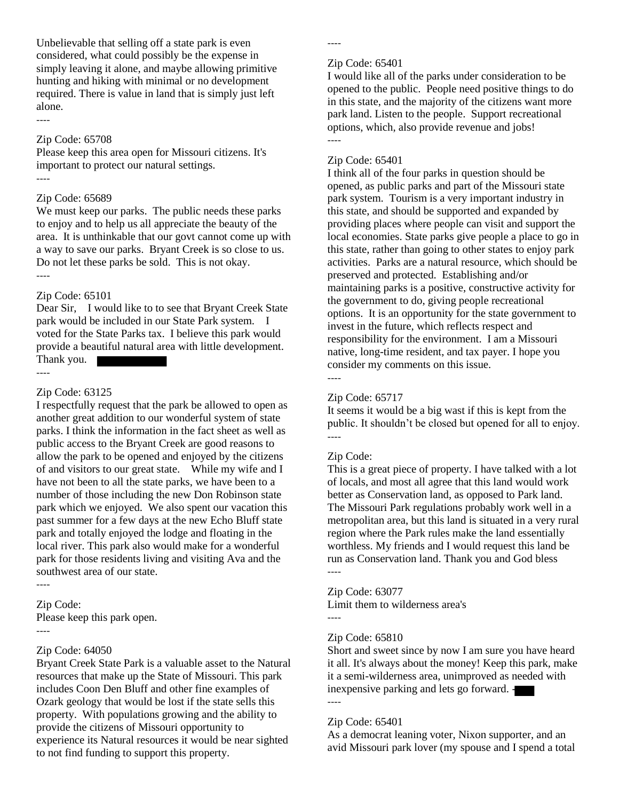Unbelievable that selling off a state park is even considered, what could possibly be the expense in simply leaving it alone, and maybe allowing primitive hunting and hiking with minimal or no development required. There is value in land that is simply just left alone.

----

### Zip Code: 65708

Please keep this area open for Missouri citizens. It's important to protect our natural settings. ----

#### Zip Code: 65689

We must keep our parks. The public needs these parks to enjoy and to help us all appreciate the beauty of the area. It is unthinkable that our govt cannot come up with a way to save our parks. Bryant Creek is so close to us. Do not let these parks be sold. This is not okay. ----

### Zip Code: 65101

Dear Sir, I would like to to see that Bryant Creek State park would be included in our State Park system. I voted for the State Parks tax. I believe this park would provide a beautiful natural area with little development.

Thank you.

----

#### Zip Code: 63125

I respectfully request that the park be allowed to open as another great addition to our wonderful system of state parks. I think the information in the fact sheet as well as public access to the Bryant Creek are good reasons to allow the park to be opened and enjoyed by the citizens of and visitors to our great state. While my wife and I have not been to all the state parks, we have been to a number of those including the new Don Robinson state park which we enjoyed. We also spent our vacation this past summer for a few days at the new Echo Bluff state park and totally enjoyed the lodge and floating in the local river. This park also would make for a wonderful park for those residents living and visiting Ava and the southwest area of our state.

----

----

Zip Code: Please keep this park open.

#### Zip Code: 64050

Bryant Creek State Park is a valuable asset to the Natural resources that make up the State of Missouri. This park includes Coon Den Bluff and other fine examples of Ozark geology that would be lost if the state sells this property. With populations growing and the ability to provide the citizens of Missouri opportunity to experience its Natural resources it would be near sighted to not find funding to support this property.

----

#### Zip Code: 65401

I would like all of the parks under consideration to be opened to the public. People need positive things to do in this state, and the majority of the citizens want more park land. Listen to the people. Support recreational options, which, also provide revenue and jobs! ----

#### Zip Code: 65401

I think all of the four parks in question should be opened, as public parks and part of the Missouri state park system. Tourism is a very important industry in this state, and should be supported and expanded by providing places where people can visit and support the local economies. State parks give people a place to go in this state, rather than going to other states to enjoy park activities. Parks are a natural resource, which should be preserved and protected. Establishing and/or maintaining parks is a positive, constructive activity for the government to do, giving people recreational options. It is an opportunity for the state government to invest in the future, which reflects respect and responsibility for the environment. I am a Missouri native, long-time resident, and tax payer. I hope you consider my comments on this issue. ----

#### Zip Code: 65717

It seems it would be a big wast if this is kept from the public. It shouldn't be closed but opened for all to enjoy. ----

#### Zip Code:

This is a great piece of property. I have talked with a lot of locals, and most all agree that this land would work better as Conservation land, as opposed to Park land. The Missouri Park regulations probably work well in a metropolitan area, but this land is situated in a very rural region where the Park rules make the land essentially worthless. My friends and I would request this land be run as Conservation land. Thank you and God bless ----

Zip Code: 63077 Limit them to wilderness area's

----

#### Zip Code: 65810

Short and sweet since by now I am sure you have heard it all. It's always about the money! Keep this park, make it a semi-wilderness area, unimproved as needed with inexpensive parking and lets go forward. - ----

### Zip Code: 65401

As a democrat leaning voter, Nixon supporter, and an avid Missouri park lover (my spouse and I spend a total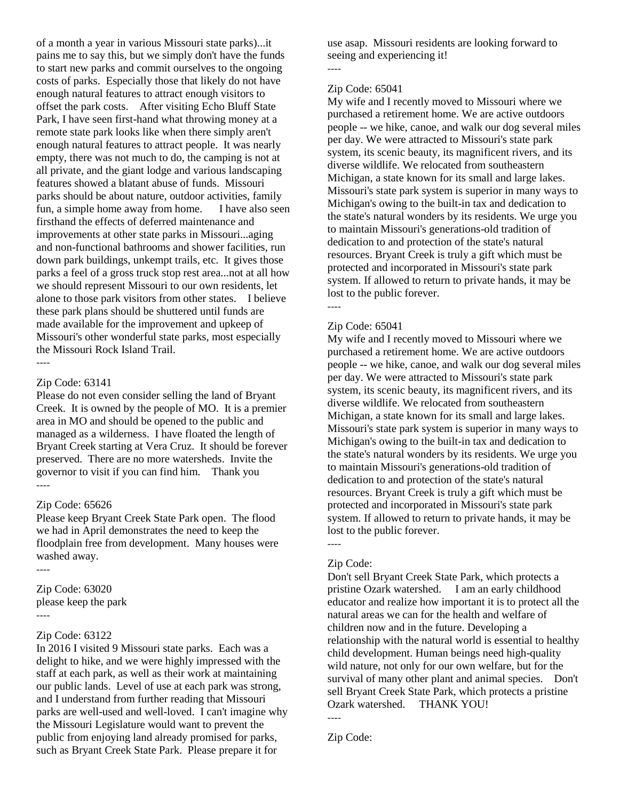of a month a year in various Missouri state parks)...it pains me to say this, but we simply don't have the funds to start new parks and commit ourselves to the ongoing costs of parks. Especially those that likely do not have enough natural features to attract enough visitors to offset the park costs. After visiting Echo Bluff State Park, I have seen first-hand what throwing money at a remote state park looks like when there simply aren't enough natural features to attract people. It was nearly empty, there was not much to do, the camping is not at all private, and the giant lodge and various landscaping features showed a blatant abuse of funds. Missouri parks should be about nature, outdoor activities, family fun, a simple home away from home. I have also seen firsthand the effects of deferred maintenance and improvements at other state parks in Missouri...aging and non-functional bathrooms and shower facilities, run down park buildings, unkempt trails, etc. It gives those parks a feel of a gross truck stop rest area...not at all how we should represent Missouri to our own residents, let alone to those park visitors from other states. I believe these park plans should be shuttered until funds are made available for the improvement and upkeep of Missouri's other wonderful state parks, most especially the Missouri Rock Island Trail. ----

#### Zip Code: 63141

Please do not even consider selling the land of Bryant Creek. It is owned by the people of MO. It is a premier area in MO and should be opened to the public and managed as a wilderness. I have floated the length of Bryant Creek starting at Vera Cruz. It should be forever preserved. There are no more watersheds. Invite the governor to visit if you can find him. Thank you ----

### Zip Code: 65626

Please keep Bryant Creek State Park open. The flood we had in April demonstrates the need to keep the floodplain free from development. Many houses were washed away.

----

Zip Code: 63020 please keep the park ----

#### Zip Code: 63122

In 2016 I visited 9 Missouri state parks. Each was a delight to hike, and we were highly impressed with the staff at each park, as well as their work at maintaining our public lands. Level of use at each park was strong, and I understand from further reading that Missouri parks are well-used and well-loved. I can't imagine why the Missouri Legislature would want to prevent the public from enjoying land already promised for parks, such as Bryant Creek State Park. Please prepare it for

use asap. Missouri residents are looking forward to seeing and experiencing it!

### Zip Code: 65041

----

My wife and I recently moved to Missouri where we purchased a retirement home. We are active outdoors people -- we hike, canoe, and walk our dog several miles per day. We were attracted to Missouri's state park system, its scenic beauty, its magnificent rivers, and its diverse wildlife. We relocated from southeastern Michigan, a state known for its small and large lakes. Missouri's state park system is superior in many ways to Michigan's owing to the built-in tax and dedication to the state's natural wonders by its residents. We urge you to maintain Missouri's generations-old tradition of dedication to and protection of the state's natural resources. Bryant Creek is truly a gift which must be protected and incorporated in Missouri's state park system. If allowed to return to private hands, it may be lost to the public forever. ----

### Zip Code: 65041

My wife and I recently moved to Missouri where we purchased a retirement home. We are active outdoors people -- we hike, canoe, and walk our dog several miles per day. We were attracted to Missouri's state park system, its scenic beauty, its magnificent rivers, and its diverse wildlife. We relocated from southeastern Michigan, a state known for its small and large lakes. Missouri's state park system is superior in many ways to Michigan's owing to the built-in tax and dedication to the state's natural wonders by its residents. We urge you to maintain Missouri's generations-old tradition of dedication to and protection of the state's natural resources. Bryant Creek is truly a gift which must be protected and incorporated in Missouri's state park system. If allowed to return to private hands, it may be lost to the public forever.

#### Zip Code:

----

Don't sell Bryant Creek State Park, which protects a pristine Ozark watershed. I am an early childhood educator and realize how important it is to protect all the natural areas we can for the health and welfare of children now and in the future. Developing a relationship with the natural world is essential to healthy child development. Human beings need high-quality wild nature, not only for our own welfare, but for the survival of many other plant and animal species. Don't sell Bryant Creek State Park, which protects a pristine Ozark watershed. THANK YOU! ----

Zip Code: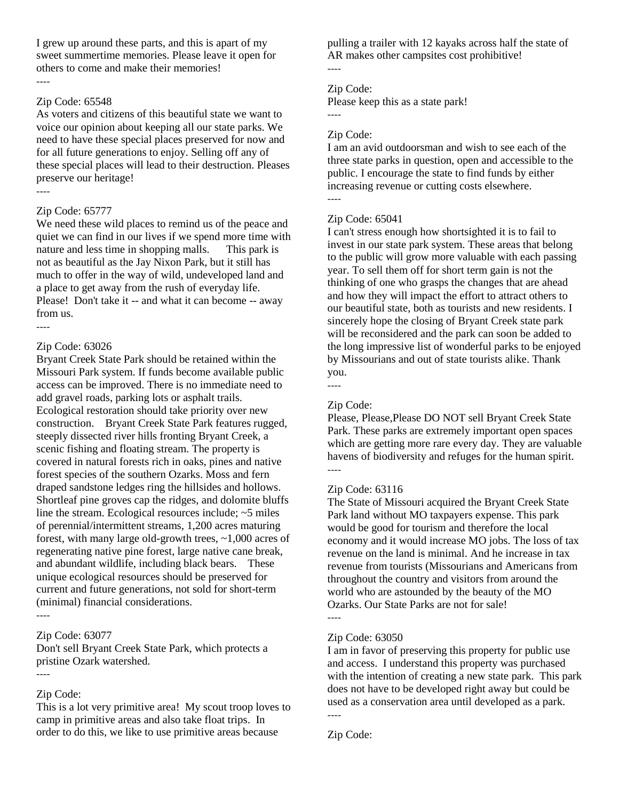I grew up around these parts, and this is apart of my sweet summertime memories. Please leave it open for others to come and make their memories! ----

#### Zip Code: 65548

As voters and citizens of this beautiful state we want to voice our opinion about keeping all our state parks. We need to have these special places preserved for now and for all future generations to enjoy. Selling off any of these special places will lead to their destruction. Pleases preserve our heritage! ----

### Zip Code: 65777

We need these wild places to remind us of the peace and quiet we can find in our lives if we spend more time with nature and less time in shopping malls. This park is not as beautiful as the Jay Nixon Park, but it still has much to offer in the way of wild, undeveloped land and a place to get away from the rush of everyday life. Please! Don't take it -- and what it can become -- away from us.

### Zip Code: 63026

----

Bryant Creek State Park should be retained within the Missouri Park system. If funds become available public access can be improved. There is no immediate need to add gravel roads, parking lots or asphalt trails. Ecological restoration should take priority over new construction. Bryant Creek State Park features rugged, steeply dissected river hills fronting Bryant Creek, a scenic fishing and floating stream. The property is covered in natural forests rich in oaks, pines and native forest species of the southern Ozarks. Moss and fern draped sandstone ledges ring the hillsides and hollows. Shortleaf pine groves cap the ridges, and dolomite bluffs line the stream. Ecological resources include; ~5 miles of perennial/intermittent streams, 1,200 acres maturing forest, with many large old-growth trees, ~1,000 acres of regenerating native pine forest, large native cane break, and abundant wildlife, including black bears. These unique ecological resources should be preserved for current and future generations, not sold for short-term (minimal) financial considerations.

### Zip Code: 63077

Don't sell Bryant Creek State Park, which protects a pristine Ozark watershed. ----

### Zip Code:

----

This is a lot very primitive area! My scout troop loves to camp in primitive areas and also take float trips. In order to do this, we like to use primitive areas because

pulling a trailer with 12 kayaks across half the state of AR makes other campsites cost prohibitive!

# Zip Code:

----

----

----

Please keep this as a state park!

### Zip Code:

I am an avid outdoorsman and wish to see each of the three state parks in question, open and accessible to the public. I encourage the state to find funds by either increasing revenue or cutting costs elsewhere.

### Zip Code: 65041

I can't stress enough how shortsighted it is to fail to invest in our state park system. These areas that belong to the public will grow more valuable with each passing year. To sell them off for short term gain is not the thinking of one who grasps the changes that are ahead and how they will impact the effort to attract others to our beautiful state, both as tourists and new residents. I sincerely hope the closing of Bryant Creek state park will be reconsidered and the park can soon be added to the long impressive list of wonderful parks to be enjoyed by Missourians and out of state tourists alike. Thank you.

----

### Zip Code:

Please, Please,Please DO NOT sell Bryant Creek State Park. These parks are extremely important open spaces which are getting more rare every day. They are valuable havens of biodiversity and refuges for the human spirit. ----

#### Zip Code: 63116

The State of Missouri acquired the Bryant Creek State Park land without MO taxpayers expense. This park would be good for tourism and therefore the local economy and it would increase MO jobs. The loss of tax revenue on the land is minimal. And he increase in tax revenue from tourists (Missourians and Americans from throughout the country and visitors from around the world who are astounded by the beauty of the MO Ozarks. Our State Parks are not for sale! ----

#### Zip Code: 63050

I am in favor of preserving this property for public use and access. I understand this property was purchased with the intention of creating a new state park. This park does not have to be developed right away but could be used as a conservation area until developed as a park. ----

Zip Code: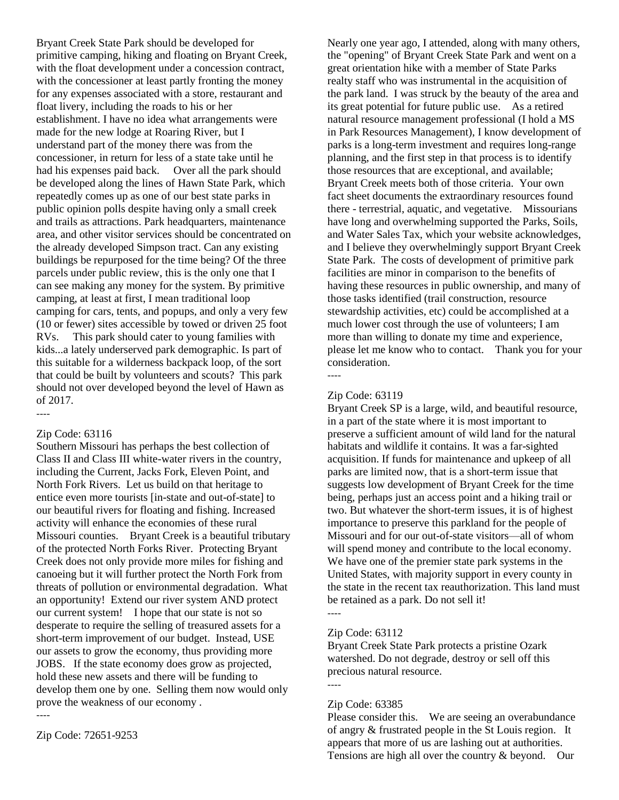Bryant Creek State Park should be developed for primitive camping, hiking and floating on Bryant Creek, with the float development under a concession contract, with the concessioner at least partly fronting the money for any expenses associated with a store, restaurant and float livery, including the roads to his or her establishment. I have no idea what arrangements were made for the new lodge at Roaring River, but I understand part of the money there was from the concessioner, in return for less of a state take until he had his expenses paid back. Over all the park should be developed along the lines of Hawn State Park, which repeatedly comes up as one of our best state parks in public opinion polls despite having only a small creek and trails as attractions. Park headquarters, maintenance area, and other visitor services should be concentrated on the already developed Simpson tract. Can any existing buildings be repurposed for the time being? Of the three parcels under public review, this is the only one that I can see making any money for the system. By primitive camping, at least at first, I mean traditional loop camping for cars, tents, and popups, and only a very few (10 or fewer) sites accessible by towed or driven 25 foot RVs. This park should cater to young families with kids...a lately underserved park demographic. Is part of this suitable for a wilderness backpack loop, of the sort that could be built by volunteers and scouts? This park should not over developed beyond the level of Hawn as of 2017.

### Zip Code: 63116

----

Southern Missouri has perhaps the best collection of Class II and Class III white-water rivers in the country, including the Current, Jacks Fork, Eleven Point, and North Fork Rivers. Let us build on that heritage to entice even more tourists [in-state and out-of-state] to our beautiful rivers for floating and fishing. Increased activity will enhance the economies of these rural Missouri counties. Bryant Creek is a beautiful tributary of the protected North Forks River. Protecting Bryant Creek does not only provide more miles for fishing and canoeing but it will further protect the North Fork from threats of pollution or environmental degradation. What an opportunity! Extend our river system AND protect our current system! I hope that our state is not so desperate to require the selling of treasured assets for a short-term improvement of our budget. Instead, USE our assets to grow the economy, thus providing more JOBS. If the state economy does grow as projected, hold these new assets and there will be funding to develop them one by one. Selling them now would only prove the weakness of our economy .

---- Zip Code: 72651-9253

Nearly one year ago, I attended, along with many others, the "opening" of Bryant Creek State Park and went on a great orientation hike with a member of State Parks realty staff who was instrumental in the acquisition of the park land. I was struck by the beauty of the area and its great potential for future public use. As a retired natural resource management professional (I hold a MS in Park Resources Management), I know development of parks is a long-term investment and requires long-range planning, and the first step in that process is to identify those resources that are exceptional, and available; Bryant Creek meets both of those criteria. Your own fact sheet documents the extraordinary resources found there - terrestrial, aquatic, and vegetative. Missourians have long and overwhelming supported the Parks, Soils, and Water Sales Tax, which your website acknowledges, and I believe they overwhelmingly support Bryant Creek State Park. The costs of development of primitive park facilities are minor in comparison to the benefits of having these resources in public ownership, and many of those tasks identified (trail construction, resource stewardship activities, etc) could be accomplished at a much lower cost through the use of volunteers; I am more than willing to donate my time and experience, please let me know who to contact. Thank you for your consideration. ----

#### Zip Code: 63119

Bryant Creek SP is a large, wild, and beautiful resource, in a part of the state where it is most important to preserve a sufficient amount of wild land for the natural habitats and wildlife it contains. It was a far-sighted acquisition. If funds for maintenance and upkeep of all parks are limited now, that is a short-term issue that suggests low development of Bryant Creek for the time being, perhaps just an access point and a hiking trail or two. But whatever the short-term issues, it is of highest importance to preserve this parkland for the people of Missouri and for our out-of-state visitors—all of whom will spend money and contribute to the local economy. We have one of the premier state park systems in the United States, with majority support in every county in the state in the recent tax reauthorization. This land must be retained as a park. Do not sell it! ----

#### Zip Code: 63112

Bryant Creek State Park protects a pristine Ozark watershed. Do not degrade, destroy or sell off this precious natural resource.

#### Zip Code: 63385

----

Please consider this. We are seeing an overabundance of angry & frustrated people in the St Louis region. It appears that more of us are lashing out at authorities. Tensions are high all over the country & beyond. Our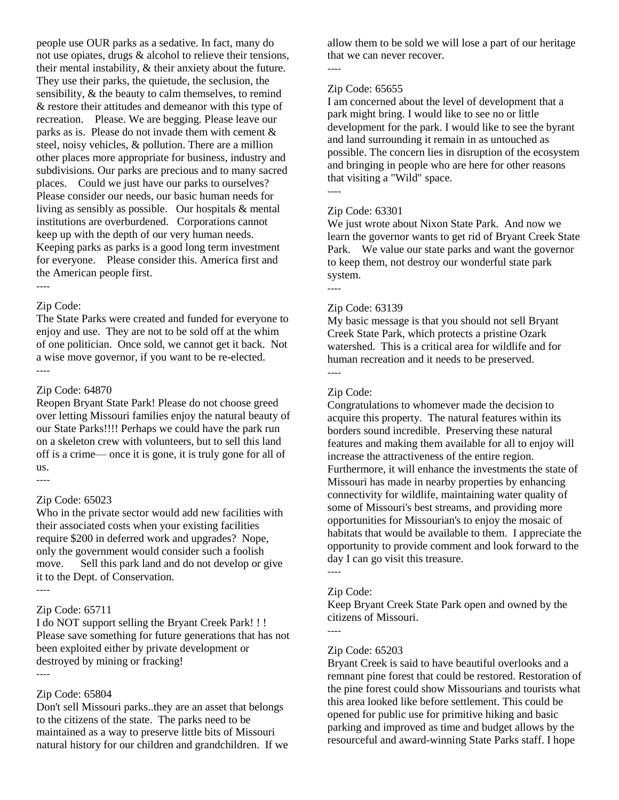people use OUR parks as a sedative. In fact, many do not use opiates, drugs & alcohol to relieve their tensions, their mental instability, & their anxiety about the future. They use their parks, the quietude, the seclusion, the sensibility, & the beauty to calm themselves, to remind & restore their attitudes and demeanor with this type of recreation. Please. We are begging. Please leave our parks as is. Please do not invade them with cement & steel, noisy vehicles, & pollution. There are a million other places more appropriate for business, industry and subdivisions. Our parks are precious and to many sacred places. Could we just have our parks to ourselves? Please consider our needs, our basic human needs for living as sensibly as possible. Our hospitals & mental institutions are overburdened. Corporations cannot keep up with the depth of our very human needs. Keeping parks as parks is a good long term investment for everyone. Please consider this. America first and the American people first.

#### ----

#### Zip Code:

The State Parks were created and funded for everyone to enjoy and use. They are not to be sold off at the whim of one politician. Once sold, we cannot get it back. Not a wise move governor, if you want to be re-elected. ----

#### Zip Code: 64870

Reopen Bryant State Park! Please do not choose greed over letting Missouri families enjoy the natural beauty of our State Parks!!!! Perhaps we could have the park run on a skeleton crew with volunteers, but to sell this land off is a crime— once it is gone, it is truly gone for all of us.

#### Zip Code: 65023

Who in the private sector would add new facilities with their associated costs when your existing facilities require \$200 in deferred work and upgrades? Nope, only the government would consider such a foolish move. Sell this park land and do not develop or give it to the Dept. of Conservation. ----

----

### Zip Code: 65711

I do NOT support selling the Bryant Creek Park! ! ! Please save something for future generations that has not been exploited either by private development or destroyed by mining or fracking!

#### ----

### Zip Code: 65804

Don't sell Missouri parks..they are an asset that belongs to the citizens of the state. The parks need to be maintained as a way to preserve little bits of Missouri natural history for our children and grandchildren. If we allow them to be sold we will lose a part of our heritage that we can never recover.

#### ----

### Zip Code: 65655

I am concerned about the level of development that a park might bring. I would like to see no or little development for the park. I would like to see the byrant and land surrounding it remain in as untouched as possible. The concern lies in disruption of the ecosystem and bringing in people who are here for other reasons that visiting a "Wild" space. ----

# Zip Code: 63301

We just wrote about Nixon State Park. And now we learn the governor wants to get rid of Bryant Creek State Park. We value our state parks and want the governor to keep them, not destroy our wonderful state park system.

----

#### Zip Code: 63139

My basic message is that you should not sell Bryant Creek State Park, which protects a pristine Ozark watershed. This is a critical area for wildlife and for human recreation and it needs to be preserved. ----

#### Zip Code:

Congratulations to whomever made the decision to acquire this property. The natural features within its borders sound incredible. Preserving these natural features and making them available for all to enjoy will increase the attractiveness of the entire region. Furthermore, it will enhance the investments the state of Missouri has made in nearby properties by enhancing connectivity for wildlife, maintaining water quality of some of Missouri's best streams, and providing more opportunities for Missourian's to enjoy the mosaic of habitats that would be available to them. I appreciate the opportunity to provide comment and look forward to the day I can go visit this treasure.

----

----

#### Zip Code:

Keep Bryant Creek State Park open and owned by the citizens of Missouri.

### Zip Code: 65203

Bryant Creek is said to have beautiful overlooks and a remnant pine forest that could be restored. Restoration of the pine forest could show Missourians and tourists what this area looked like before settlement. This could be opened for public use for primitive hiking and basic parking and improved as time and budget allows by the resourceful and award-winning State Parks staff. I hope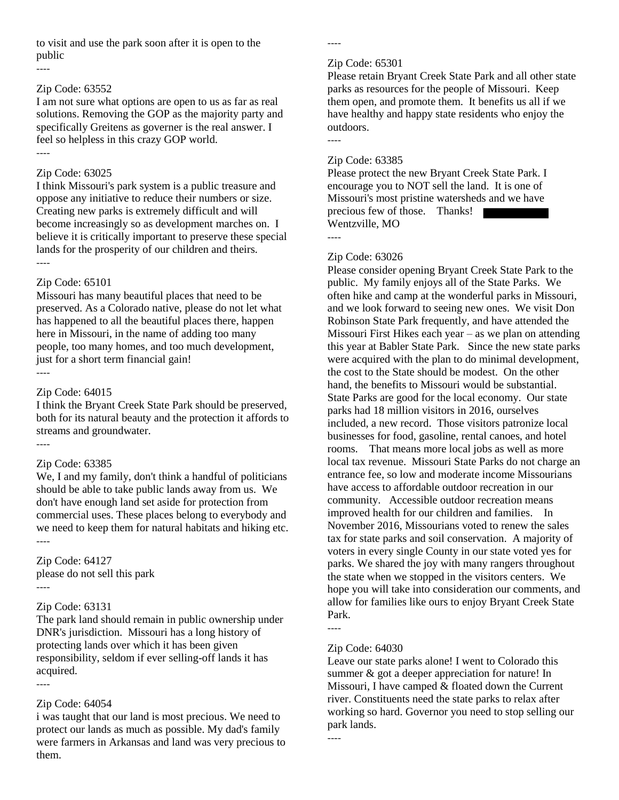to visit and use the park soon after it is open to the public

#### ----

#### Zip Code: 63552

I am not sure what options are open to us as far as real solutions. Removing the GOP as the majority party and specifically Greitens as governer is the real answer. I feel so helpless in this crazy GOP world. ----

## Zip Code: 63025

I think Missouri's park system is a public treasure and oppose any initiative to reduce their numbers or size. Creating new parks is extremely difficult and will become increasingly so as development marches on. I believe it is critically important to preserve these special lands for the prosperity of our children and theirs. ----

### Zip Code: 65101

Missouri has many beautiful places that need to be preserved. As a Colorado native, please do not let what has happened to all the beautiful places there, happen here in Missouri, in the name of adding too many people, too many homes, and too much development, just for a short term financial gain! ----

### Zip Code: 64015

I think the Bryant Creek State Park should be preserved, both for its natural beauty and the protection it affords to streams and groundwater.

#### Zip Code: 63385

----

We, I and my family, don't think a handful of politicians should be able to take public lands away from us. We don't have enough land set aside for protection from commercial uses. These places belong to everybody and we need to keep them for natural habitats and hiking etc. ----

Zip Code: 64127 please do not sell this park ----

### Zip Code: 63131

The park land should remain in public ownership under DNR's jurisdiction. Missouri has a long history of protecting lands over which it has been given responsibility, seldom if ever selling-off lands it has acquired.

----

### Zip Code: 64054

i was taught that our land is most precious. We need to protect our lands as much as possible. My dad's family were farmers in Arkansas and land was very precious to them.

----

#### Zip Code: 65301

Please retain Bryant Creek State Park and all other state parks as resources for the people of Missouri. Keep them open, and promote them. It benefits us all if we have healthy and happy state residents who enjoy the outdoors.

### Zip Code: 63385

Please protect the new Bryant Creek State Park. I encourage you to NOT sell the land. It is one of Missouri's most pristine watersheds and we have precious few of those. Thanks! Wentzville, MO

----

----

### Zip Code: 63026

Please consider opening Bryant Creek State Park to the public. My family enjoys all of the State Parks. We often hike and camp at the wonderful parks in Missouri, and we look forward to seeing new ones. We visit Don Robinson State Park frequently, and have attended the Missouri First Hikes each year – as we plan on attending this year at Babler State Park. Since the new state parks were acquired with the plan to do minimal development, the cost to the State should be modest. On the other hand, the benefits to Missouri would be substantial. State Parks are good for the local economy. Our state parks had 18 million visitors in 2016, ourselves included, a new record. Those visitors patronize local businesses for food, gasoline, rental canoes, and hotel rooms. That means more local jobs as well as more local tax revenue. Missouri State Parks do not charge an entrance fee, so low and moderate income Missourians have access to affordable outdoor recreation in our community. Accessible outdoor recreation means improved health for our children and families. In November 2016, Missourians voted to renew the sales tax for state parks and soil conservation. A majority of voters in every single County in our state voted yes for parks. We shared the joy with many rangers throughout the state when we stopped in the visitors centers. We hope you will take into consideration our comments, and allow for families like ours to enjoy Bryant Creek State Park. ----

#### Zip Code: 64030

Leave our state parks alone! I went to Colorado this summer & got a deeper appreciation for nature! In Missouri, I have camped & floated down the Current river. Constituents need the state parks to relax after working so hard. Governor you need to stop selling our park lands.

<sup>----</sup>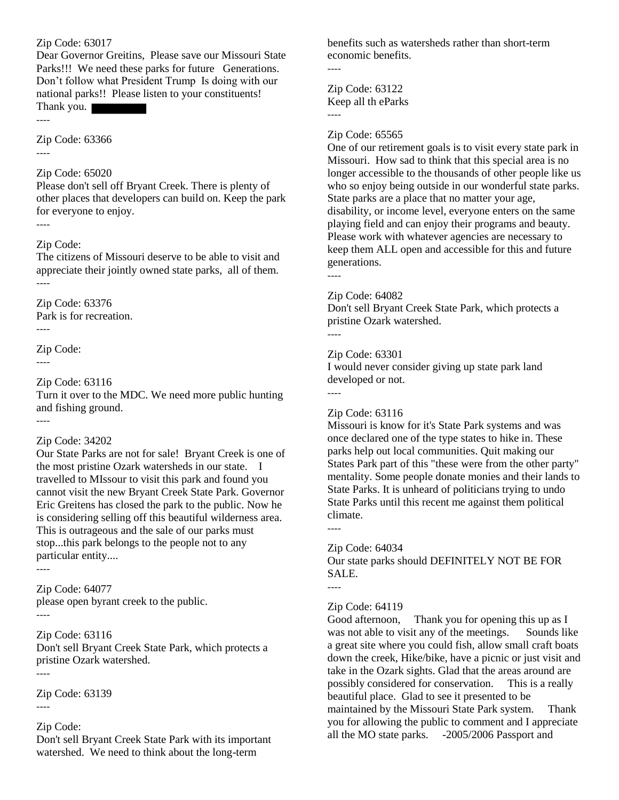Zip Code: 63017

Dear Governor Greitins, Please save our Missouri State Parks!!! We need these parks for future Generations. Don't follow what President Trump Is doing with our national parks!! Please listen to your constituents!

Thank you. ----

Zip Code: 63366

----

### Zip Code: 65020

Please don't sell off Bryant Creek. There is plenty of other places that developers can build on. Keep the park for everyone to enjoy. ----

### Zip Code:

The citizens of Missouri deserve to be able to visit and appreciate their jointly owned state parks, all of them. ----

Zip Code: 63376 Park is for recreation.

----

Zip Code:

----

### Zip Code: 63116

Turn it over to the MDC. We need more public hunting and fishing ground.

----

#### Zip Code: 34202

Our State Parks are not for sale! Bryant Creek is one of the most pristine Ozark watersheds in our state. I travelled to MIssour to visit this park and found you cannot visit the new Bryant Creek State Park. Governor Eric Greitens has closed the park to the public. Now he is considering selling off this beautiful wilderness area. This is outrageous and the sale of our parks must stop...this park belongs to the people not to any particular entity....

----

Zip Code: 64077 please open byrant creek to the public. ----

### Zip Code: 63116

Don't sell Bryant Creek State Park, which protects a pristine Ozark watershed. ----

Zip Code: 63139

#### ----

### Zip Code:

Don't sell Bryant Creek State Park with its important watershed. We need to think about the long-term

benefits such as watersheds rather than short-term economic benefits.

----

Zip Code: 63122 Keep all th eParks ----

#### Zip Code: 65565

One of our retirement goals is to visit every state park in Missouri. How sad to think that this special area is no longer accessible to the thousands of other people like us who so enjoy being outside in our wonderful state parks. State parks are a place that no matter your age, disability, or income level, everyone enters on the same playing field and can enjoy their programs and beauty. Please work with whatever agencies are necessary to keep them ALL open and accessible for this and future generations. ----

# Zip Code: 64082

Don't sell Bryant Creek State Park, which protects a pristine Ozark watershed.

----

----

#### Zip Code: 63301

I would never consider giving up state park land developed or not.

#### Zip Code: 63116

Missouri is know for it's State Park systems and was once declared one of the type states to hike in. These parks help out local communities. Quit making our States Park part of this "these were from the other party" mentality. Some people donate monies and their lands to State Parks. It is unheard of politicians trying to undo State Parks until this recent me against them political climate.

#### Zip Code: 64034

Our state parks should DEFINITELY NOT BE FOR SALE.

----

----

#### Zip Code: 64119

Good afternoon, Thank you for opening this up as I was not able to visit any of the meetings. Sounds like a great site where you could fish, allow small craft boats down the creek, Hike/bike, have a picnic or just visit and take in the Ozark sights. Glad that the areas around are possibly considered for conservation. This is a really beautiful place. Glad to see it presented to be maintained by the Missouri State Park system. Thank you for allowing the public to comment and I appreciate all the MO state parks. -2005/2006 Passport and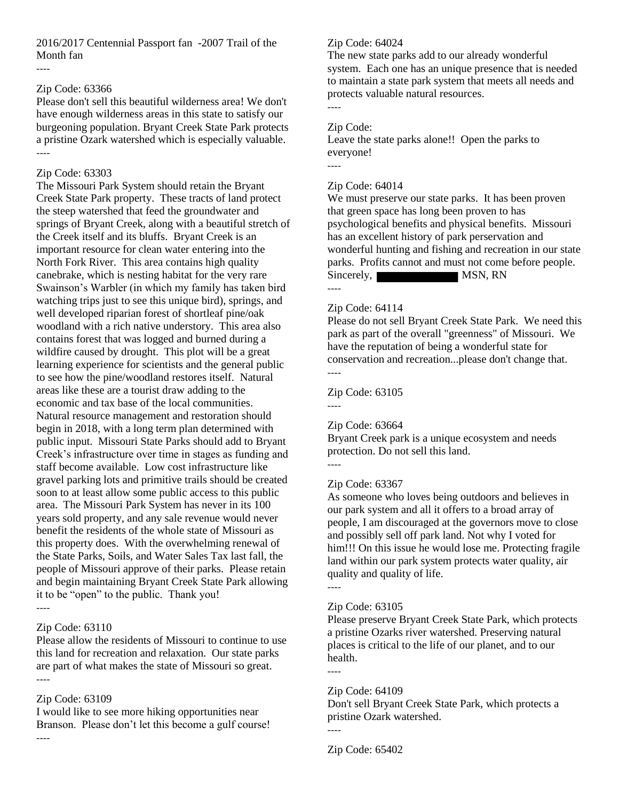2016/2017 Centennial Passport fan -2007 Trail of the Month fan

#### ----

#### Zip Code: 63366

Please don't sell this beautiful wilderness area! We don't have enough wilderness areas in this state to satisfy our burgeoning population. Bryant Creek State Park protects a pristine Ozark watershed which is especially valuable. ----

#### Zip Code: 63303

The Missouri Park System should retain the Bryant Creek State Park property. These tracts of land protect the steep watershed that feed the groundwater and springs of Bryant Creek, along with a beautiful stretch of the Creek itself and its bluffs. Bryant Creek is an important resource for clean water entering into the North Fork River. This area contains high quality canebrake, which is nesting habitat for the very rare Swainson's Warbler (in which my family has taken bird watching trips just to see this unique bird), springs, and well developed riparian forest of shortleaf pine/oak woodland with a rich native understory. This area also contains forest that was logged and burned during a wildfire caused by drought. This plot will be a great learning experience for scientists and the general public to see how the pine/woodland restores itself. Natural areas like these are a tourist draw adding to the economic and tax base of the local communities. Natural resource management and restoration should begin in 2018, with a long term plan determined with public input. Missouri State Parks should add to Bryant Creek's infrastructure over time in stages as funding and staff become available. Low cost infrastructure like gravel parking lots and primitive trails should be created soon to at least allow some public access to this public area. The Missouri Park System has never in its 100 years sold property, and any sale revenue would never benefit the residents of the whole state of Missouri as this property does. With the overwhelming renewal of the State Parks, Soils, and Water Sales Tax last fall, the people of Missouri approve of their parks. Please retain and begin maintaining Bryant Creek State Park allowing it to be "open" to the public. Thank you! ----

# Zip Code: 63110

Please allow the residents of Missouri to continue to use this land for recreation and relaxation. Our state parks are part of what makes the state of Missouri so great. ----

# Zip Code: 63109

I would like to see more hiking opportunities near Branson. Please don't let this become a gulf course! ----

#### Zip Code: 64024

The new state parks add to our already wonderful system. Each one has an unique presence that is needed to maintain a state park system that meets all needs and protects valuable natural resources. ----

# Zip Code:

Leave the state parks alone!! Open the parks to everyone!

----

#### Zip Code: 64014

We must preserve our state parks. It has been proven that green space has long been proven to has psychological benefits and physical benefits. Missouri has an excellent history of park perservation and wonderful hunting and fishing and recreation in our state parks. Profits cannot and must not come before people. Sincerely, MSN, RN

----

# Zip Code: 64114

Please do not sell Bryant Creek State Park. We need this park as part of the overall "greenness" of Missouri. We have the reputation of being a wonderful state for conservation and recreation...please don't change that. ----

Zip Code: 63105

----

#### Zip Code: 63664

Bryant Creek park is a unique ecosystem and needs protection. Do not sell this land.

# Zip Code: 63367

As someone who loves being outdoors and believes in our park system and all it offers to a broad array of people, I am discouraged at the governors move to close and possibly sell off park land. Not why I voted for him!!! On this issue he would lose me. Protecting fragile land within our park system protects water quality, air quality and quality of life.

----

# Zip Code: 63105

Please preserve Bryant Creek State Park, which protects a pristine Ozarks river watershed. Preserving natural places is critical to the life of our planet, and to our health.

#### Zip Code: 64109

Don't sell Bryant Creek State Park, which protects a pristine Ozark watershed.

----

Zip Code: 65402

<sup>----</sup>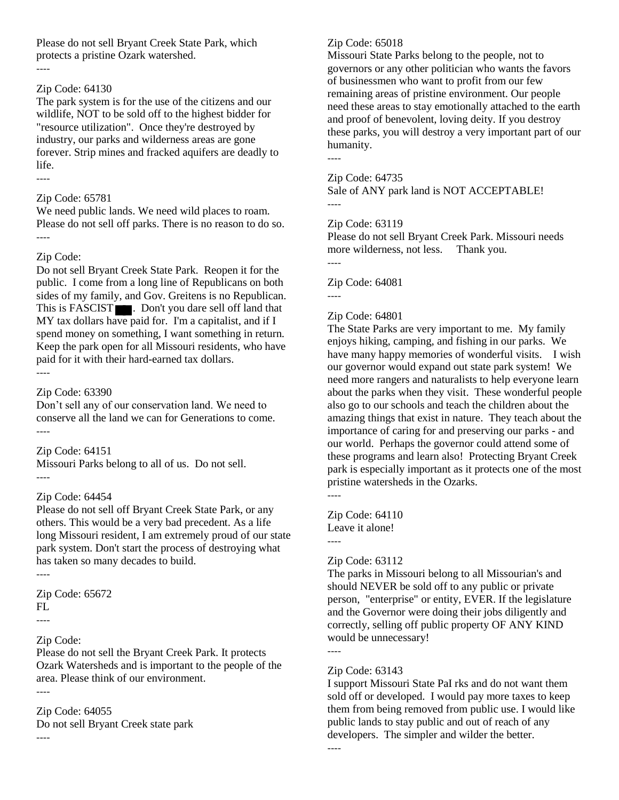Please do not sell Bryant Creek State Park, which protects a pristine Ozark watershed.

#### ----

# Zip Code: 64130

The park system is for the use of the citizens and our wildlife, NOT to be sold off to the highest bidder for "resource utilization". Once they're destroyed by industry, our parks and wilderness areas are gone forever. Strip mines and fracked aquifers are deadly to life. ----

# Zip Code: 65781

We need public lands. We need wild places to roam. Please do not sell off parks. There is no reason to do so. ----

# Zip Code:

Do not sell Bryant Creek State Park. Reopen it for the public. I come from a long line of Republicans on both sides of my family, and Gov. Greitens is no Republican. This is FASCIST . Don't you dare sell off land that MY tax dollars have paid for. I'm a capitalist, and if I spend money on something, I want something in return. Keep the park open for all Missouri residents, who have paid for it with their hard-earned tax dollars. ----

# Zip Code: 63390

Don't sell any of our conservation land. We need to conserve all the land we can for Generations to come. ----

# Zip Code: 64151

Missouri Parks belong to all of us. Do not sell. ----

# Zip Code: 64454

Please do not sell off Bryant Creek State Park, or any others. This would be a very bad precedent. As a life long Missouri resident, I am extremely proud of our state park system. Don't start the process of destroying what has taken so many decades to build.

----

Zip Code: 65672 FL ----

# Zip Code:

Please do not sell the Bryant Creek Park. It protects Ozark Watersheds and is important to the people of the area. Please think of our environment.

----

# Zip Code: 64055

Do not sell Bryant Creek state park ----

# Zip Code: 65018

Missouri State Parks belong to the people, not to governors or any other politician who wants the favors of businessmen who want to profit from our few remaining areas of pristine environment. Our people need these areas to stay emotionally attached to the earth and proof of benevolent, loving deity. If you destroy these parks, you will destroy a very important part of our humanity. ----

Zip Code: 64735

Sale of ANY park land is NOT ACCEPTABLE! ----

# Zip Code: 63119

Please do not sell Bryant Creek Park. Missouri needs more wilderness, not less. Thank you.

----

Zip Code: 64081 ----

# Zip Code: 64801

The State Parks are very important to me. My family enjoys hiking, camping, and fishing in our parks. We have many happy memories of wonderful visits. I wish our governor would expand out state park system! We need more rangers and naturalists to help everyone learn about the parks when they visit. These wonderful people also go to our schools and teach the children about the amazing things that exist in nature. They teach about the importance of caring for and preserving our parks - and our world. Perhaps the governor could attend some of these programs and learn also! Protecting Bryant Creek park is especially important as it protects one of the most pristine watersheds in the Ozarks.

Zip Code: 64110 Leave it alone! ----

# Zip Code: 63112

The parks in Missouri belong to all Missourian's and should NEVER be sold off to any public or private person, "enterprise" or entity, EVER. If the legislature and the Governor were doing their jobs diligently and correctly, selling off public property OF ANY KIND would be unnecessary!

----

----

----

# Zip Code: 63143

I support Missouri State PaI rks and do not want them sold off or developed. I would pay more taxes to keep them from being removed from public use. I would like public lands to stay public and out of reach of any developers. The simpler and wilder the better.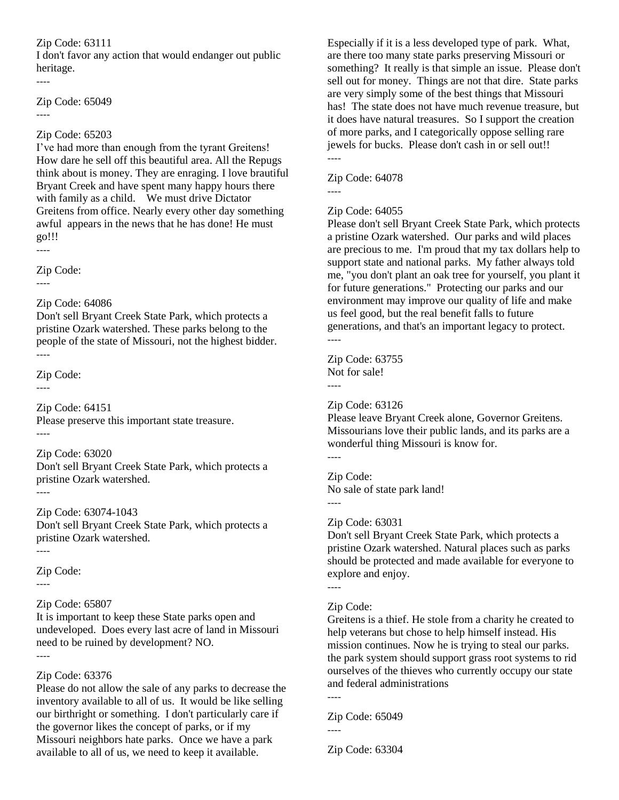I don't favor any action that would endanger out public heritage.

Zip Code: 65049 ----

# Zip Code: 65203

I've had more than enough from the tyrant Greitens! How dare he sell off this beautiful area. All the Repugs think about is money. They are enraging. I love brautiful Bryant Creek and have spent many happy hours there with family as a child. We must drive Dictator Greitens from office. Nearly every other day something awful appears in the news that he has done! He must go!!!

----

----

Zip Code:

----

# Zip Code: 64086

Don't sell Bryant Creek State Park, which protects a pristine Ozark watershed. These parks belong to the people of the state of Missouri, not the highest bidder. ----

Zip Code:

----

Zip Code: 64151 Please preserve this important state treasure. ----

Zip Code: 63020 Don't sell Bryant Creek State Park, which protects a pristine Ozark watershed.

----

Zip Code: 63074-1043 Don't sell Bryant Creek State Park, which protects a pristine Ozark watershed.

----

Zip Code:

----

# Zip Code: 65807

It is important to keep these State parks open and undeveloped. Does every last acre of land in Missouri need to be ruined by development? NO.

----

# Zip Code: 63376

Please do not allow the sale of any parks to decrease the inventory available to all of us. It would be like selling our birthright or something. I don't particularly care if the governor likes the concept of parks, or if my Missouri neighbors hate parks. Once we have a park available to all of us, we need to keep it available.

Especially if it is a less developed type of park. What, are there too many state parks preserving Missouri or something? It really is that simple an issue. Please don't sell out for money. Things are not that dire. State parks are very simply some of the best things that Missouri has! The state does not have much revenue treasure, but it does have natural treasures. So I support the creation of more parks, and I categorically oppose selling rare jewels for bucks. Please don't cash in or sell out!! ----

Zip Code: 64078

----

# Zip Code: 64055

Please don't sell Bryant Creek State Park, which protects a pristine Ozark watershed. Our parks and wild places are precious to me. I'm proud that my tax dollars help to support state and national parks. My father always told me, "you don't plant an oak tree for yourself, you plant it for future generations." Protecting our parks and our environment may improve our quality of life and make us feel good, but the real benefit falls to future generations, and that's an important legacy to protect. ----

Zip Code: 63755 Not for sale! ----

Zip Code: 63126

Please leave Bryant Creek alone, Governor Greitens. Missourians love their public lands, and its parks are a wonderful thing Missouri is know for. ----

Zip Code:

No sale of state park land! ----

# Zip Code: 63031

Don't sell Bryant Creek State Park, which protects a pristine Ozark watershed. Natural places such as parks should be protected and made available for everyone to explore and enjoy.

----

# Zip Code:

Greitens is a thief. He stole from a charity he created to help veterans but chose to help himself instead. His mission continues. Now he is trying to steal our parks. the park system should support grass root systems to rid ourselves of the thieves who currently occupy our state and federal administrations

----

Zip Code: 65049 ----

Zip Code: 63304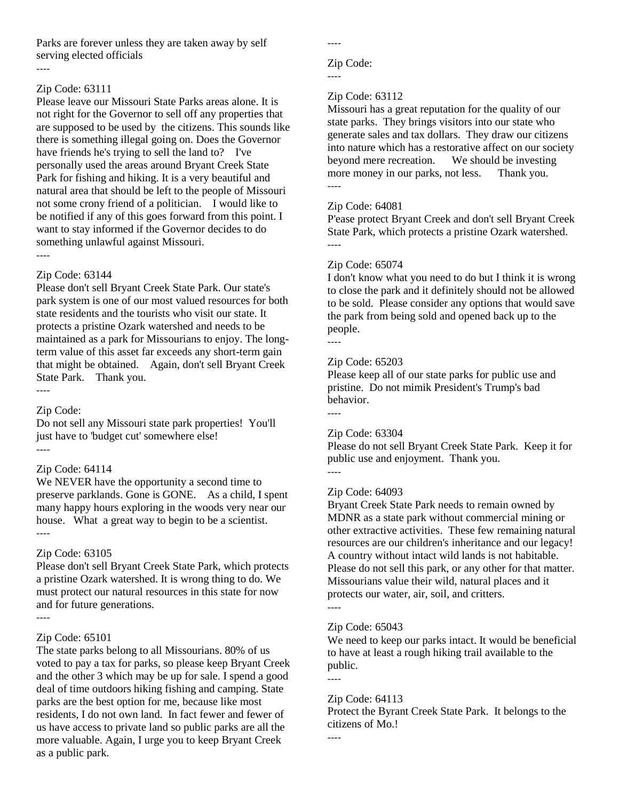Parks are forever unless they are taken away by self serving elected officials

#### ----

#### Zip Code: 63111

Please leave our Missouri State Parks areas alone. It is not right for the Governor to sell off any properties that are supposed to be used by the citizens. This sounds like there is something illegal going on. Does the Governor have friends he's trying to sell the land to? I've personally used the areas around Bryant Creek State Park for fishing and hiking. It is a very beautiful and natural area that should be left to the people of Missouri not some crony friend of a politician. I would like to be notified if any of this goes forward from this point. I want to stay informed if the Governor decides to do something unlawful against Missouri.

----

#### Zip Code: 63144

Please don't sell Bryant Creek State Park. Our state's park system is one of our most valued resources for both state residents and the tourists who visit our state. It protects a pristine Ozark watershed and needs to be maintained as a park for Missourians to enjoy. The longterm value of this asset far exceeds any short-term gain that might be obtained. Again, don't sell Bryant Creek State Park. Thank you. ----

#### Zip Code:

Do not sell any Missouri state park properties! You'll just have to 'budget cut' somewhere else! ----

# Zip Code: 64114

We NEVER have the opportunity a second time to preserve parklands. Gone is GONE. As a child, I spent many happy hours exploring in the woods very near our house. What a great way to begin to be a scientist. ----

# Zip Code: 63105

Please don't sell Bryant Creek State Park, which protects a pristine Ozark watershed. It is wrong thing to do. We must protect our natural resources in this state for now and for future generations.

# Zip Code: 65101

The state parks belong to all Missourians. 80% of us voted to pay a tax for parks, so please keep Bryant Creek and the other 3 which may be up for sale. I spend a good deal of time outdoors hiking fishing and camping. State parks are the best option for me, because like most residents, I do not own land. In fact fewer and fewer of us have access to private land so public parks are all the more valuable. Again, I urge you to keep Bryant Creek as a public park.

----

----

#### Zip Code:

# Zip Code: 63112

Missouri has a great reputation for the quality of our state parks. They brings visitors into our state who generate sales and tax dollars. They draw our citizens into nature which has a restorative affect on our society beyond mere recreation. We should be investing more money in our parks, not less. Thank you. ----

# Zip Code: 64081

P'ease protect Bryant Creek and don't sell Bryant Creek State Park, which protects a pristine Ozark watershed. ----

#### Zip Code: 65074

I don't know what you need to do but I think it is wrong to close the park and it definitely should not be allowed to be sold. Please consider any options that would save the park from being sold and opened back up to the people.

----

#### Zip Code: 65203

Please keep all of our state parks for public use and pristine. Do not mimik President's Trump's bad behavior.

----

#### Zip Code: 63304

Please do not sell Bryant Creek State Park. Keep it for public use and enjoyment. Thank you.

# ----

#### Zip Code: 64093

Bryant Creek State Park needs to remain owned by MDNR as a state park without commercial mining or other extractive activities. These few remaining natural resources are our children's inheritance and our legacy! A country without intact wild lands is not habitable. Please do not sell this park, or any other for that matter. Missourians value their wild, natural places and it protects our water, air, soil, and critters. ----

#### Zip Code: 65043

We need to keep our parks intact. It would be beneficial to have at least a rough hiking trail available to the public.

# Zip Code: 64113

Protect the Byrant Creek State Park. It belongs to the citizens of Mo.!

----

----

<sup>----</sup>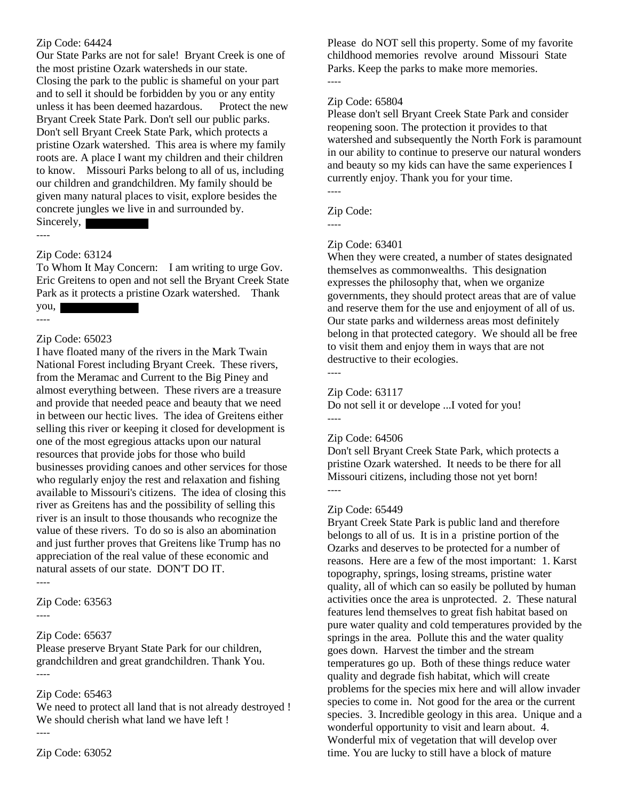Our State Parks are not for sale! Bryant Creek is one of the most pristine Ozark watersheds in our state. Closing the park to the public is shameful on your part and to sell it should be forbidden by you or any entity unless it has been deemed hazardous. Protect the new Bryant Creek State Park. Don't sell our public parks. Don't sell Bryant Creek State Park, which protects a pristine Ozark watershed. This area is where my family roots are. A place I want my children and their children to know. Missouri Parks belong to all of us, including our children and grandchildren. My family should be given many natural places to visit, explore besides the concrete jungles we live in and surrounded by. Sincerely,

----

#### Zip Code: 63124

To Whom It May Concern: I am writing to urge Gov. Eric Greitens to open and not sell the Bryant Creek State Park as it protects a pristine Ozark watershed. Thank

you, ----

#### Zip Code: 65023

I have floated many of the rivers in the Mark Twain National Forest including Bryant Creek. These rivers, from the Meramac and Current to the Big Piney and almost everything between. These rivers are a treasure and provide that needed peace and beauty that we need in between our hectic lives. The idea of Greitens either selling this river or keeping it closed for development is one of the most egregious attacks upon our natural resources that provide jobs for those who build businesses providing canoes and other services for those who regularly enjoy the rest and relaxation and fishing available to Missouri's citizens. The idea of closing this river as Greitens has and the possibility of selling this river is an insult to those thousands who recognize the value of these rivers. To do so is also an abomination and just further proves that Greitens like Trump has no appreciation of the real value of these economic and natural assets of our state. DON'T DO IT. ----

Zip Code: 63563

----

# Zip Code: 65637

Please preserve Bryant State Park for our children, grandchildren and great grandchildren. Thank You. ----

# Zip Code: 65463

We need to protect all land that is not already destroyed ! We should cherish what land we have left ! ----

Please do NOT sell this property. Some of my favorite childhood memories revolve around Missouri State Parks. Keep the parks to make more memories. ----

# Zip Code: 65804

Please don't sell Bryant Creek State Park and consider reopening soon. The protection it provides to that watershed and subsequently the North Fork is paramount in our ability to continue to preserve our natural wonders and beauty so my kids can have the same experiences I currently enjoy. Thank you for your time. ----

Zip Code:

----

#### Zip Code: 63401

When they were created, a number of states designated themselves as commonwealths. This designation expresses the philosophy that, when we organize governments, they should protect areas that are of value and reserve them for the use and enjoyment of all of us. Our state parks and wilderness areas most definitely belong in that protected category. We should all be free to visit them and enjoy them in ways that are not destructive to their ecologies.

----

#### Zip Code: 63117

Do not sell it or develope ...I voted for you! ----

#### Zip Code: 64506

Don't sell Bryant Creek State Park, which protects a pristine Ozark watershed. It needs to be there for all Missouri citizens, including those not yet born! ----

#### Zip Code: 65449

Bryant Creek State Park is public land and therefore belongs to all of us. It is in a pristine portion of the Ozarks and deserves to be protected for a number of reasons. Here are a few of the most important: 1. Karst topography, springs, losing streams, pristine water quality, all of which can so easily be polluted by human activities once the area is unprotected. 2. These natural features lend themselves to great fish habitat based on pure water quality and cold temperatures provided by the springs in the area. Pollute this and the water quality goes down. Harvest the timber and the stream temperatures go up. Both of these things reduce water quality and degrade fish habitat, which will create problems for the species mix here and will allow invader species to come in. Not good for the area or the current species. 3. Incredible geology in this area. Unique and a wonderful opportunity to visit and learn about. 4. Wonderful mix of vegetation that will develop over time. You are lucky to still have a block of mature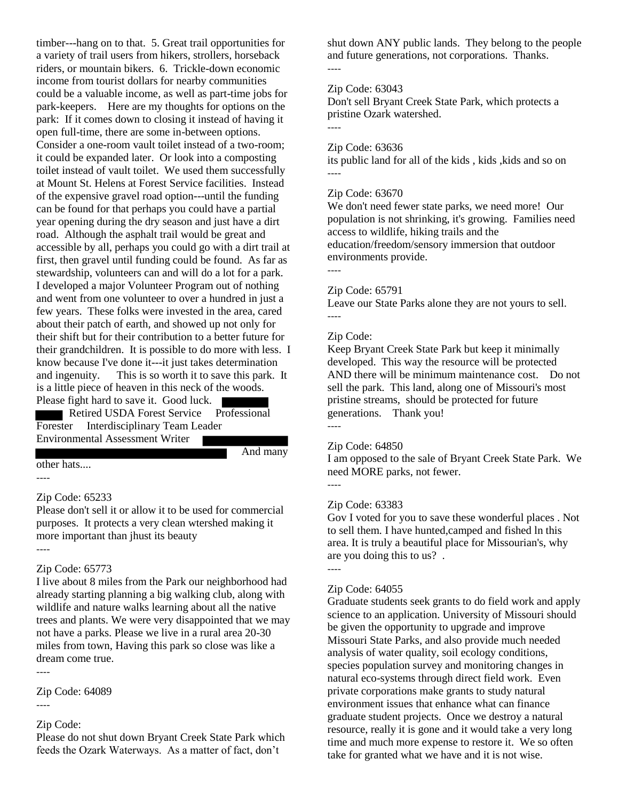timber---hang on to that. 5. Great trail opportunities for a variety of trail users from hikers, strollers, horseback riders, or mountain bikers. 6. Trickle-down economic income from tourist dollars for nearby communities could be a valuable income, as well as part-time jobs for park-keepers. Here are my thoughts for options on the park: If it comes down to closing it instead of having it open full-time, there are some in-between options. Consider a one-room vault toilet instead of a two-room; it could be expanded later. Or look into a composting toilet instead of vault toilet. We used them successfully at Mount St. Helens at Forest Service facilities. Instead of the expensive gravel road option---until the funding can be found for that perhaps you could have a partial year opening during the dry season and just have a dirt road. Although the asphalt trail would be great and accessible by all, perhaps you could go with a dirt trail at first, then gravel until funding could be found. As far as stewardship, volunteers can and will do a lot for a park. I developed a major Volunteer Program out of nothing and went from one volunteer to over a hundred in just a few years. These folks were invested in the area, cared about their patch of earth, and showed up not only for their shift but for their contribution to a better future for their grandchildren. It is possible to do more with less. I know because I've done it---it just takes determination and ingenuity. This is so worth it to save this park. It is a little piece of heaven in this neck of the woods. Please fight hard to save it. Good luck.

Retired USDA Forest Service Professional Forester Interdisciplinary Team Leader Environmental Assessment Writer

And many

#### other hats....

----

#### Zip Code: 65233

Please don't sell it or allow it to be used for commercial purposes. It protects a very clean wtershed making it more important than jhust its beauty

#### ----

# Zip Code: 65773

I live about 8 miles from the Park our neighborhood had already starting planning a big walking club, along with wildlife and nature walks learning about all the native trees and plants. We were very disappointed that we may not have a parks. Please we live in a rural area 20-30 miles from town, Having this park so close was like a dream come true.

----

Zip Code: 64089

#### ----

#### Zip Code:

Please do not shut down Bryant Creek State Park which feeds the Ozark Waterways. As a matter of fact, don't

shut down ANY public lands. They belong to the people and future generations, not corporations. Thanks. ----

#### Zip Code: 63043

Don't sell Bryant Creek State Park, which protects a pristine Ozark watershed.

#### Zip Code: 63636

its public land for all of the kids , kids ,kids and so on ----

#### Zip Code: 63670

We don't need fewer state parks, we need more! Our population is not shrinking, it's growing. Families need access to wildlife, hiking trails and the education/freedom/sensory immersion that outdoor environments provide.

----

----

#### Zip Code: 65791

Leave our State Parks alone they are not yours to sell. ----

#### Zip Code:

Keep Bryant Creek State Park but keep it minimally developed. This way the resource will be protected AND there will be minimum maintenance cost. Do not sell the park. This land, along one of Missouri's most pristine streams, should be protected for future generations. Thank you! ----

#### Zip Code: 64850

I am opposed to the sale of Bryant Creek State Park. We need MORE parks, not fewer.

----

#### Zip Code: 63383

Gov I voted for you to save these wonderful places . Not to sell them. I have hunted,camped and fished ln this area. It is truly a beautiful place for Missourian's, why are you doing this to us? .

#### ----

#### Zip Code: 64055

Graduate students seek grants to do field work and apply science to an application. University of Missouri should be given the opportunity to upgrade and improve Missouri State Parks, and also provide much needed analysis of water quality, soil ecology conditions, species population survey and monitoring changes in natural eco-systems through direct field work. Even private corporations make grants to study natural environment issues that enhance what can finance graduate student projects. Once we destroy a natural resource, really it is gone and it would take a very long time and much more expense to restore it. We so often take for granted what we have and it is not wise.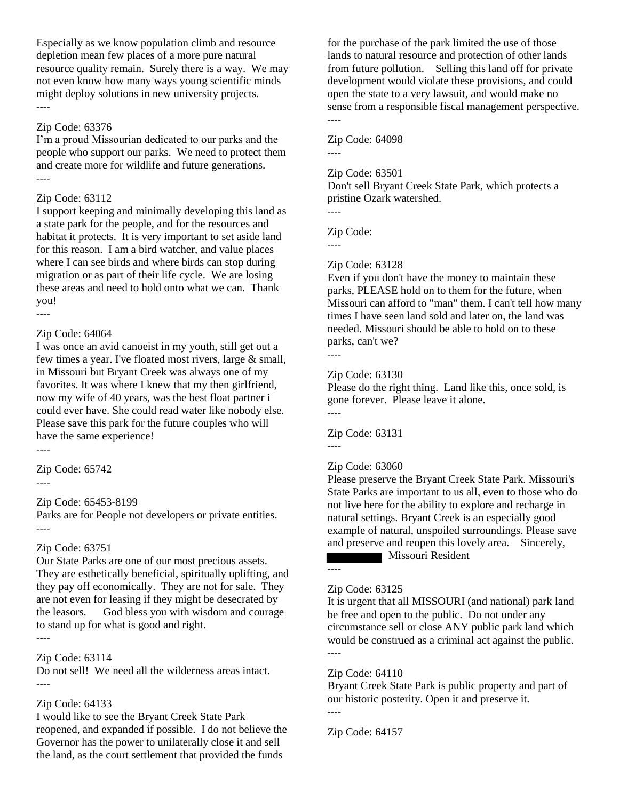Especially as we know population climb and resource depletion mean few places of a more pure natural resource quality remain. Surely there is a way. We may not even know how many ways young scientific minds might deploy solutions in new university projects. ----

#### Zip Code: 63376

I'm a proud Missourian dedicated to our parks and the people who support our parks. We need to protect them and create more for wildlife and future generations. ----

#### Zip Code: 63112

I support keeping and minimally developing this land as a state park for the people, and for the resources and habitat it protects. It is very important to set aside land for this reason. I am a bird watcher, and value places where I can see birds and where birds can stop during migration or as part of their life cycle. We are losing these areas and need to hold onto what we can. Thank you!

#### Zip Code: 64064

I was once an avid canoeist in my youth, still get out a few times a year. I've floated most rivers, large & small, in Missouri but Bryant Creek was always one of my favorites. It was where I knew that my then girlfriend, now my wife of 40 years, was the best float partner i could ever have. She could read water like nobody else. Please save this park for the future couples who will have the same experience!

----

----

Zip Code: 65742

----

# Zip Code: 65453-8199

Parks are for People not developers or private entities. ----

# Zip Code: 63751

Our State Parks are one of our most precious assets. They are esthetically beneficial, spiritually uplifting, and they pay off economically. They are not for sale. They are not even for leasing if they might be desecrated by the leasors. God bless you with wisdom and courage to stand up for what is good and right. ----

# Zip Code: 63114

Do not sell! We need all the wilderness areas intact. ----

# Zip Code: 64133

I would like to see the Bryant Creek State Park reopened, and expanded if possible. I do not believe the Governor has the power to unilaterally close it and sell the land, as the court settlement that provided the funds

for the purchase of the park limited the use of those lands to natural resource and protection of other lands from future pollution. Selling this land off for private development would violate these provisions, and could open the state to a very lawsuit, and would make no sense from a responsible fiscal management perspective. ----

Zip Code: 64098

----

Zip Code: 63501

Don't sell Bryant Creek State Park, which protects a pristine Ozark watershed. ----

Zip Code:

----

# Zip Code: 63128

Even if you don't have the money to maintain these parks, PLEASE hold on to them for the future, when Missouri can afford to "man" them. I can't tell how many times I have seen land sold and later on, the land was needed. Missouri should be able to hold on to these parks, can't we?

----

#### Zip Code: 63130

Please do the right thing. Land like this, once sold, is gone forever. Please leave it alone. ----

Zip Code: 63131 ----

# Zip Code: 63060

Please preserve the Bryant Creek State Park. Missouri's State Parks are important to us all, even to those who do not live here for the ability to explore and recharge in natural settings. Bryant Creek is an especially good example of natural, unspoiled surroundings. Please save and preserve and reopen this lovely area. Sincerely,

**Missouri Resident** 

# ----

# Zip Code: 63125

It is urgent that all MISSOURI (and national) park land be free and open to the public. Do not under any circumstance sell or close ANY public park land which would be construed as a criminal act against the public. ----

# Zip Code: 64110

Bryant Creek State Park is public property and part of our historic posterity. Open it and preserve it. ----

Zip Code: 64157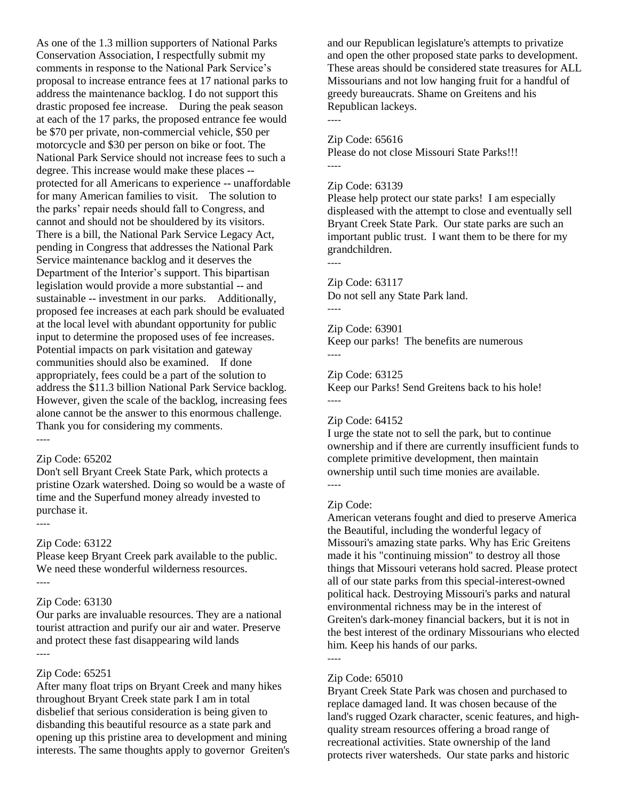As one of the 1.3 million supporters of National Parks Conservation Association, I respectfully submit my comments in response to the National Park Service's proposal to increase entrance fees at 17 national parks to address the maintenance backlog. I do not support this drastic proposed fee increase. During the peak season at each of the 17 parks, the proposed entrance fee would be \$70 per private, non-commercial vehicle, \$50 per motorcycle and \$30 per person on bike or foot. The National Park Service should not increase fees to such a degree. This increase would make these places - protected for all Americans to experience -- unaffordable for many American families to visit. The solution to the parks' repair needs should fall to Congress, and cannot and should not be shouldered by its visitors. There is a bill, the National Park Service Legacy Act, pending in Congress that addresses the National Park Service maintenance backlog and it deserves the Department of the Interior's support. This bipartisan legislation would provide a more substantial -- and sustainable -- investment in our parks. Additionally, proposed fee increases at each park should be evaluated at the local level with abundant opportunity for public input to determine the proposed uses of fee increases. Potential impacts on park visitation and gateway communities should also be examined. If done appropriately, fees could be a part of the solution to address the \$11.3 billion National Park Service backlog. However, given the scale of the backlog, increasing fees alone cannot be the answer to this enormous challenge. Thank you for considering my comments. ----

#### Zip Code: 65202

Don't sell Bryant Creek State Park, which protects a pristine Ozark watershed. Doing so would be a waste of time and the Superfund money already invested to purchase it.

Zip Code: 63122

Please keep Bryant Creek park available to the public. We need these wonderful wilderness resources.

#### Zip Code: 63130

Our parks are invaluable resources. They are a national tourist attraction and purify our air and water. Preserve and protect these fast disappearing wild lands ----

----

----

# Zip Code: 65251

After many float trips on Bryant Creek and many hikes throughout Bryant Creek state park I am in total disbelief that serious consideration is being given to disbanding this beautiful resource as a state park and opening up this pristine area to development and mining interests. The same thoughts apply to governor Greiten's and our Republican legislature's attempts to privatize and open the other proposed state parks to development. These areas should be considered state treasures for ALL Missourians and not low hanging fruit for a handful of greedy bureaucrats. Shame on Greitens and his Republican lackeys.

----

Zip Code: 65616

Please do not close Missouri State Parks!!!

#### Zip Code: 63139

Please help protect our state parks! I am especially displeased with the attempt to close and eventually sell Bryant Creek State Park. Our state parks are such an important public trust. I want them to be there for my grandchildren.

# Zip Code: 63117

Do not sell any State Park land.

----

----

Zip Code: 63901 Keep our parks! The benefits are numerous ----

Zip Code: 63125

Keep our Parks! Send Greitens back to his hole! ----

#### Zip Code: 64152

I urge the state not to sell the park, but to continue ownership and if there are currently insufficient funds to complete primitive development, then maintain ownership until such time monies are available. ----

#### Zip Code:

American veterans fought and died to preserve America the Beautiful, including the wonderful legacy of Missouri's amazing state parks. Why has Eric Greitens made it his "continuing mission" to destroy all those things that Missouri veterans hold sacred. Please protect all of our state parks from this special-interest-owned political hack. Destroying Missouri's parks and natural environmental richness may be in the interest of Greiten's dark-money financial backers, but it is not in the best interest of the ordinary Missourians who elected him. Keep his hands of our parks.

# Zip Code: 65010

Bryant Creek State Park was chosen and purchased to replace damaged land. It was chosen because of the land's rugged Ozark character, scenic features, and highquality stream resources offering a broad range of recreational activities. State ownership of the land protects river watersheds. Our state parks and historic

<sup>----</sup>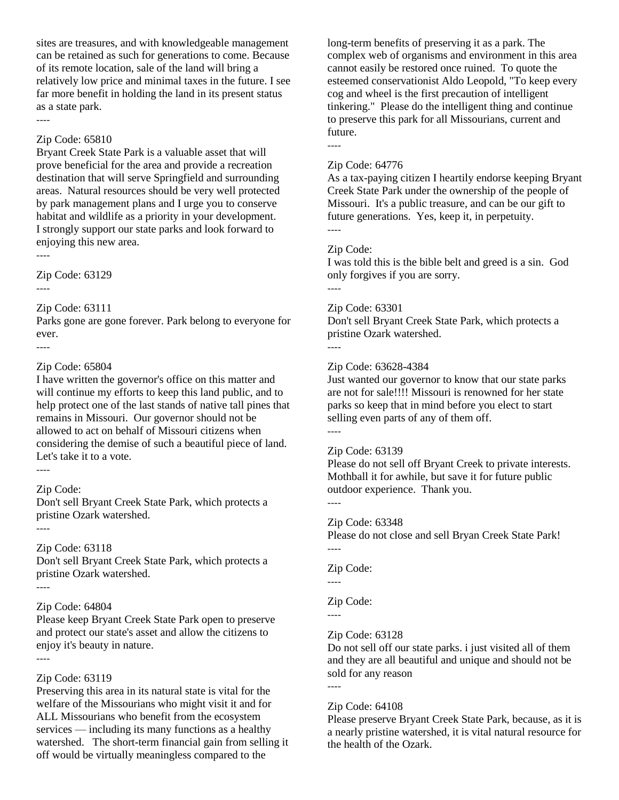sites are treasures, and with knowledgeable management can be retained as such for generations to come. Because of its remote location, sale of the land will bring a relatively low price and minimal taxes in the future. I see far more benefit in holding the land in its present status as a state park.

----

#### Zip Code: 65810

Bryant Creek State Park is a valuable asset that will prove beneficial for the area and provide a recreation destination that will serve Springfield and surrounding areas. Natural resources should be very well protected by park management plans and I urge you to conserve habitat and wildlife as a priority in your development. I strongly support our state parks and look forward to enjoying this new area.

----

Zip Code: 63129

----

----

#### Zip Code: 63111

Parks gone are gone forever. Park belong to everyone for ever.

# Zip Code: 65804

I have written the governor's office on this matter and will continue my efforts to keep this land public, and to help protect one of the last stands of native tall pines that remains in Missouri. Our governor should not be allowed to act on behalf of Missouri citizens when considering the demise of such a beautiful piece of land. Let's take it to a vote.

----

----

# Zip Code:

Don't sell Bryant Creek State Park, which protects a pristine Ozark watershed.

# Zip Code: 63118

Don't sell Bryant Creek State Park, which protects a pristine Ozark watershed.

# ----

# Zip Code: 64804

Please keep Bryant Creek State Park open to preserve and protect our state's asset and allow the citizens to enjoy it's beauty in nature.

----

# Zip Code: 63119

Preserving this area in its natural state is vital for the welfare of the Missourians who might visit it and for ALL Missourians who benefit from the ecosystem services — including its many functions as a healthy watershed. The short-term financial gain from selling it off would be virtually meaningless compared to the

long-term benefits of preserving it as a park. The complex web of organisms and environment in this area cannot easily be restored once ruined. To quote the esteemed conservationist Aldo Leopold, "To keep every cog and wheel is the first precaution of intelligent tinkering." Please do the intelligent thing and continue to preserve this park for all Missourians, current and future.

# Zip Code: 64776

----

As a tax-paying citizen I heartily endorse keeping Bryant Creek State Park under the ownership of the people of Missouri. It's a public treasure, and can be our gift to future generations. Yes, keep it, in perpetuity. ----

# Zip Code:

I was told this is the bible belt and greed is a sin. God only forgives if you are sorry. ----

# Zip Code: 63301

Don't sell Bryant Creek State Park, which protects a pristine Ozark watershed.

# ----

# Zip Code: 63628-4384

Just wanted our governor to know that our state parks are not for sale!!!! Missouri is renowned for her state parks so keep that in mind before you elect to start selling even parts of any of them off. ----

# Zip Code: 63139

Please do not sell off Bryant Creek to private interests. Mothball it for awhile, but save it for future public outdoor experience. Thank you.

----

----

----

# Zip Code: 63348

Please do not close and sell Bryan Creek State Park!

Zip Code:

# Zip Code:

----

# Zip Code: 63128

Do not sell off our state parks. i just visited all of them and they are all beautiful and unique and should not be sold for any reason

----

# Zip Code: 64108

Please preserve Bryant Creek State Park, because, as it is a nearly pristine watershed, it is vital natural resource for the health of the Ozark.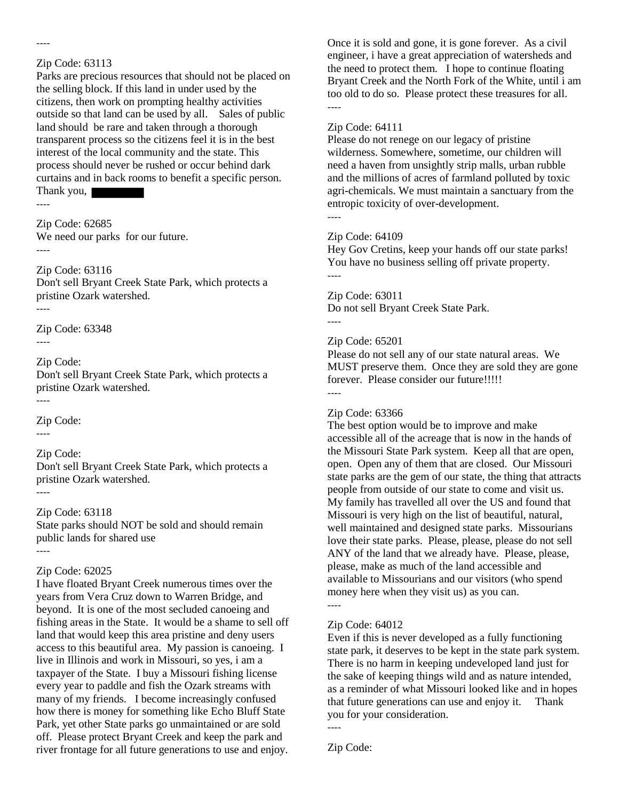----

Parks are precious resources that should not be placed on the selling block. If this land in under used by the citizens, then work on prompting healthy activities outside so that land can be used by all. Sales of public land should be rare and taken through a thorough transparent process so the citizens feel it is in the best interest of the local community and the state. This process should never be rushed or occur behind dark curtains and in back rooms to benefit a specific person. Thank you,

----

Zip Code: 62685 We need our parks for our future.

----

Zip Code: 63116 Don't sell Bryant Creek State Park, which protects a pristine Ozark watershed. ----

Zip Code: 63348

----

Zip Code:

Don't sell Bryant Creek State Park, which protects a pristine Ozark watershed.

----

Zip Code:

----

Zip Code:

Don't sell Bryant Creek State Park, which protects a pristine Ozark watershed. ----

# Zip Code: 63118

State parks should NOT be sold and should remain public lands for shared use ----

# Zip Code: 62025

I have floated Bryant Creek numerous times over the years from Vera Cruz down to Warren Bridge, and beyond. It is one of the most secluded canoeing and fishing areas in the State. It would be a shame to sell off land that would keep this area pristine and deny users access to this beautiful area. My passion is canoeing. I live in Illinois and work in Missouri, so yes, i am a taxpayer of the State. I buy a Missouri fishing license every year to paddle and fish the Ozark streams with many of my friends. I become increasingly confused how there is money for something like Echo Bluff State Park, yet other State parks go unmaintained or are sold off. Please protect Bryant Creek and keep the park and river frontage for all future generations to use and enjoy.

Once it is sold and gone, it is gone forever. As a civil engineer, i have a great appreciation of watersheds and the need to protect them. I hope to continue floating Bryant Creek and the North Fork of the White, until i am too old to do so. Please protect these treasures for all. ----

# Zip Code: 64111

Please do not renege on our legacy of pristine wilderness. Somewhere, sometime, our children will need a haven from unsightly strip malls, urban rubble and the millions of acres of farmland polluted by toxic agri-chemicals. We must maintain a sanctuary from the entropic toxicity of over-development.

----

# Zip Code: 64109

Hey Gov Cretins, keep your hands off our state parks! You have no business selling off private property. ----

Zip Code: 63011 Do not sell Bryant Creek State Park. ----

# Zip Code: 65201

Please do not sell any of our state natural areas. We MUST preserve them. Once they are sold they are gone forever. Please consider our future!!!!! ----

# Zip Code: 63366

The best option would be to improve and make accessible all of the acreage that is now in the hands of the Missouri State Park system. Keep all that are open, open. Open any of them that are closed. Our Missouri state parks are the gem of our state, the thing that attracts people from outside of our state to come and visit us. My family has travelled all over the US and found that Missouri is very high on the list of beautiful, natural, well maintained and designed state parks. Missourians love their state parks. Please, please, please do not sell ANY of the land that we already have. Please, please, please, make as much of the land accessible and available to Missourians and our visitors (who spend money here when they visit us) as you can.

----

# Zip Code: 64012

Even if this is never developed as a fully functioning state park, it deserves to be kept in the state park system. There is no harm in keeping undeveloped land just for the sake of keeping things wild and as nature intended, as a reminder of what Missouri looked like and in hopes that future generations can use and enjoy it. Thank you for your consideration.

----

Zip Code: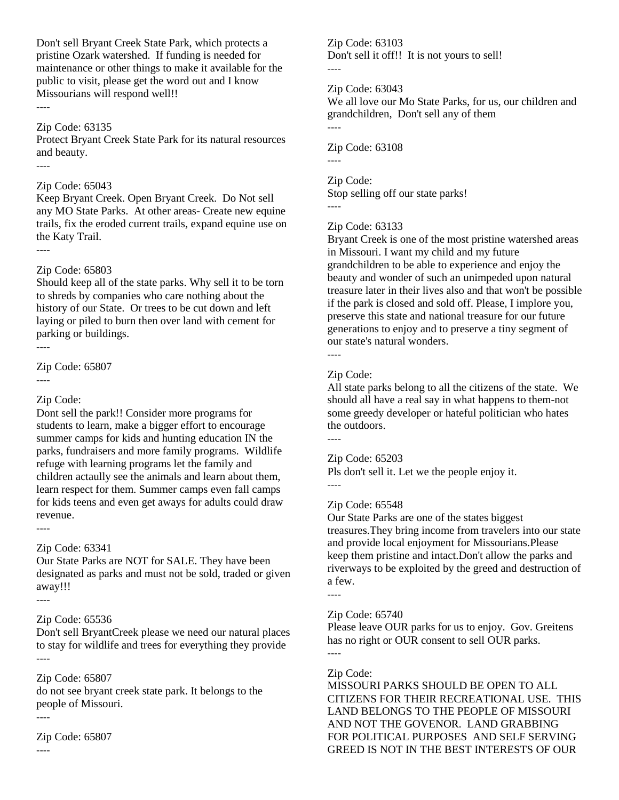Don't sell Bryant Creek State Park, which protects a pristine Ozark watershed. If funding is needed for maintenance or other things to make it available for the public to visit, please get the word out and I know Missourians will respond well!!

#### Zip Code: 63135

Protect Bryant Creek State Park for its natural resources and beauty.

----

----

#### Zip Code: 65043

Keep Bryant Creek. Open Bryant Creek. Do Not sell any MO State Parks. At other areas- Create new equine trails, fix the eroded current trails, expand equine use on the Katy Trail.

----

#### Zip Code: 65803

Should keep all of the state parks. Why sell it to be torn to shreds by companies who care nothing about the history of our State. Or trees to be cut down and left laying or piled to burn then over land with cement for parking or buildings. ----

Zip Code: 65807

----

# Zip Code:

Dont sell the park!! Consider more programs for students to learn, make a bigger effort to encourage summer camps for kids and hunting education IN the parks, fundraisers and more family programs. Wildlife refuge with learning programs let the family and children actaully see the animals and learn about them, learn respect for them. Summer camps even fall camps for kids teens and even get aways for adults could draw revenue.

# Zip Code: 63341

Our State Parks are NOT for SALE. They have been designated as parks and must not be sold, traded or given away!!!

#### ----

----

# Zip Code: 65536

Don't sell BryantCreek please we need our natural places to stay for wildlife and trees for everything they provide ----

# Zip Code: 65807

do not see bryant creek state park. It belongs to the people of Missouri.

----

Zip Code: 65807 ----

Zip Code: 63103 Don't sell it off!! It is not yours to sell! ----

Zip Code: 63043

----

----

We all love our Mo State Parks, for us, our children and grandchildren, Don't sell any of them

Zip Code: 63108

Zip Code: Stop selling off our state parks! ----

# Zip Code: 63133

Bryant Creek is one of the most pristine watershed areas in Missouri. I want my child and my future grandchildren to be able to experience and enjoy the beauty and wonder of such an unimpeded upon natural treasure later in their lives also and that won't be possible if the park is closed and sold off. Please, I implore you, preserve this state and national treasure for our future generations to enjoy and to preserve a tiny segment of our state's natural wonders.

----

# Zip Code:

All state parks belong to all the citizens of the state. We should all have a real say in what happens to them-not some greedy developer or hateful politician who hates the outdoors.

----

# Zip Code: 65203

Pls don't sell it. Let we the people enjoy it. ----

# Zip Code: 65548

Our State Parks are one of the states biggest treasures.They bring income from travelers into our state and provide local enjoyment for Missourians.Please keep them pristine and intact.Don't allow the parks and riverways to be exploited by the greed and destruction of a few.

# Zip Code: 65740

Please leave OUR parks for us to enjoy. Gov. Greitens has no right or OUR consent to sell OUR parks. ----

# Zip Code:

----

MISSOURI PARKS SHOULD BE OPEN TO ALL CITIZENS FOR THEIR RECREATIONAL USE. THIS LAND BELONGS TO THE PEOPLE OF MISSOURI AND NOT THE GOVENOR. LAND GRABBING FOR POLITICAL PURPOSES AND SELF SERVING GREED IS NOT IN THE BEST INTERESTS OF OUR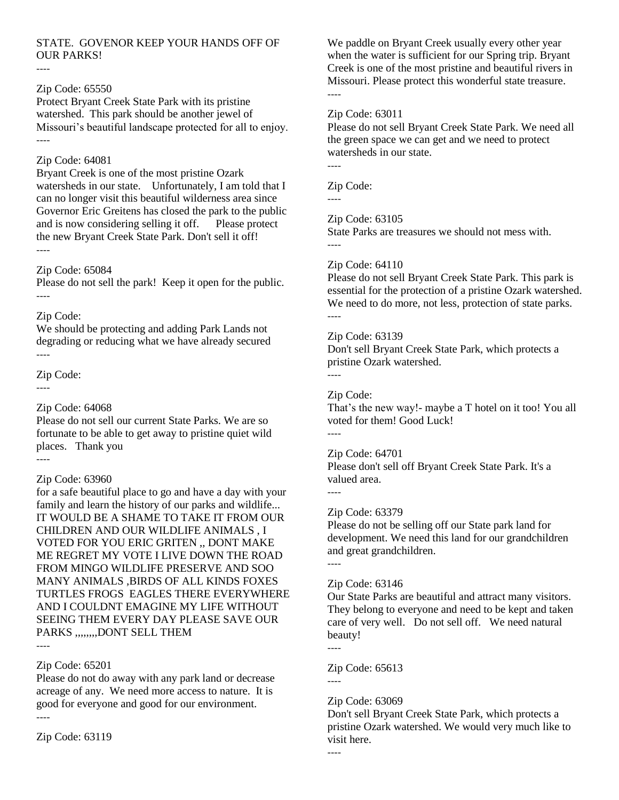# STATE. GOVENOR KEEP YOUR HANDS OFF OF OUR PARKS!

#### ----

# Zip Code: 65550

Protect Bryant Creek State Park with its pristine watershed. This park should be another jewel of Missouri's beautiful landscape protected for all to enjoy. ----

#### Zip Code: 64081

Bryant Creek is one of the most pristine Ozark watersheds in our state. Unfortunately, I am told that I can no longer visit this beautiful wilderness area since Governor Eric Greitens has closed the park to the public and is now considering selling it off. Please protect the new Bryant Creek State Park. Don't sell it off! ----

#### Zip Code: 65084

Please do not sell the park! Keep it open for the public. ----

# Zip Code:

We should be protecting and adding Park Lands not degrading or reducing what we have already secured ----

Zip Code:

----

----

# Zip Code: 64068

Please do not sell our current State Parks. We are so fortunate to be able to get away to pristine quiet wild places. Thank you

# Zip Code: 63960

for a safe beautiful place to go and have a day with your family and learn the history of our parks and wildlife... IT WOULD BE A SHAME TO TAKE IT FROM OUR CHILDREN AND OUR WILDLIFE ANIMALS , I VOTED FOR YOU ERIC GRITEN ,, DONT MAKE ME REGRET MY VOTE I LIVE DOWN THE ROAD FROM MINGO WILDLIFE PRESERVE AND SOO MANY ANIMALS ,BIRDS OF ALL KINDS FOXES TURTLES FROGS EAGLES THERE EVERYWHERE AND I COULDNT EMAGINE MY LIFE WITHOUT SEEING THEM EVERY DAY PLEASE SAVE OUR PARKS ,,,,,,,,DONT SELL THEM

----

#### Zip Code: 65201

Please do not do away with any park land or decrease acreage of any. We need more access to nature. It is good for everyone and good for our environment. ----

Zip Code: 63119

We paddle on Bryant Creek usually every other year when the water is sufficient for our Spring trip. Bryant Creek is one of the most pristine and beautiful rivers in Missouri. Please protect this wonderful state treasure. ----

# Zip Code: 63011

Please do not sell Bryant Creek State Park. We need all the green space we can get and we need to protect watersheds in our state.

----

----

Zip Code:

# Zip Code: 63105

State Parks are treasures we should not mess with. ----

# Zip Code: 64110

Please do not sell Bryant Creek State Park. This park is essential for the protection of a pristine Ozark watershed. We need to do more, not less, protection of state parks. ----

# Zip Code: 63139

Don't sell Bryant Creek State Park, which protects a pristine Ozark watershed.

Zip Code:

----

That's the new way!- maybe a T hotel on it too! You all voted for them! Good Luck! ----

# Zip Code: 64701

Please don't sell off Bryant Creek State Park. It's a valued area.

----

# Zip Code: 63379

Please do not be selling off our State park land for development. We need this land for our grandchildren and great grandchildren. ----

# Zip Code: 63146

Our State Parks are beautiful and attract many visitors. They belong to everyone and need to be kept and taken care of very well. Do not sell off. We need natural beauty!

----

----

#### Zip Code: 65613 ----

# Zip Code: 63069

Don't sell Bryant Creek State Park, which protects a pristine Ozark watershed. We would very much like to visit here.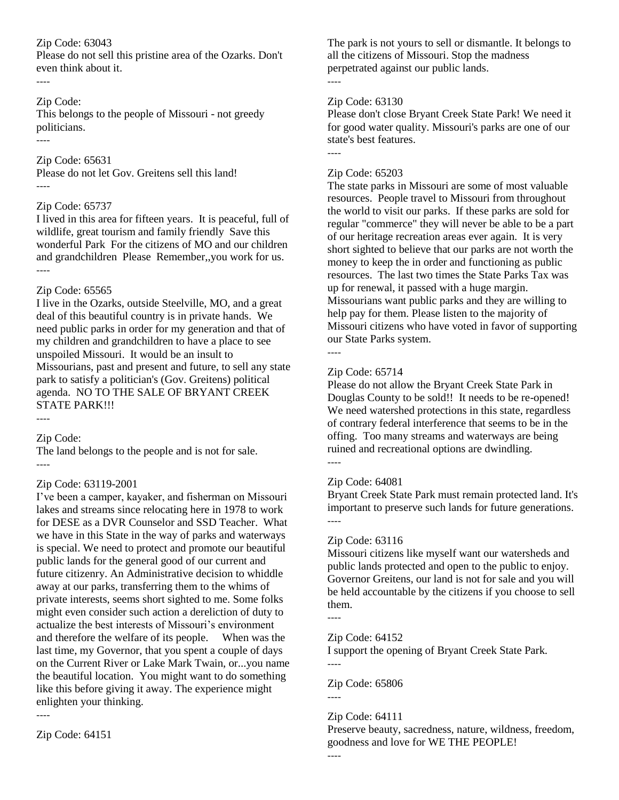Please do not sell this pristine area of the Ozarks. Don't even think about it. ----

# Zip Code:

----

This belongs to the people of Missouri - not greedy politicians.

Zip Code: 65631 Please do not let Gov. Greitens sell this land! ----

# Zip Code: 65737

I lived in this area for fifteen years. It is peaceful, full of wildlife, great tourism and family friendly Save this wonderful Park For the citizens of MO and our children and grandchildren Please Remember,,you work for us. ----

# Zip Code: 65565

I live in the Ozarks, outside Steelville, MO, and a great deal of this beautiful country is in private hands. We need public parks in order for my generation and that of my children and grandchildren to have a place to see unspoiled Missouri. It would be an insult to Missourians, past and present and future, to sell any state park to satisfy a politician's (Gov. Greitens) political agenda. NO TO THE SALE OF BRYANT CREEK STATE PARK!!!

----

Zip Code:

The land belongs to the people and is not for sale. ----

# Zip Code: 63119-2001

I've been a camper, kayaker, and fisherman on Missouri lakes and streams since relocating here in 1978 to work for DESE as a DVR Counselor and SSD Teacher. What we have in this State in the way of parks and waterways is special. We need to protect and promote our beautiful public lands for the general good of our current and future citizenry. An Administrative decision to whiddle away at our parks, transferring them to the whims of private interests, seems short sighted to me. Some folks might even consider such action a dereliction of duty to actualize the best interests of Missouri's environment and therefore the welfare of its people. When was the last time, my Governor, that you spent a couple of days on the Current River or Lake Mark Twain, or...you name the beautiful location. You might want to do something like this before giving it away. The experience might enlighten your thinking. ----

The park is not yours to sell or dismantle. It belongs to all the citizens of Missouri. Stop the madness perpetrated against our public lands. ----

# Zip Code: 63130

Please don't close Bryant Creek State Park! We need it for good water quality. Missouri's parks are one of our state's best features.

----

# Zip Code: 65203

The state parks in Missouri are some of most valuable resources. People travel to Missouri from throughout the world to visit our parks. If these parks are sold for regular "commerce" they will never be able to be a part of our heritage recreation areas ever again. It is very short sighted to believe that our parks are not worth the money to keep the in order and functioning as public resources. The last two times the State Parks Tax was up for renewal, it passed with a huge margin. Missourians want public parks and they are willing to help pay for them. Please listen to the majority of Missouri citizens who have voted in favor of supporting our State Parks system.

----

# Zip Code: 65714

Please do not allow the Bryant Creek State Park in Douglas County to be sold!! It needs to be re-opened! We need watershed protections in this state, regardless of contrary federal interference that seems to be in the offing. Too many streams and waterways are being ruined and recreational options are dwindling. ----

# Zip Code: 64081

Bryant Creek State Park must remain protected land. It's important to preserve such lands for future generations. ----

# Zip Code: 63116

Missouri citizens like myself want our watersheds and public lands protected and open to the public to enjoy. Governor Greitens, our land is not for sale and you will be held accountable by the citizens if you choose to sell them.

----

Zip Code: 64152

I support the opening of Bryant Creek State Park. ----

Zip Code: 65806 ----

Zip Code: 64111

Preserve beauty, sacredness, nature, wildness, freedom, goodness and love for WE THE PEOPLE!

Zip Code: 64151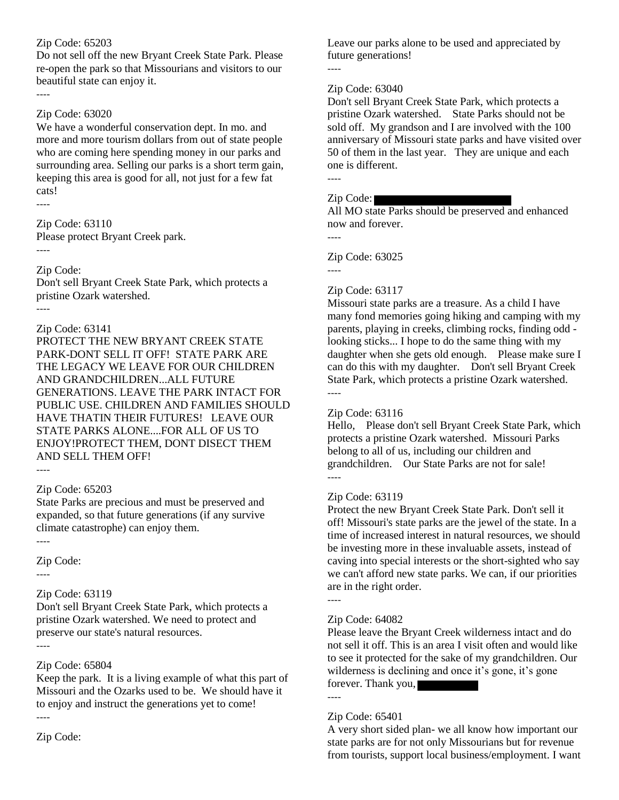Do not sell off the new Bryant Creek State Park. Please re-open the park so that Missourians and visitors to our beautiful state can enjoy it.

# Zip Code: 63020

We have a wonderful conservation dept. In mo. and more and more tourism dollars from out of state people who are coming here spending money in our parks and surrounding area. Selling our parks is a short term gain, keeping this area is good for all, not just for a few fat cats!

----

----

Zip Code: 63110 Please protect Bryant Creek park. ----

Zip Code:

Don't sell Bryant Creek State Park, which protects a pristine Ozark watershed.

----

# Zip Code: 63141

PROTECT THE NEW BRYANT CREEK STATE PARK-DONT SELL IT OFF! STATE PARK ARE THE LEGACY WE LEAVE FOR OUR CHILDREN AND GRANDCHILDREN...ALL FUTURE GENERATIONS. LEAVE THE PARK INTACT FOR PUBLIC USE. CHILDREN AND FAMILIES SHOULD HAVE THATIN THEIR FUTURES! LEAVE OUR STATE PARKS ALONE....FOR ALL OF US TO ENJOY!PROTECT THEM, DONT DISECT THEM AND SELL THEM OFF!

----

# Zip Code: 65203

State Parks are precious and must be preserved and expanded, so that future generations (if any survive climate catastrophe) can enjoy them.

----

# Zip Code:

----

# Zip Code: 63119

Don't sell Bryant Creek State Park, which protects a pristine Ozark watershed. We need to protect and preserve our state's natural resources. ----

Zip Code: 65804

Keep the park. It is a living example of what this part of Missouri and the Ozarks used to be. We should have it to enjoy and instruct the generations yet to come! ----

Zip Code:

Leave our parks alone to be used and appreciated by future generations!

----

# Zip Code: 63040

Don't sell Bryant Creek State Park, which protects a pristine Ozark watershed. State Parks should not be sold off. My grandson and I are involved with the 100 anniversary of Missouri state parks and have visited over 50 of them in the last year. They are unique and each one is different. ----

# Zip Code:

All MO state Parks should be preserved and enhanced now and forever.

Zip Code: 63025

----

----

# Zip Code: 63117

Missouri state parks are a treasure. As a child I have many fond memories going hiking and camping with my parents, playing in creeks, climbing rocks, finding odd looking sticks... I hope to do the same thing with my daughter when she gets old enough. Please make sure I can do this with my daughter. Don't sell Bryant Creek State Park, which protects a pristine Ozark watershed. ----

# Zip Code: 63116

Hello, Please don't sell Bryant Creek State Park, which protects a pristine Ozark watershed. Missouri Parks belong to all of us, including our children and grandchildren. Our State Parks are not for sale! ----

# Zip Code: 63119

Protect the new Bryant Creek State Park. Don't sell it off! Missouri's state parks are the jewel of the state. In a time of increased interest in natural resources, we should be investing more in these invaluable assets, instead of caving into special interests or the short-sighted who say we can't afford new state parks. We can, if our priorities are in the right order.

----

# Zip Code: 64082

Please leave the Bryant Creek wilderness intact and do not sell it off. This is an area I visit often and would like to see it protected for the sake of my grandchildren. Our wilderness is declining and once it's gone, it's gone forever. Thank you, ----

# Zip Code: 65401

A very short sided plan- we all know how important our state parks are for not only Missourians but for revenue from tourists, support local business/employment. I want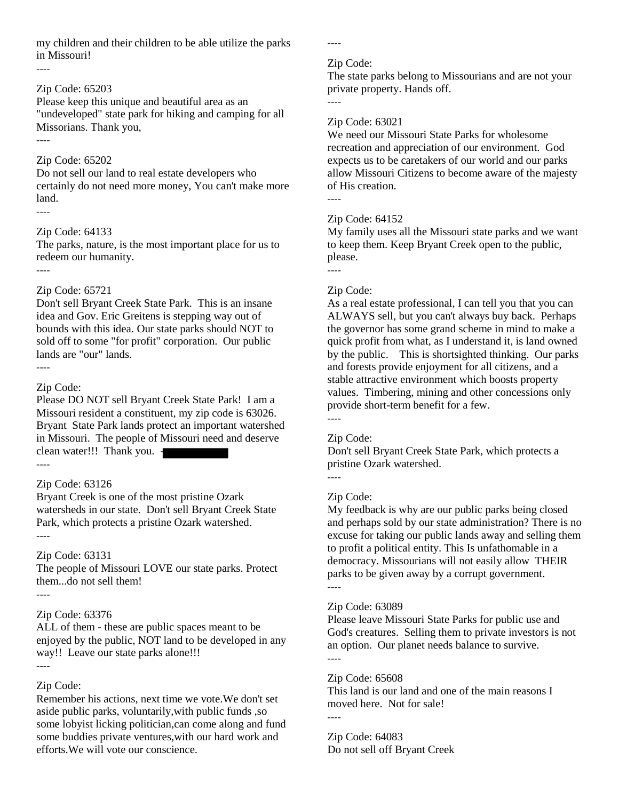my children and their children to be able utilize the parks in Missouri!

#### ----

----

#### Zip Code: 65203

Please keep this unique and beautiful area as an "undeveloped" state park for hiking and camping for all Missorians. Thank you,

# Zip Code: 65202

Do not sell our land to real estate developers who certainly do not need more money, You can't make more land. ----

# Zip Code: 64133

The parks, nature, is the most important place for us to redeem our humanity.

----

#### Zip Code: 65721

Don't sell Bryant Creek State Park. This is an insane idea and Gov. Eric Greitens is stepping way out of bounds with this idea. Our state parks should NOT to sold off to some "for profit" corporation. Our public lands are "our" lands.

----

# Zip Code:

Please DO NOT sell Bryant Creek State Park! I am a Missouri resident a constituent, my zip code is 63026. Bryant State Park lands protect an important watershed in Missouri. The people of Missouri need and deserve clean water!!! Thank you. - ----

# Zip Code: 63126

Bryant Creek is one of the most pristine Ozark watersheds in our state. Don't sell Bryant Creek State Park, which protects a pristine Ozark watershed. ----

# Zip Code: 63131

The people of Missouri LOVE our state parks. Protect them...do not sell them! ----

# Zip Code: 63376

ALL of them - these are public spaces meant to be enjoyed by the public, NOT land to be developed in any way!! Leave our state parks alone!!! ----

# Zip Code:

Remember his actions, next time we vote.We don't set aside public parks, voluntarily,with public funds ,so some lobyist licking politician,can come along and fund some buddies private ventures,with our hard work and efforts.We will vote our conscience.

Zip Code:

----

The state parks belong to Missourians and are not your private property. Hands off.

----

----

# Zip Code: 63021

We need our Missouri State Parks for wholesome recreation and appreciation of our environment. God expects us to be caretakers of our world and our parks allow Missouri Citizens to become aware of the majesty of His creation.

# Zip Code: 64152

My family uses all the Missouri state parks and we want to keep them. Keep Bryant Creek open to the public, please.

# ---- Zip Code:

As a real estate professional, I can tell you that you can ALWAYS sell, but you can't always buy back. Perhaps the governor has some grand scheme in mind to make a quick profit from what, as I understand it, is land owned by the public. This is shortsighted thinking. Our parks and forests provide enjoyment for all citizens, and a stable attractive environment which boosts property values. Timbering, mining and other concessions only provide short-term benefit for a few.

# ----

----

# Zip Code:

Don't sell Bryant Creek State Park, which protects a pristine Ozark watershed.

# Zip Code:

My feedback is why are our public parks being closed and perhaps sold by our state administration? There is no excuse for taking our public lands away and selling them to profit a political entity. This Is unfathomable in a democracy. Missourians will not easily allow THEIR parks to be given away by a corrupt government. ----

# Zip Code: 63089

Please leave Missouri State Parks for public use and God's creatures. Selling them to private investors is not an option. Our planet needs balance to survive. ----

# Zip Code: 65608

This land is our land and one of the main reasons I moved here. Not for sale!

Zip Code: 64083 Do not sell off Bryant Creek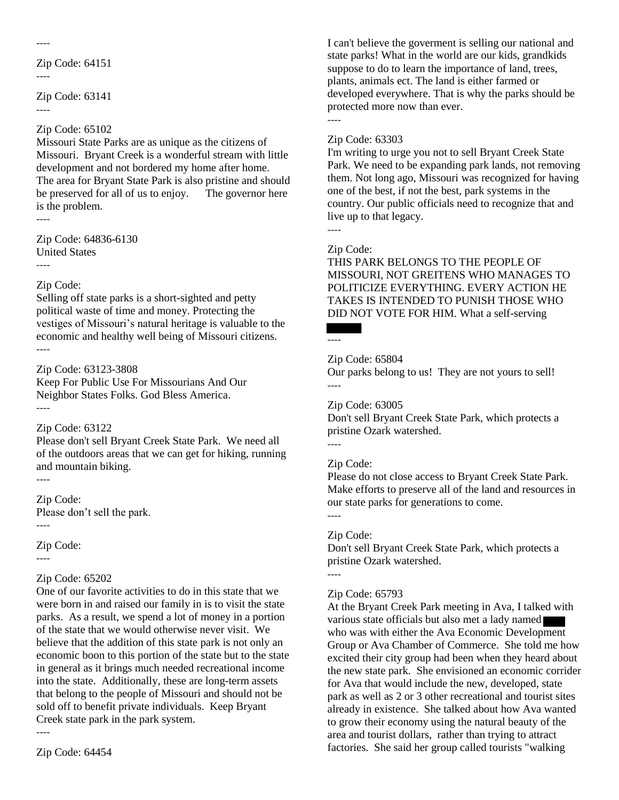----

Zip Code: 64151

----

Zip Code: 63141 ----

# Zip Code: 65102

Missouri State Parks are as unique as the citizens of Missouri. Bryant Creek is a wonderful stream with little development and not bordered my home after home. The area for Bryant State Park is also pristine and should be preserved for all of us to enjoy. The governor here is the problem.

----

----

Zip Code: 64836-6130 United States

# Zip Code:

Selling off state parks is a short-sighted and petty political waste of time and money. Protecting the vestiges of Missouri's natural heritage is valuable to the economic and healthy well being of Missouri citizens. ----

# Zip Code: 63123-3808

Keep For Public Use For Missourians And Our Neighbor States Folks. God Bless America. ----

# Zip Code: 63122

Please don't sell Bryant Creek State Park. We need all of the outdoors areas that we can get for hiking, running and mountain biking.

# ----

Zip Code: Please don't sell the park. ----

Zip Code:

----

----

# Zip Code: 65202

One of our favorite activities to do in this state that we were born in and raised our family in is to visit the state parks. As a result, we spend a lot of money in a portion of the state that we would otherwise never visit. We believe that the addition of this state park is not only an economic boon to this portion of the state but to the state in general as it brings much needed recreational income into the state. Additionally, these are long-term assets that belong to the people of Missouri and should not be sold off to benefit private individuals. Keep Bryant Creek state park in the park system.

I can't believe the goverment is selling our national and state parks! What in the world are our kids, grandkids suppose to do to learn the importance of land, trees, plants, animals ect. The land is either farmed or developed everywhere. That is why the parks should be protected more now than ever.

----

# Zip Code: 63303

I'm writing to urge you not to sell Bryant Creek State Park. We need to be expanding park lands, not removing them. Not long ago, Missouri was recognized for having one of the best, if not the best, park systems in the country. Our public officials need to recognize that and live up to that legacy. ----

# Zip Code:

THIS PARK BELONGS TO THE PEOPLE OF MISSOURI, NOT GREITENS WHO MANAGES TO POLITICIZE EVERYTHING. EVERY ACTION HE TAKES IS INTENDED TO PUNISH THOSE WHO DID NOT VOTE FOR HIM. What a self-serving

#### ----

# Zip Code: 65804

Our parks belong to us! They are not yours to sell! ----

# Zip Code: 63005

Don't sell Bryant Creek State Park, which protects a pristine Ozark watershed.

# Zip Code:

----

----

Please do not close access to Bryant Creek State Park. Make efforts to preserve all of the land and resources in our state parks for generations to come.

# Zip Code:

Don't sell Bryant Creek State Park, which protects a pristine Ozark watershed.

#### ----

# Zip Code: 65793

At the Bryant Creek Park meeting in Ava, I talked with various state officials but also met a lady named who was with either the Ava Economic Development Group or Ava Chamber of Commerce. She told me how excited their city group had been when they heard about the new state park. She envisioned an economic corrider for Ava that would include the new, developed, state park as well as 2 or 3 other recreational and tourist sites already in existence. She talked about how Ava wanted to grow their economy using the natural beauty of the area and tourist dollars, rather than trying to attract factories. She said her group called tourists "walking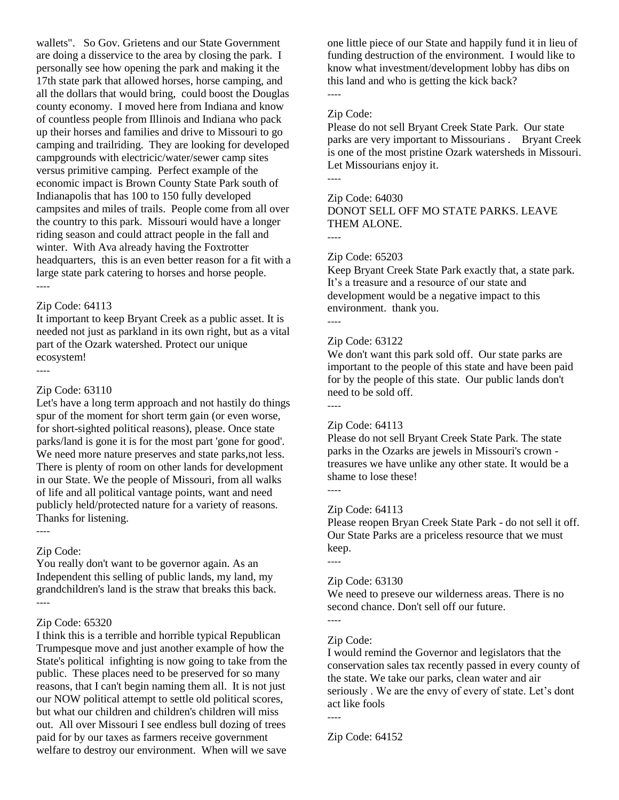wallets". So Gov. Grietens and our State Government are doing a disservice to the area by closing the park. I personally see how opening the park and making it the 17th state park that allowed horses, horse camping, and all the dollars that would bring, could boost the Douglas county economy. I moved here from Indiana and know of countless people from Illinois and Indiana who pack up their horses and families and drive to Missouri to go camping and trailriding. They are looking for developed campgrounds with electricic/water/sewer camp sites versus primitive camping. Perfect example of the economic impact is Brown County State Park south of Indianapolis that has 100 to 150 fully developed campsites and miles of trails. People come from all over the country to this park. Missouri would have a longer riding season and could attract people in the fall and winter. With Ava already having the Foxtrotter headquarters, this is an even better reason for a fit with a large state park catering to horses and horse people. ----

#### Zip Code: 64113

It important to keep Bryant Creek as a public asset. It is needed not just as parkland in its own right, but as a vital part of the Ozark watershed. Protect our unique ecosystem!

----

#### Zip Code: 63110

Let's have a long term approach and not hastily do things spur of the moment for short term gain (or even worse, for short-sighted political reasons), please. Once state parks/land is gone it is for the most part 'gone for good'. We need more nature preserves and state parks,not less. There is plenty of room on other lands for development in our State. We the people of Missouri, from all walks of life and all political vantage points, want and need publicly held/protected nature for a variety of reasons. Thanks for listening. ----

#### Zip Code:

You really don't want to be governor again. As an Independent this selling of public lands, my land, my grandchildren's land is the straw that breaks this back. ----

#### Zip Code: 65320

I think this is a terrible and horrible typical Republican Trumpesque move and just another example of how the State's political infighting is now going to take from the public. These places need to be preserved for so many reasons, that I can't begin naming them all. It is not just our NOW political attempt to settle old political scores, but what our children and children's children will miss out. All over Missouri I see endless bull dozing of trees paid for by our taxes as farmers receive government welfare to destroy our environment. When will we save one little piece of our State and happily fund it in lieu of funding destruction of the environment. I would like to know what investment/development lobby has dibs on this land and who is getting the kick back? ----

# Zip Code:

Please do not sell Bryant Creek State Park. Our state parks are very important to Missourians . Bryant Creek is one of the most pristine Ozark watersheds in Missouri. Let Missourians enjoy it.

# ----

# Zip Code: 64030

DONOT SELL OFF MO STATE PARKS. LEAVE THEM ALONE.

----

#### Zip Code: 65203

Keep Bryant Creek State Park exactly that, a state park. It's a treasure and a resource of our state and development would be a negative impact to this environment. thank you.

----

#### Zip Code: 63122

We don't want this park sold off. Our state parks are important to the people of this state and have been paid for by the people of this state. Our public lands don't need to be sold off.

----

#### Zip Code: 64113

Please do not sell Bryant Creek State Park. The state parks in the Ozarks are jewels in Missouri's crown treasures we have unlike any other state. It would be a shame to lose these!

----

#### Zip Code: 64113

Please reopen Bryan Creek State Park - do not sell it off. Our State Parks are a priceless resource that we must keep. ----

# Zip Code: 63130

We need to preseve our wilderness areas. There is no second chance. Don't sell off our future.

----

# Zip Code:

I would remind the Governor and legislators that the conservation sales tax recently passed in every county of the state. We take our parks, clean water and air seriously . We are the envy of every of state. Let's dont act like fools

----

Zip Code: 64152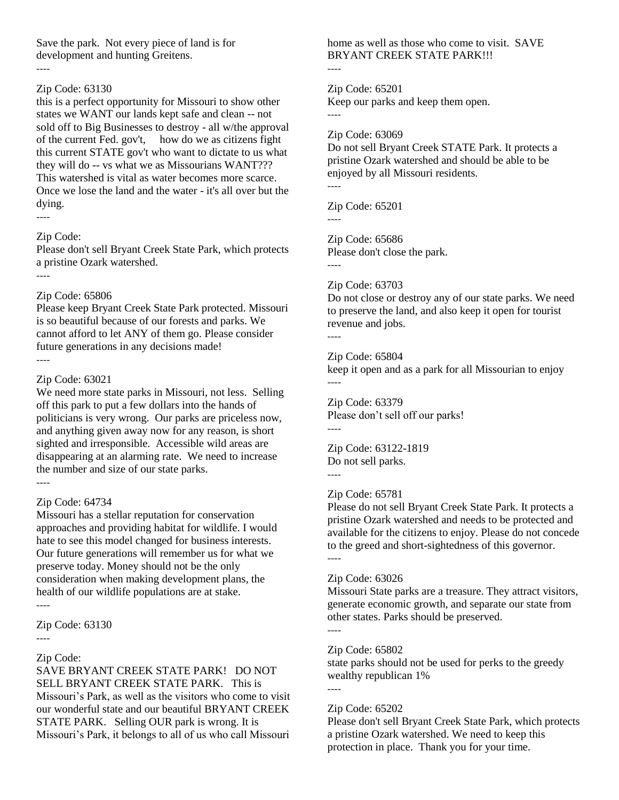Save the park. Not every piece of land is for development and hunting Greitens.

#### ----

# Zip Code: 63130

this is a perfect opportunity for Missouri to show other states we WANT our lands kept safe and clean -- not sold off to Big Businesses to destroy - all w/the approval of the current Fed. gov't, how do we as citizens fight this current STATE gov't who want to dictate to us what they will do -- vs what we as Missourians WANT??? This watershed is vital as water becomes more scarce. Once we lose the land and the water - it's all over but the dying.

#### ----

#### Zip Code:

Please don't sell Bryant Creek State Park, which protects a pristine Ozark watershed.

----

#### Zip Code: 65806

Please keep Bryant Creek State Park protected. Missouri is so beautiful because of our forests and parks. We cannot afford to let ANY of them go. Please consider future generations in any decisions made!

----

# Zip Code: 63021

We need more state parks in Missouri, not less. Selling off this park to put a few dollars into the hands of politicians is very wrong. Our parks are priceless now, and anything given away now for any reason, is short sighted and irresponsible. Accessible wild areas are disappearing at an alarming rate. We need to increase the number and size of our state parks. ----

# Zip Code: 64734

Missouri has a stellar reputation for conservation approaches and providing habitat for wildlife. I would hate to see this model changed for business interests. Our future generations will remember us for what we preserve today. Money should not be the only consideration when making development plans, the health of our wildlife populations are at stake.

----

Zip Code: 63130

#### ----

# Zip Code:

SAVE BRYANT CREEK STATE PARK! DO NOT SELL BRYANT CREEK STATE PARK. This is Missouri's Park, as well as the visitors who come to visit our wonderful state and our beautiful BRYANT CREEK STATE PARK. Selling OUR park is wrong. It is Missouri's Park, it belongs to all of us who call Missouri home as well as those who come to visit. SAVE BRYANT CREEK STATE PARK!!!

----

Zip Code: 65201 Keep our parks and keep them open. ----

Zip Code: 63069

Do not sell Bryant Creek STATE Park. It protects a pristine Ozark watershed and should be able to be enjoyed by all Missouri residents. ----

Zip Code: 65201 ----

Zip Code: 65686 Please don't close the park.

# Zip Code: 63703

Do not close or destroy any of our state parks. We need to preserve the land, and also keep it open for tourist revenue and jobs.

----

----

#### Zip Code: 65804

keep it open and as a park for all Missourian to enjoy ----

Zip Code: 63379 Please don't sell off our parks! ----

Zip Code: 63122-1819 Do not sell parks.

----

# Zip Code: 65781

Please do not sell Bryant Creek State Park. It protects a pristine Ozark watershed and needs to be protected and available for the citizens to enjoy. Please do not concede to the greed and short-sightedness of this governor. ----

# Zip Code: 63026

Missouri State parks are a treasure. They attract visitors, generate economic growth, and separate our state from other states. Parks should be preserved.

---- Zip Code: 65802

state parks should not be used for perks to the greedy wealthy republican 1%

----

# Zip Code: 65202

Please don't sell Bryant Creek State Park, which protects a pristine Ozark watershed. We need to keep this protection in place. Thank you for your time.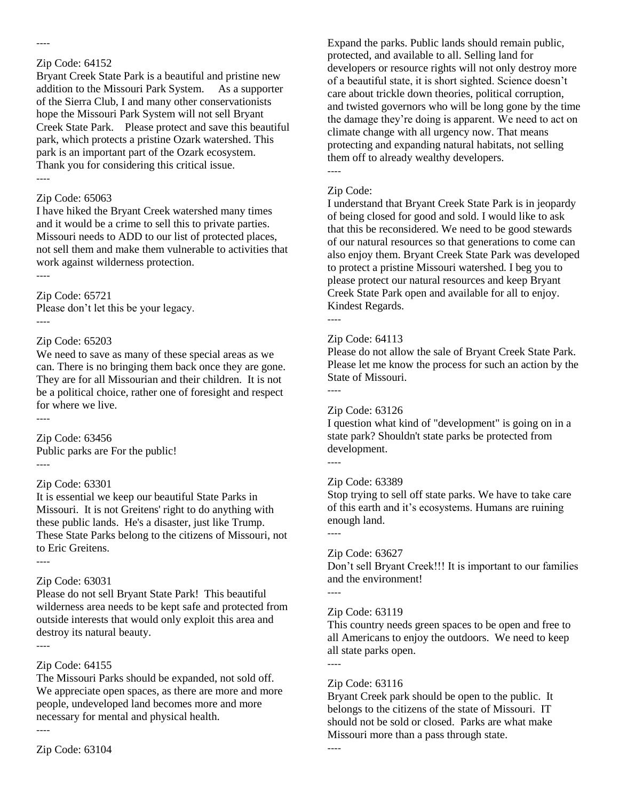----

Bryant Creek State Park is a beautiful and pristine new addition to the Missouri Park System. As a supporter of the Sierra Club, I and many other conservationists hope the Missouri Park System will not sell Bryant Creek State Park. Please protect and save this beautiful park, which protects a pristine Ozark watershed. This park is an important part of the Ozark ecosystem. Thank you for considering this critical issue. ----

# Zip Code: 65063

I have hiked the Bryant Creek watershed many times and it would be a crime to sell this to private parties. Missouri needs to ADD to our list of protected places, not sell them and make them vulnerable to activities that work against wilderness protection.

----

# Zip Code: 65721

Please don't let this be your legacy. ----

#### Zip Code: 65203

We need to save as many of these special areas as we can. There is no bringing them back once they are gone. They are for all Missourian and their children. It is not be a political choice, rather one of foresight and respect for where we live.

----

----

Zip Code: 63456 Public parks are For the public! ----

# Zip Code: 63301

It is essential we keep our beautiful State Parks in Missouri. It is not Greitens' right to do anything with these public lands. He's a disaster, just like Trump. These State Parks belong to the citizens of Missouri, not to Eric Greitens.

# Zip Code: 63031

Please do not sell Bryant State Park! This beautiful wilderness area needs to be kept safe and protected from outside interests that would only exploit this area and destroy its natural beauty. ----

# Zip Code: 64155

The Missouri Parks should be expanded, not sold off. We appreciate open spaces, as there are more and more people, undeveloped land becomes more and more necessary for mental and physical health.

----

Expand the parks. Public lands should remain public, protected, and available to all. Selling land for developers or resource rights will not only destroy more of a beautiful state, it is short sighted. Science doesn't care about trickle down theories, political corruption, and twisted governors who will be long gone by the time the damage they're doing is apparent. We need to act on climate change with all urgency now. That means protecting and expanding natural habitats, not selling them off to already wealthy developers. ----

# Zip Code:

I understand that Bryant Creek State Park is in jeopardy of being closed for good and sold. I would like to ask that this be reconsidered. We need to be good stewards of our natural resources so that generations to come can also enjoy them. Bryant Creek State Park was developed to protect a pristine Missouri watershed. I beg you to please protect our natural resources and keep Bryant Creek State Park open and available for all to enjoy. Kindest Regards.

----

#### Zip Code: 64113

Please do not allow the sale of Bryant Creek State Park. Please let me know the process for such an action by the State of Missouri. ----

#### Zip Code: 63126

I question what kind of "development" is going on in a state park? Shouldn't state parks be protected from development.

# Zip Code: 63389

Stop trying to sell off state parks. We have to take care of this earth and it's ecosystems. Humans are ruining enough land.

----

----

----

----

# Zip Code: 63627

Don't sell Bryant Creek!!! It is important to our families and the environment!

#### Zip Code: 63119

This country needs green spaces to be open and free to all Americans to enjoy the outdoors. We need to keep all state parks open.

# Zip Code: 63116

Bryant Creek park should be open to the public. It belongs to the citizens of the state of Missouri. IT should not be sold or closed. Parks are what make Missouri more than a pass through state.

----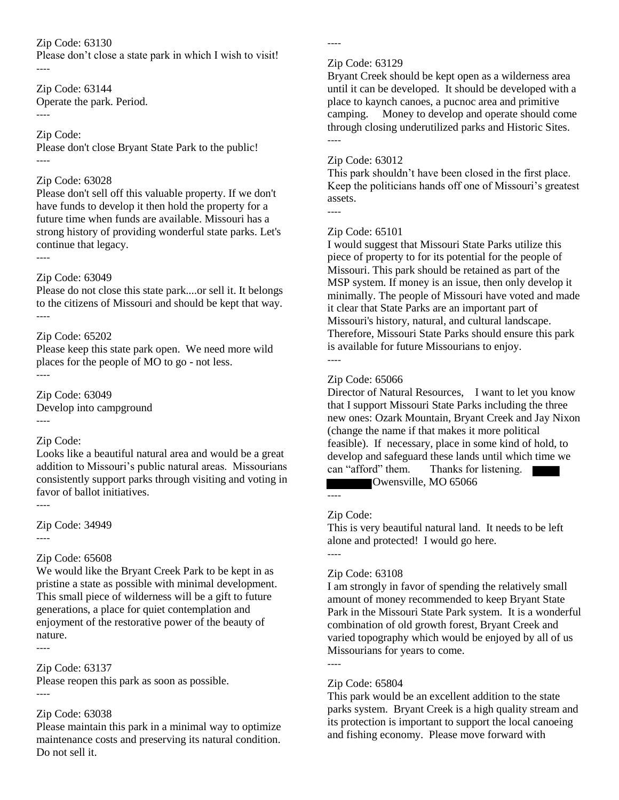Please don't close a state park in which I wish to visit! ----

Zip Code: 63144 Operate the park. Period. ----

# Zip Code:

Please don't close Bryant State Park to the public! ----

#### Zip Code: 63028

Please don't sell off this valuable property. If we don't have funds to develop it then hold the property for a future time when funds are available. Missouri has a strong history of providing wonderful state parks. Let's continue that legacy.

# Zip Code: 63049

----

Please do not close this state park....or sell it. It belongs to the citizens of Missouri and should be kept that way. ----

# Zip Code: 65202

Please keep this state park open. We need more wild places for the people of MO to go - not less. ----

Zip Code: 63049 Develop into campground ----

# Zip Code:

Looks like a beautiful natural area and would be a great addition to Missouri's public natural areas. Missourians consistently support parks through visiting and voting in favor of ballot initiatives.

----

Zip Code: 34949

#### ----

# Zip Code: 65608

We would like the Bryant Creek Park to be kept in as pristine a state as possible with minimal development. This small piece of wilderness will be a gift to future generations, a place for quiet contemplation and enjoyment of the restorative power of the beauty of nature. ----

# Zip Code: 63137

Please reopen this park as soon as possible. ----

# Zip Code: 63038

Please maintain this park in a minimal way to optimize maintenance costs and preserving its natural condition. Do not sell it.

----

#### Zip Code: 63129

Bryant Creek should be kept open as a wilderness area until it can be developed. It should be developed with a place to kaynch canoes, a pucnoc area and primitive camping. Money to develop and operate should come through closing underutilized parks and Historic Sites. ----

# Zip Code: 63012

This park shouldn't have been closed in the first place. Keep the politicians hands off one of Missouri's greatest assets.

----

# Zip Code: 65101

I would suggest that Missouri State Parks utilize this piece of property to for its potential for the people of Missouri. This park should be retained as part of the MSP system. If money is an issue, then only develop it minimally. The people of Missouri have voted and made it clear that State Parks are an important part of Missouri's history, natural, and cultural landscape. Therefore, Missouri State Parks should ensure this park is available for future Missourians to enjoy. ----

# Zip Code: 65066

Director of Natural Resources, I want to let you know that I support Missouri State Parks including the three new ones: Ozark Mountain, Bryant Creek and Jay Nixon (change the name if that makes it more political feasible). If necessary, place in some kind of hold, to develop and safeguard these lands until which time we can "afford" them. Thanks for listening. Owensville, MO 65066

# Zip Code:

----

This is very beautiful natural land. It needs to be left alone and protected! I would go here.

#### ----

# Zip Code: 63108

I am strongly in favor of spending the relatively small amount of money recommended to keep Bryant State Park in the Missouri State Park system. It is a wonderful combination of old growth forest, Bryant Creek and varied topography which would be enjoyed by all of us Missourians for years to come.

# Zip Code: 65804

----

This park would be an excellent addition to the state parks system. Bryant Creek is a high quality stream and its protection is important to support the local canoeing and fishing economy. Please move forward with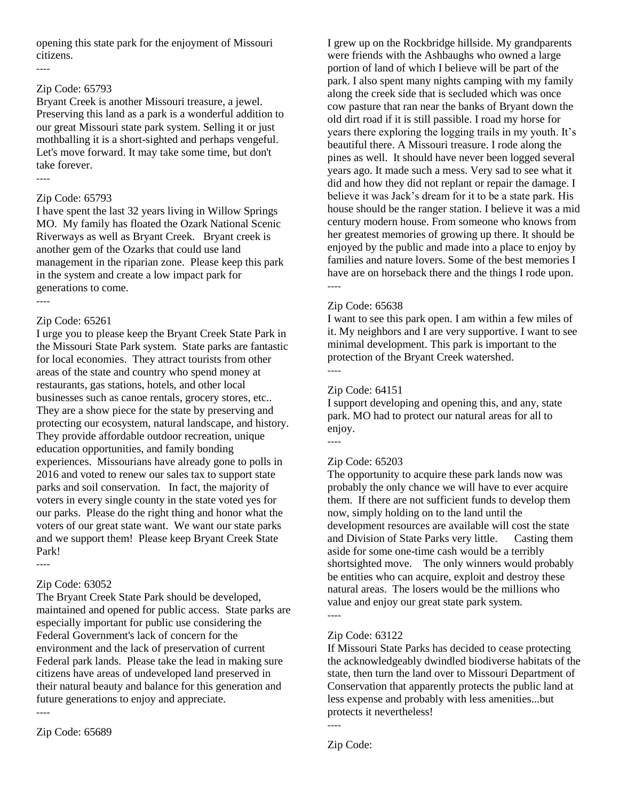opening this state park for the enjoyment of Missouri citizens.

----

# Zip Code: 65793

Bryant Creek is another Missouri treasure, a jewel. Preserving this land as a park is a wonderful addition to our great Missouri state park system. Selling it or just mothballing it is a short-sighted and perhaps vengeful. Let's move forward. It may take some time, but don't take forever. ----

# Zip Code: 65793

I have spent the last 32 years living in Willow Springs MO. My family has floated the Ozark National Scenic Riverways as well as Bryant Creek. Bryant creek is another gem of the Ozarks that could use land management in the riparian zone. Please keep this park in the system and create a low impact park for generations to come.

----

# Zip Code: 65261

I urge you to please keep the Bryant Creek State Park in the Missouri State Park system. State parks are fantastic for local economies. They attract tourists from other areas of the state and country who spend money at restaurants, gas stations, hotels, and other local businesses such as canoe rentals, grocery stores, etc.. They are a show piece for the state by preserving and protecting our ecosystem, natural landscape, and history. They provide affordable outdoor recreation, unique education opportunities, and family bonding experiences. Missourians have already gone to polls in 2016 and voted to renew our sales tax to support state parks and soil conservation. In fact, the majority of voters in every single county in the state voted yes for our parks. Please do the right thing and honor what the voters of our great state want. We want our state parks and we support them! Please keep Bryant Creek State Park!

# Zip Code: 63052

----

The Bryant Creek State Park should be developed, maintained and opened for public access. State parks are especially important for public use considering the Federal Government's lack of concern for the environment and the lack of preservation of current Federal park lands. Please take the lead in making sure citizens have areas of undeveloped land preserved in their natural beauty and balance for this generation and future generations to enjoy and appreciate. ----

Zip Code: 65689

I grew up on the Rockbridge hillside. My grandparents were friends with the Ashbaughs who owned a large portion of land of which I believe will be part of the park. I also spent many nights camping with my family along the creek side that is secluded which was once cow pasture that ran near the banks of Bryant down the old dirt road if it is still passible. I road my horse for years there exploring the logging trails in my youth. It's beautiful there. A Missouri treasure. I rode along the pines as well. It should have never been logged several years ago. It made such a mess. Very sad to see what it did and how they did not replant or repair the damage. I believe it was Jack's dream for it to be a state park. His house should be the ranger station. I believe it was a mid century modern house. From someone who knows from her greatest memories of growing up there. It should be enjoyed by the public and made into a place to enjoy by families and nature lovers. Some of the best memories I have are on horseback there and the things I rode upon. ----

# Zip Code: 65638

I want to see this park open. I am within a few miles of it. My neighbors and I are very supportive. I want to see minimal development. This park is important to the protection of the Bryant Creek watershed.

----

----

# Zip Code: 64151

I support developing and opening this, and any, state park. MO had to protect our natural areas for all to enjoy.

# Zip Code: 65203

The opportunity to acquire these park lands now was probably the only chance we will have to ever acquire them. If there are not sufficient funds to develop them now, simply holding on to the land until the development resources are available will cost the state and Division of State Parks very little. Casting them aside for some one-time cash would be a terribly shortsighted move. The only winners would probably be entities who can acquire, exploit and destroy these natural areas. The losers would be the millions who value and enjoy our great state park system.

# Zip Code: 63122

----

If Missouri State Parks has decided to cease protecting the acknowledgeably dwindled biodiverse habitats of the state, then turn the land over to Missouri Department of Conservation that apparently protects the public land at less expense and probably with less amenities...but protects it nevertheless!

Zip Code:

----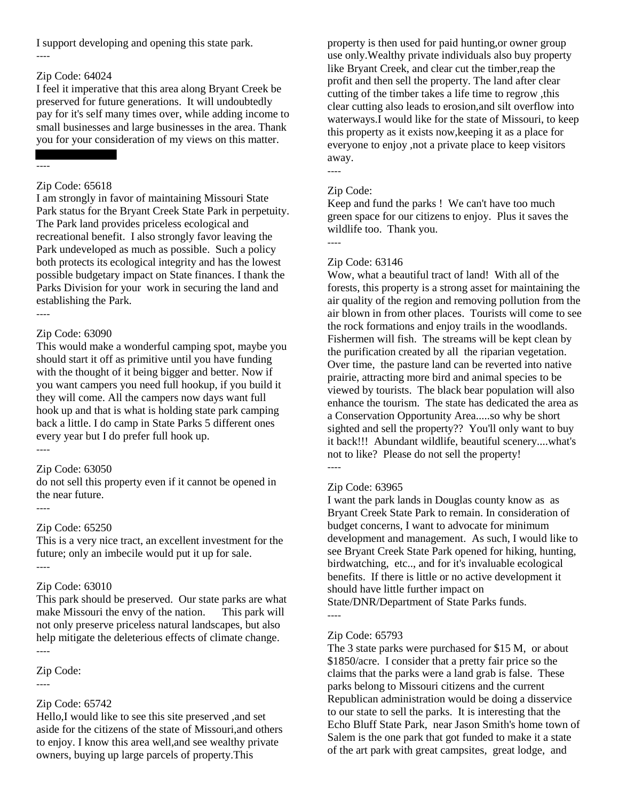I support developing and opening this state park.

# Zip Code: 64024

I feel it imperative that this area along Bryant Creek be preserved for future generations. It will undoubtedly pay for it's self many times over, while adding income to small businesses and large businesses in the area. Thank you for your consideration of my views on this matter.

#### ----

----

# Zip Code: 65618

I am strongly in favor of maintaining Missouri State Park status for the Bryant Creek State Park in perpetuity. The Park land provides priceless ecological and recreational benefit. I also strongly favor leaving the Park undeveloped as much as possible. Such a policy both protects its ecological integrity and has the lowest possible budgetary impact on State finances. I thank the Parks Division for your work in securing the land and establishing the Park.

# Zip Code: 63090

This would make a wonderful camping spot, maybe you should start it off as primitive until you have funding with the thought of it being bigger and better. Now if you want campers you need full hookup, if you build it they will come. All the campers now days want full hook up and that is what is holding state park camping back a little. I do camp in State Parks 5 different ones every year but I do prefer full hook up.

#### ----

----

# Zip Code: 63050

do not sell this property even if it cannot be opened in the near future. ----

# Zip Code: 65250

This is a very nice tract, an excellent investment for the future; only an imbecile would put it up for sale. ----

# Zip Code: 63010

This park should be preserved. Our state parks are what make Missouri the envy of the nation. This park will not only preserve priceless natural landscapes, but also help mitigate the deleterious effects of climate change. ----

# Zip Code:

----

# Zip Code: 65742

Hello,I would like to see this site preserved ,and set aside for the citizens of the state of Missouri,and others to enjoy. I know this area well,and see wealthy private owners, buying up large parcels of property.This

property is then used for paid hunting,or owner group use only.Wealthy private individuals also buy property like Bryant Creek, and clear cut the timber,reap the profit and then sell the property. The land after clear cutting of the timber takes a life time to regrow ,this clear cutting also leads to erosion,and silt overflow into waterways.I would like for the state of Missouri, to keep this property as it exists now,keeping it as a place for everyone to enjoy ,not a private place to keep visitors away. ----

# Zip Code:

Keep and fund the parks ! We can't have too much green space for our citizens to enjoy. Plus it saves the wildlife too. Thank you.

----

# Zip Code: 63146

Wow, what a beautiful tract of land! With all of the forests, this property is a strong asset for maintaining the air quality of the region and removing pollution from the air blown in from other places. Tourists will come to see the rock formations and enjoy trails in the woodlands. Fishermen will fish. The streams will be kept clean by the purification created by all the riparian vegetation. Over time, the pasture land can be reverted into native prairie, attracting more bird and animal species to be viewed by tourists. The black bear population will also enhance the tourism. The state has dedicated the area as a Conservation Opportunity Area.....so why be short sighted and sell the property?? You'll only want to buy it back!!! Abundant wildlife, beautiful scenery....what's not to like? Please do not sell the property!

# ----

----

# Zip Code: 63965

I want the park lands in Douglas county know as as Bryant Creek State Park to remain. In consideration of budget concerns, I want to advocate for minimum development and management. As such, I would like to see Bryant Creek State Park opened for hiking, hunting, birdwatching, etc.., and for it's invaluable ecological benefits. If there is little or no active development it should have little further impact on State/DNR/Department of State Parks funds.

# Zip Code: 65793

The 3 state parks were purchased for \$15 M, or about \$1850/acre. I consider that a pretty fair price so the claims that the parks were a land grab is false. These parks belong to Missouri citizens and the current Republican administration would be doing a disservice to our state to sell the parks. It is interesting that the Echo Bluff State Park, near Jason Smith's home town of Salem is the one park that got funded to make it a state of the art park with great campsites, great lodge, and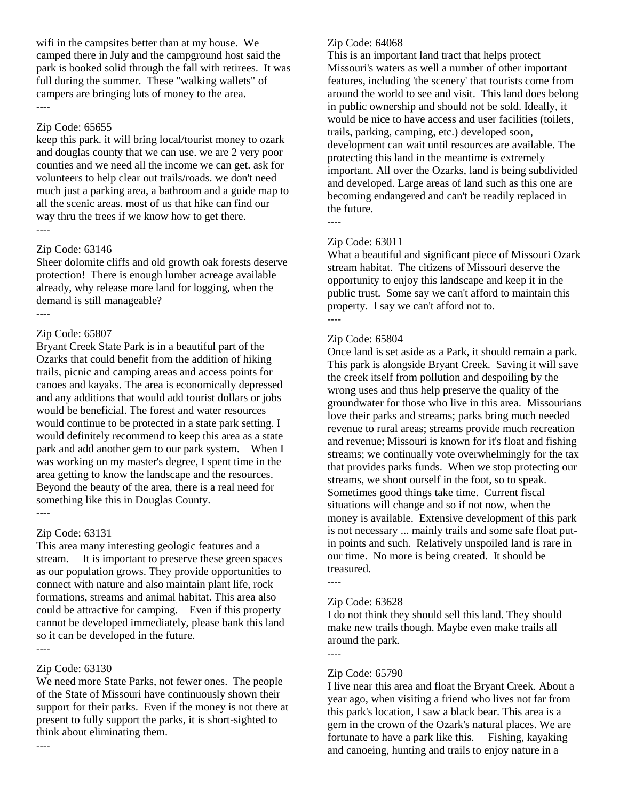wifi in the campsites better than at my house. We camped there in July and the campground host said the park is booked solid through the fall with retirees. It was full during the summer. These "walking wallets" of campers are bringing lots of money to the area. ----

#### Zip Code: 65655

keep this park. it will bring local/tourist money to ozark and douglas county that we can use. we are 2 very poor counties and we need all the income we can get. ask for volunteers to help clear out trails/roads. we don't need much just a parking area, a bathroom and a guide map to all the scenic areas. most of us that hike can find our way thru the trees if we know how to get there. ----

#### Zip Code: 63146

Sheer dolomite cliffs and old growth oak forests deserve protection! There is enough lumber acreage available already, why release more land for logging, when the demand is still manageable? ----

# Zip Code: 65807

Bryant Creek State Park is in a beautiful part of the Ozarks that could benefit from the addition of hiking trails, picnic and camping areas and access points for canoes and kayaks. The area is economically depressed and any additions that would add tourist dollars or jobs would be beneficial. The forest and water resources would continue to be protected in a state park setting. I would definitely recommend to keep this area as a state park and add another gem to our park system. When I was working on my master's degree, I spent time in the area getting to know the landscape and the resources. Beyond the beauty of the area, there is a real need for something like this in Douglas County. ----

# Zip Code: 63131

This area many interesting geologic features and a stream. It is important to preserve these green spaces as our population grows. They provide opportunities to connect with nature and also maintain plant life, rock formations, streams and animal habitat. This area also could be attractive for camping. Even if this property cannot be developed immediately, please bank this land so it can be developed in the future.

# Zip Code: 63130

----

----

We need more State Parks, not fewer ones. The people of the State of Missouri have continuously shown their support for their parks. Even if the money is not there at present to fully support the parks, it is short-sighted to think about eliminating them.

# Zip Code: 64068

This is an important land tract that helps protect Missouri's waters as well a number of other important features, including 'the scenery' that tourists come from around the world to see and visit. This land does belong in public ownership and should not be sold. Ideally, it would be nice to have access and user facilities (toilets, trails, parking, camping, etc.) developed soon, development can wait until resources are available. The protecting this land in the meantime is extremely important. All over the Ozarks, land is being subdivided and developed. Large areas of land such as this one are becoming endangered and can't be readily replaced in the future.

----

# Zip Code: 63011

What a beautiful and significant piece of Missouri Ozark stream habitat. The citizens of Missouri deserve the opportunity to enjoy this landscape and keep it in the public trust. Some say we can't afford to maintain this property. I say we can't afford not to. ----

# Zip Code: 65804

Once land is set aside as a Park, it should remain a park. This park is alongside Bryant Creek. Saving it will save the creek itself from pollution and despoiling by the wrong uses and thus help preserve the quality of the groundwater for those who live in this area. Missourians love their parks and streams; parks bring much needed revenue to rural areas; streams provide much recreation and revenue; Missouri is known for it's float and fishing streams; we continually vote overwhelmingly for the tax that provides parks funds. When we stop protecting our streams, we shoot ourself in the foot, so to speak. Sometimes good things take time. Current fiscal situations will change and so if not now, when the money is available. Extensive development of this park is not necessary ... mainly trails and some safe float putin points and such. Relatively unspoiled land is rare in our time. No more is being created. It should be treasured. ----

#### Zip Code: 63628

I do not think they should sell this land. They should make new trails though. Maybe even make trails all around the park.

----

#### Zip Code: 65790

I live near this area and float the Bryant Creek. About a year ago, when visiting a friend who lives not far from this park's location, I saw a black bear. This area is a gem in the crown of the Ozark's natural places. We are fortunate to have a park like this. Fishing, kayaking and canoeing, hunting and trails to enjoy nature in a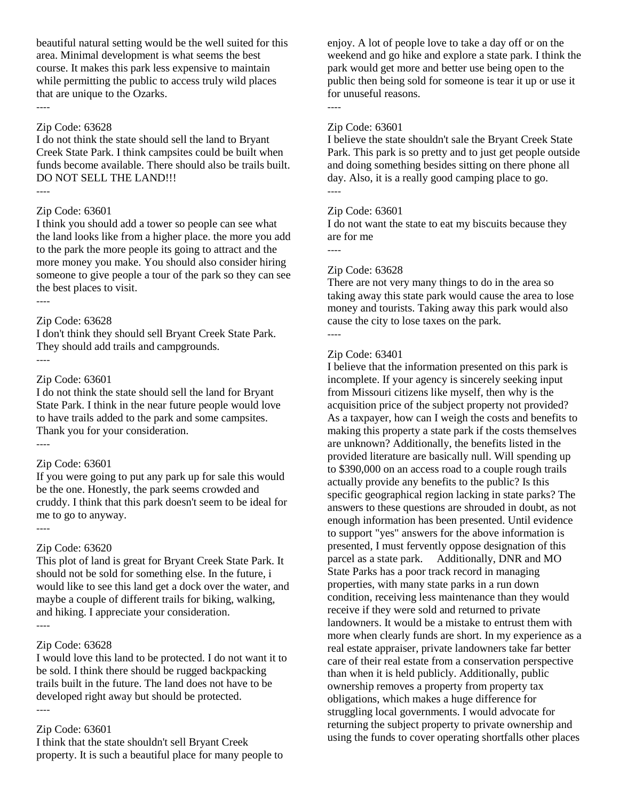beautiful natural setting would be the well suited for this area. Minimal development is what seems the best course. It makes this park less expensive to maintain while permitting the public to access truly wild places that are unique to the Ozarks. ----

#### Zip Code: 63628

I do not think the state should sell the land to Bryant Creek State Park. I think campsites could be built when funds become available. There should also be trails built. DO NOT SELL THE LAND!!!

----

#### Zip Code: 63601

I think you should add a tower so people can see what the land looks like from a higher place. the more you add to the park the more people its going to attract and the more money you make. You should also consider hiring someone to give people a tour of the park so they can see the best places to visit.

----

# Zip Code: 63628

I don't think they should sell Bryant Creek State Park. They should add trails and campgrounds. ----

#### Zip Code: 63601

I do not think the state should sell the land for Bryant State Park. I think in the near future people would love to have trails added to the park and some campsites. Thank you for your consideration. ----

#### Zip Code: 63601

If you were going to put any park up for sale this would be the one. Honestly, the park seems crowded and cruddy. I think that this park doesn't seem to be ideal for me to go to anyway.

#### Zip Code: 63620

----

This plot of land is great for Bryant Creek State Park. It should not be sold for something else. In the future, i would like to see this land get a dock over the water, and maybe a couple of different trails for biking, walking, and hiking. I appreciate your consideration. ----

#### Zip Code: 63628

I would love this land to be protected. I do not want it to be sold. I think there should be rugged backpacking trails built in the future. The land does not have to be developed right away but should be protected. ----

#### Zip Code: 63601

I think that the state shouldn't sell Bryant Creek property. It is such a beautiful place for many people to enjoy. A lot of people love to take a day off or on the weekend and go hike and explore a state park. I think the park would get more and better use being open to the public then being sold for someone is tear it up or use it for unuseful reasons.

#### Zip Code: 63601

I believe the state shouldn't sale the Bryant Creek State Park. This park is so pretty and to just get people outside and doing something besides sitting on there phone all day. Also, it is a really good camping place to go. ----

#### Zip Code: 63601

I do not want the state to eat my biscuits because they are for me

----

----

#### Zip Code: 63628

There are not very many things to do in the area so taking away this state park would cause the area to lose money and tourists. Taking away this park would also cause the city to lose taxes on the park.

# ----

#### Zip Code: 63401

I believe that the information presented on this park is incomplete. If your agency is sincerely seeking input from Missouri citizens like myself, then why is the acquisition price of the subject property not provided? As a taxpayer, how can I weigh the costs and benefits to making this property a state park if the costs themselves are unknown? Additionally, the benefits listed in the provided literature are basically null. Will spending up to \$390,000 on an access road to a couple rough trails actually provide any benefits to the public? Is this specific geographical region lacking in state parks? The answers to these questions are shrouded in doubt, as not enough information has been presented. Until evidence to support "yes" answers for the above information is presented, I must fervently oppose designation of this parcel as a state park. Additionally, DNR and MO State Parks has a poor track record in managing properties, with many state parks in a run down condition, receiving less maintenance than they would receive if they were sold and returned to private landowners. It would be a mistake to entrust them with more when clearly funds are short. In my experience as a real estate appraiser, private landowners take far better care of their real estate from a conservation perspective than when it is held publicly. Additionally, public ownership removes a property from property tax obligations, which makes a huge difference for struggling local governments. I would advocate for returning the subject property to private ownership and using the funds to cover operating shortfalls other places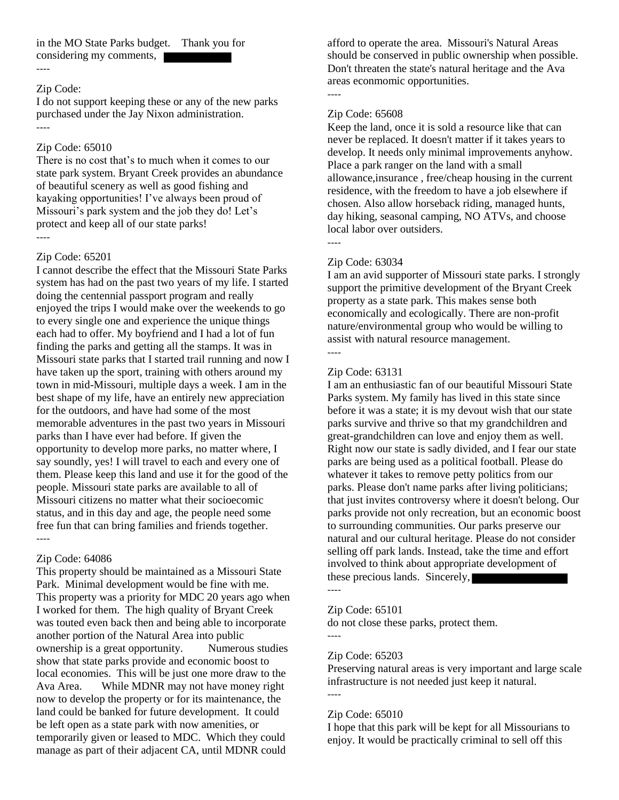in the MO State Parks budget. Thank you for considering my comments,

#### Zip Code:

----

I do not support keeping these or any of the new parks purchased under the Jay Nixon administration. ----

#### Zip Code: 65010

There is no cost that's to much when it comes to our state park system. Bryant Creek provides an abundance of beautiful scenery as well as good fishing and kayaking opportunities! I've always been proud of Missouri's park system and the job they do! Let's protect and keep all of our state parks! ----

#### Zip Code: 65201

I cannot describe the effect that the Missouri State Parks system has had on the past two years of my life. I started doing the centennial passport program and really enjoyed the trips I would make over the weekends to go to every single one and experience the unique things each had to offer. My boyfriend and I had a lot of fun finding the parks and getting all the stamps. It was in Missouri state parks that I started trail running and now I have taken up the sport, training with others around my town in mid-Missouri, multiple days a week. I am in the best shape of my life, have an entirely new appreciation for the outdoors, and have had some of the most memorable adventures in the past two years in Missouri parks than I have ever had before. If given the opportunity to develop more parks, no matter where, I say soundly, yes! I will travel to each and every one of them. Please keep this land and use it for the good of the people. Missouri state parks are available to all of Missouri citizens no matter what their socioecomic status, and in this day and age, the people need some free fun that can bring families and friends together. ----

#### Zip Code: 64086

This property should be maintained as a Missouri State Park. Minimal development would be fine with me. This property was a priority for MDC 20 years ago when I worked for them. The high quality of Bryant Creek was touted even back then and being able to incorporate another portion of the Natural Area into public ownership is a great opportunity. Numerous studies show that state parks provide and economic boost to local economies. This will be just one more draw to the Ava Area. While MDNR may not have money right now to develop the property or for its maintenance, the land could be banked for future development. It could be left open as a state park with now amenities, or temporarily given or leased to MDC. Which they could manage as part of their adjacent CA, until MDNR could

afford to operate the area. Missouri's Natural Areas should be conserved in public ownership when possible. Don't threaten the state's natural heritage and the Ava areas econmomic opportunities.

#### Zip Code: 65608

Keep the land, once it is sold a resource like that can never be replaced. It doesn't matter if it takes years to develop. It needs only minimal improvements anyhow. Place a park ranger on the land with a small allowance,insurance , free/cheap housing in the current residence, with the freedom to have a job elsewhere if chosen. Also allow horseback riding, managed hunts, day hiking, seasonal camping, NO ATVs, and choose local labor over outsiders.

----

----

#### Zip Code: 63034

I am an avid supporter of Missouri state parks. I strongly support the primitive development of the Bryant Creek property as a state park. This makes sense both economically and ecologically. There are non-profit nature/environmental group who would be willing to assist with natural resource management.

----

#### Zip Code: 63131

I am an enthusiastic fan of our beautiful Missouri State Parks system. My family has lived in this state since before it was a state; it is my devout wish that our state parks survive and thrive so that my grandchildren and great-grandchildren can love and enjoy them as well. Right now our state is sadly divided, and I fear our state parks are being used as a political football. Please do whatever it takes to remove petty politics from our parks. Please don't name parks after living politicians; that just invites controversy where it doesn't belong. Our parks provide not only recreation, but an economic boost to surrounding communities. Our parks preserve our natural and our cultural heritage. Please do not consider selling off park lands. Instead, take the time and effort involved to think about appropriate development of these precious lands. Sincerely,

#### Zip Code: 65101

do not close these parks, protect them.

# ----

----

#### Zip Code: 65203

Preserving natural areas is very important and large scale infrastructure is not needed just keep it natural. ----

#### Zip Code: 65010

I hope that this park will be kept for all Missourians to enjoy. It would be practically criminal to sell off this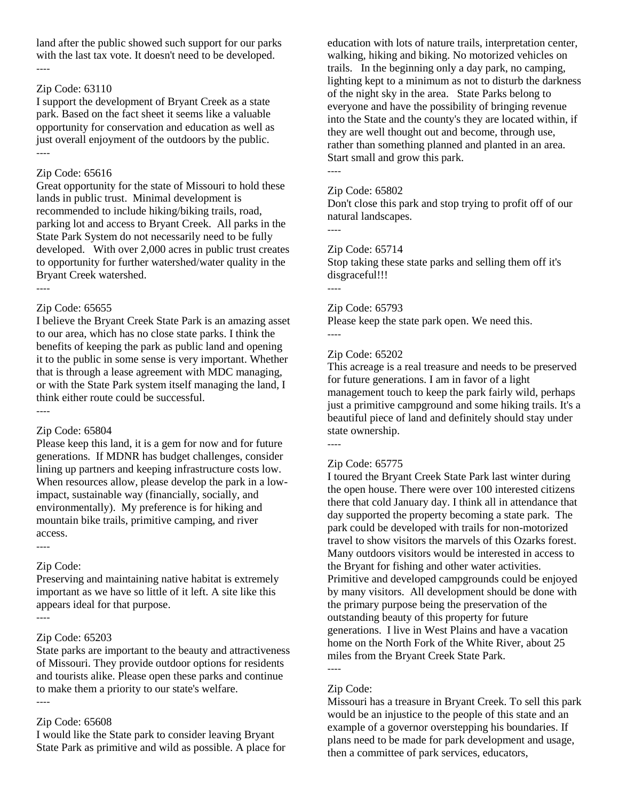land after the public showed such support for our parks with the last tax vote. It doesn't need to be developed. ----

#### Zip Code: 63110

I support the development of Bryant Creek as a state park. Based on the fact sheet it seems like a valuable opportunity for conservation and education as well as just overall enjoyment of the outdoors by the public. ----

#### Zip Code: 65616

Great opportunity for the state of Missouri to hold these lands in public trust. Minimal development is recommended to include hiking/biking trails, road, parking lot and access to Bryant Creek. All parks in the State Park System do not necessarily need to be fully developed. With over 2,000 acres in public trust creates to opportunity for further watershed/water quality in the Bryant Creek watershed.

----

#### Zip Code: 65655

I believe the Bryant Creek State Park is an amazing asset to our area, which has no close state parks. I think the benefits of keeping the park as public land and opening it to the public in some sense is very important. Whether that is through a lease agreement with MDC managing, or with the State Park system itself managing the land, I think either route could be successful. ----

#### Zip Code: 65804

Please keep this land, it is a gem for now and for future generations. If MDNR has budget challenges, consider lining up partners and keeping infrastructure costs low. When resources allow, please develop the park in a lowimpact, sustainable way (financially, socially, and environmentally). My preference is for hiking and mountain bike trails, primitive camping, and river access.

----

Zip Code: Preserving and maintaining native habitat is extremely important as we have so little of it left. A site like this appears ideal for that purpose.

----

# Zip Code: 65203

State parks are important to the beauty and attractiveness of Missouri. They provide outdoor options for residents and tourists alike. Please open these parks and continue to make them a priority to our state's welfare. ----

# Zip Code: 65608

I would like the State park to consider leaving Bryant State Park as primitive and wild as possible. A place for education with lots of nature trails, interpretation center, walking, hiking and biking. No motorized vehicles on trails. In the beginning only a day park, no camping, lighting kept to a minimum as not to disturb the darkness of the night sky in the area. State Parks belong to everyone and have the possibility of bringing revenue into the State and the county's they are located within, if they are well thought out and become, through use, rather than something planned and planted in an area. Start small and grow this park.

----

----

#### Zip Code: 65802

Don't close this park and stop trying to profit off of our natural landscapes.

# Zip Code: 65714

Stop taking these state parks and selling them off it's disgraceful!!!

----

----

#### Zip Code: 65793

Please keep the state park open. We need this. ----

#### Zip Code: 65202

This acreage is a real treasure and needs to be preserved for future generations. I am in favor of a light management touch to keep the park fairly wild, perhaps just a primitive campground and some hiking trails. It's a beautiful piece of land and definitely should stay under state ownership.

# Zip Code: 65775

I toured the Bryant Creek State Park last winter during the open house. There were over 100 interested citizens there that cold January day. I think all in attendance that day supported the property becoming a state park. The park could be developed with trails for non-motorized travel to show visitors the marvels of this Ozarks forest. Many outdoors visitors would be interested in access to the Bryant for fishing and other water activities. Primitive and developed campgrounds could be enjoyed by many visitors. All development should be done with the primary purpose being the preservation of the outstanding beauty of this property for future generations. I live in West Plains and have a vacation home on the North Fork of the White River, about 25 miles from the Bryant Creek State Park.

# Zip Code:

----

Missouri has a treasure in Bryant Creek. To sell this park would be an injustice to the people of this state and an example of a governor overstepping his boundaries. If plans need to be made for park development and usage, then a committee of park services, educators,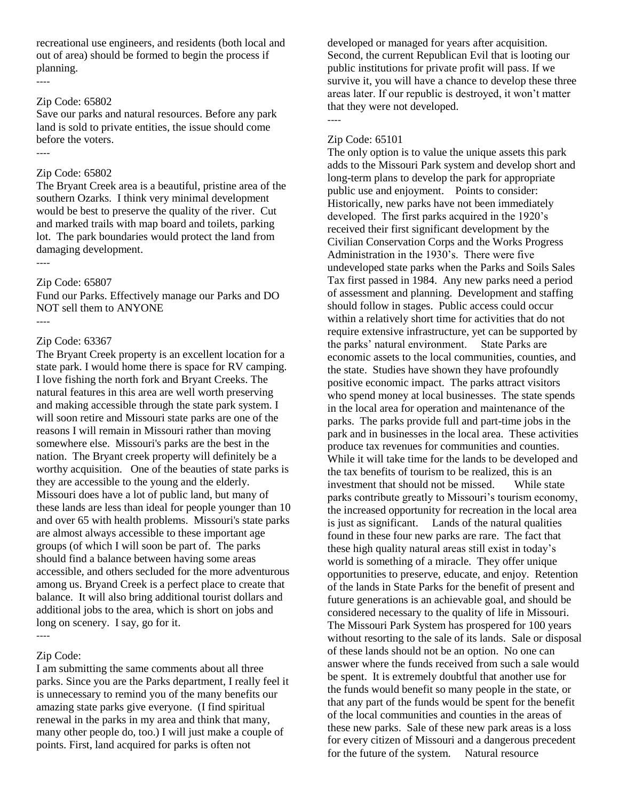recreational use engineers, and residents (both local and out of area) should be formed to begin the process if planning. ----

#### Zip Code: 65802

Save our parks and natural resources. Before any park land is sold to private entities, the issue should come before the voters.

----

#### Zip Code: 65802

The Bryant Creek area is a beautiful, pristine area of the southern Ozarks. I think very minimal development would be best to preserve the quality of the river. Cut and marked trails with map board and toilets, parking lot. The park boundaries would protect the land from damaging development. ----

# Zip Code: 65807

Fund our Parks. Effectively manage our Parks and DO NOT sell them to ANYONE

#### Zip Code: 63367

The Bryant Creek property is an excellent location for a state park. I would home there is space for RV camping. I love fishing the north fork and Bryant Creeks. The natural features in this area are well worth preserving and making accessible through the state park system. I will soon retire and Missouri state parks are one of the reasons I will remain in Missouri rather than moving somewhere else. Missouri's parks are the best in the nation. The Bryant creek property will definitely be a worthy acquisition. One of the beauties of state parks is they are accessible to the young and the elderly. Missouri does have a lot of public land, but many of these lands are less than ideal for people younger than 10 and over 65 with health problems. Missouri's state parks are almost always accessible to these important age groups (of which I will soon be part of. The parks should find a balance between having some areas accessible, and others secluded for the more adventurous among us. Bryand Creek is a perfect place to create that balance. It will also bring additional tourist dollars and additional jobs to the area, which is short on jobs and long on scenery. I say, go for it.

#### Zip Code:

----

I am submitting the same comments about all three parks. Since you are the Parks department, I really feel it is unnecessary to remind you of the many benefits our amazing state parks give everyone. (I find spiritual renewal in the parks in my area and think that many, many other people do, too.) I will just make a couple of points. First, land acquired for parks is often not

developed or managed for years after acquisition. Second, the current Republican Evil that is looting our public institutions for private profit will pass. If we survive it, you will have a chance to develop these three areas later. If our republic is destroyed, it won't matter that they were not developed.

----

#### Zip Code: 65101

The only option is to value the unique assets this park adds to the Missouri Park system and develop short and long-term plans to develop the park for appropriate public use and enjoyment. Points to consider: Historically, new parks have not been immediately developed. The first parks acquired in the 1920's received their first significant development by the Civilian Conservation Corps and the Works Progress Administration in the 1930's. There were five undeveloped state parks when the Parks and Soils Sales Tax first passed in 1984. Any new parks need a period of assessment and planning. Development and staffing should follow in stages. Public access could occur within a relatively short time for activities that do not require extensive infrastructure, yet can be supported by the parks' natural environment. State Parks are economic assets to the local communities, counties, and the state. Studies have shown they have profoundly positive economic impact. The parks attract visitors who spend money at local businesses. The state spends in the local area for operation and maintenance of the parks. The parks provide full and part-time jobs in the park and in businesses in the local area. These activities produce tax revenues for communities and counties. While it will take time for the lands to be developed and the tax benefits of tourism to be realized, this is an investment that should not be missed. While state parks contribute greatly to Missouri's tourism economy, the increased opportunity for recreation in the local area is just as significant. Lands of the natural qualities found in these four new parks are rare. The fact that these high quality natural areas still exist in today's world is something of a miracle. They offer unique opportunities to preserve, educate, and enjoy. Retention of the lands in State Parks for the benefit of present and future generations is an achievable goal, and should be considered necessary to the quality of life in Missouri. The Missouri Park System has prospered for 100 years without resorting to the sale of its lands. Sale or disposal of these lands should not be an option. No one can answer where the funds received from such a sale would be spent. It is extremely doubtful that another use for the funds would benefit so many people in the state, or that any part of the funds would be spent for the benefit of the local communities and counties in the areas of these new parks. Sale of these new park areas is a loss for every citizen of Missouri and a dangerous precedent for the future of the system. Natural resource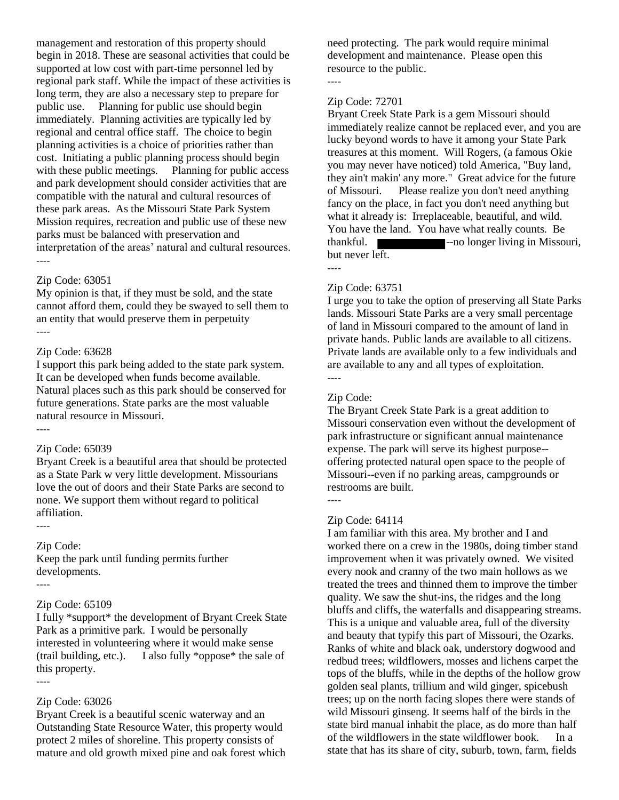management and restoration of this property should begin in 2018. These are seasonal activities that could be supported at low cost with part-time personnel led by regional park staff. While the impact of these activities is long term, they are also a necessary step to prepare for public use. Planning for public use should begin immediately. Planning activities are typically led by regional and central office staff. The choice to begin planning activities is a choice of priorities rather than cost. Initiating a public planning process should begin with these public meetings. Planning for public access and park development should consider activities that are compatible with the natural and cultural resources of these park areas. As the Missouri State Park System Mission requires, recreation and public use of these new parks must be balanced with preservation and interpretation of the areas' natural and cultural resources. ----

#### Zip Code: 63051

My opinion is that, if they must be sold, and the state cannot afford them, could they be swayed to sell them to an entity that would preserve them in perpetuity ----

#### Zip Code: 63628

I support this park being added to the state park system. It can be developed when funds become available. Natural places such as this park should be conserved for future generations. State parks are the most valuable natural resource in Missouri.

# Zip Code: 65039

Bryant Creek is a beautiful area that should be protected as a State Park w very little development. Missourians love the out of doors and their State Parks are second to none. We support them without regard to political affiliation.

#### Zip Code:

Keep the park until funding permits further developments.

#### ----

----

----

----

#### Zip Code: 65109

I fully \*support\* the development of Bryant Creek State Park as a primitive park. I would be personally interested in volunteering where it would make sense (trail building, etc.). I also fully \*oppose\* the sale of this property.

#### Zip Code: 63026

Bryant Creek is a beautiful scenic waterway and an Outstanding State Resource Water, this property would protect 2 miles of shoreline. This property consists of mature and old growth mixed pine and oak forest which need protecting. The park would require minimal development and maintenance. Please open this resource to the public. ----

#### Zip Code: 72701

Bryant Creek State Park is a gem Missouri should immediately realize cannot be replaced ever, and you are lucky beyond words to have it among your State Park treasures at this moment. Will Rogers, (a famous Okie you may never have noticed) told America, "Buy land, they ain't makin' any more." Great advice for the future of Missouri. Please realize you don't need anything fancy on the place, in fact you don't need anything but what it already is: Irreplaceable, beautiful, and wild. You have the land. You have what really counts. Be thankful. **The same of the same of the same of the same of the same of the same of the same of the same of the same of the same of the same of the same of the same of the same of the same of the same of the same of the sam** but never left.

#### Zip Code: 63751

----

I urge you to take the option of preserving all State Parks lands. Missouri State Parks are a very small percentage of land in Missouri compared to the amount of land in private hands. Public lands are available to all citizens. Private lands are available only to a few individuals and are available to any and all types of exploitation. ----

#### Zip Code:

The Bryant Creek State Park is a great addition to Missouri conservation even without the development of park infrastructure or significant annual maintenance expense. The park will serve its highest purpose- offering protected natural open space to the people of Missouri--even if no parking areas, campgrounds or restrooms are built.

# ----

#### Zip Code: 64114

I am familiar with this area. My brother and I and worked there on a crew in the 1980s, doing timber stand improvement when it was privately owned. We visited every nook and cranny of the two main hollows as we treated the trees and thinned them to improve the timber quality. We saw the shut-ins, the ridges and the long bluffs and cliffs, the waterfalls and disappearing streams. This is a unique and valuable area, full of the diversity and beauty that typify this part of Missouri, the Ozarks. Ranks of white and black oak, understory dogwood and redbud trees; wildflowers, mosses and lichens carpet the tops of the bluffs, while in the depths of the hollow grow golden seal plants, trillium and wild ginger, spicebush trees; up on the north facing slopes there were stands of wild Missouri ginseng. It seems half of the birds in the state bird manual inhabit the place, as do more than half of the wildflowers in the state wildflower book. In a state that has its share of city, suburb, town, farm, fields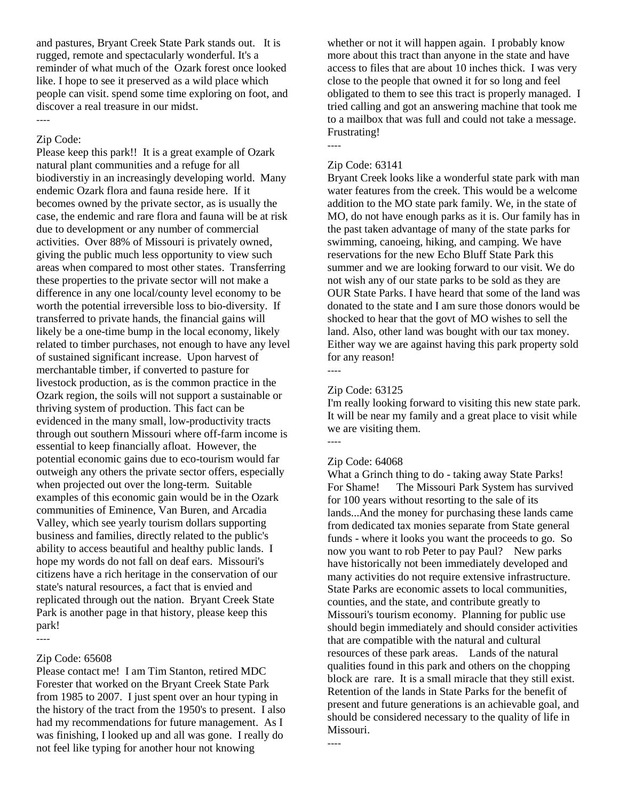and pastures, Bryant Creek State Park stands out. It is rugged, remote and spectacularly wonderful. It's a reminder of what much of the Ozark forest once looked like. I hope to see it preserved as a wild place which people can visit. spend some time exploring on foot, and discover a real treasure in our midst.

#### ----

# Zip Code:

Please keep this park!! It is a great example of Ozark natural plant communities and a refuge for all biodiverstiy in an increasingly developing world. Many endemic Ozark flora and fauna reside here. If it becomes owned by the private sector, as is usually the case, the endemic and rare flora and fauna will be at risk due to development or any number of commercial activities. Over 88% of Missouri is privately owned, giving the public much less opportunity to view such areas when compared to most other states. Transferring these properties to the private sector will not make a difference in any one local/county level economy to be worth the potential irreversible loss to bio-diversity. If transferred to private hands, the financial gains will likely be a one-time bump in the local economy, likely related to timber purchases, not enough to have any level of sustained significant increase. Upon harvest of merchantable timber, if converted to pasture for livestock production, as is the common practice in the Ozark region, the soils will not support a sustainable or thriving system of production. This fact can be evidenced in the many small, low-productivity tracts through out southern Missouri where off-farm income is essential to keep financially afloat. However, the potential economic gains due to eco-tourism would far outweigh any others the private sector offers, especially when projected out over the long-term. Suitable examples of this economic gain would be in the Ozark communities of Eminence, Van Buren, and Arcadia Valley, which see yearly tourism dollars supporting business and families, directly related to the public's ability to access beautiful and healthy public lands. I hope my words do not fall on deaf ears. Missouri's citizens have a rich heritage in the conservation of our state's natural resources, a fact that is envied and replicated through out the nation. Bryant Creek State Park is another page in that history, please keep this park!

#### ----

#### Zip Code: 65608

Please contact me! I am Tim Stanton, retired MDC Forester that worked on the Bryant Creek State Park from 1985 to 2007. I just spent over an hour typing in the history of the tract from the 1950's to present. I also had my recommendations for future management. As I was finishing, I looked up and all was gone. I really do not feel like typing for another hour not knowing

whether or not it will happen again. I probably know more about this tract than anyone in the state and have access to files that are about 10 inches thick. I was very close to the people that owned it for so long and feel obligated to them to see this tract is properly managed. I tried calling and got an answering machine that took me to a mailbox that was full and could not take a message. Frustrating!

#### Zip Code: 63141

----

Bryant Creek looks like a wonderful state park with man water features from the creek. This would be a welcome addition to the MO state park family. We, in the state of MO, do not have enough parks as it is. Our family has in the past taken advantage of many of the state parks for swimming, canoeing, hiking, and camping. We have reservations for the new Echo Bluff State Park this summer and we are looking forward to our visit. We do not wish any of our state parks to be sold as they are OUR State Parks. I have heard that some of the land was donated to the state and I am sure those donors would be shocked to hear that the govt of MO wishes to sell the land. Also, other land was bought with our tax money. Either way we are against having this park property sold for any reason!

----

----

# Zip Code: 63125

I'm really looking forward to visiting this new state park. It will be near my family and a great place to visit while we are visiting them. ----

#### Zip Code: 64068

What a Grinch thing to do - taking away State Parks! For Shame! The Missouri Park System has survived for 100 years without resorting to the sale of its lands...And the money for purchasing these lands came from dedicated tax monies separate from State general funds - where it looks you want the proceeds to go. So now you want to rob Peter to pay Paul? New parks have historically not been immediately developed and many activities do not require extensive infrastructure. State Parks are economic assets to local communities, counties, and the state, and contribute greatly to Missouri's tourism economy. Planning for public use should begin immediately and should consider activities that are compatible with the natural and cultural resources of these park areas. Lands of the natural qualities found in this park and others on the chopping block are rare. It is a small miracle that they still exist. Retention of the lands in State Parks for the benefit of present and future generations is an achievable goal, and should be considered necessary to the quality of life in Missouri.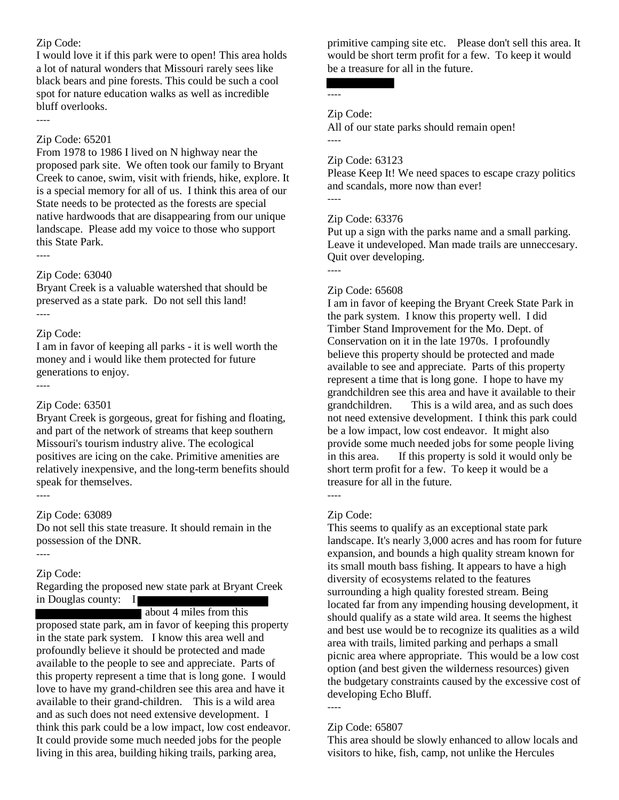I would love it if this park were to open! This area holds a lot of natural wonders that Missouri rarely sees like black bears and pine forests. This could be such a cool spot for nature education walks as well as incredible bluff overlooks.

----

#### Zip Code: 65201

From 1978 to 1986 I lived on N highway near the proposed park site. We often took our family to Bryant Creek to canoe, swim, visit with friends, hike, explore. It is a special memory for all of us. I think this area of our State needs to be protected as the forests are special native hardwoods that are disappearing from our unique landscape. Please add my voice to those who support this State Park.

----

#### Zip Code: 63040

Bryant Creek is a valuable watershed that should be preserved as a state park. Do not sell this land! ----

#### Zip Code:

I am in favor of keeping all parks - it is well worth the money and i would like them protected for future generations to enjoy.

----

# Zip Code: 63501

Bryant Creek is gorgeous, great for fishing and floating, and part of the network of streams that keep southern Missouri's tourism industry alive. The ecological positives are icing on the cake. Primitive amenities are relatively inexpensive, and the long-term benefits should speak for themselves.

----

# Zip Code: 63089

Do not sell this state treasure. It should remain in the possession of the DNR.

----

# Zip Code:

Regarding the proposed new state park at Bryant Creek in Douglas county: I

about 4 miles from this

proposed state park, am in favor of keeping this property in the state park system. I know this area well and profoundly believe it should be protected and made available to the people to see and appreciate. Parts of this property represent a time that is long gone. I would love to have my grand-children see this area and have it available to their grand-children. This is a wild area and as such does not need extensive development. I think this park could be a low impact, low cost endeavor. It could provide some much needed jobs for the people living in this area, building hiking trails, parking area,

primitive camping site etc. Please don't sell this area. It would be short term profit for a few. To keep it would be a treasure for all in the future.

# ----

----

----

Zip Code:

All of our state parks should remain open!

#### Zip Code: 63123

Please Keep It! We need spaces to escape crazy politics and scandals, more now than ever!

#### Zip Code: 63376

Put up a sign with the parks name and a small parking. Leave it undeveloped. Man made trails are unneccesary. Quit over developing.

----

#### Zip Code: 65608

I am in favor of keeping the Bryant Creek State Park in the park system. I know this property well. I did Timber Stand Improvement for the Mo. Dept. of Conservation on it in the late 1970s. I profoundly believe this property should be protected and made available to see and appreciate. Parts of this property represent a time that is long gone. I hope to have my grandchildren see this area and have it available to their grandchildren. This is a wild area, and as such does not need extensive development. I think this park could be a low impact, low cost endeavor. It might also provide some much needed jobs for some people living in this area. If this property is sold it would only be short term profit for a few. To keep it would be a treasure for all in the future.

# Zip Code:

----

This seems to qualify as an exceptional state park landscape. It's nearly 3,000 acres and has room for future expansion, and bounds a high quality stream known for its small mouth bass fishing. It appears to have a high diversity of ecosystems related to the features surrounding a high quality forested stream. Being located far from any impending housing development, it should qualify as a state wild area. It seems the highest and best use would be to recognize its qualities as a wild area with trails, limited parking and perhaps a small picnic area where appropriate. This would be a low cost option (and best given the wilderness resources) given the budgetary constraints caused by the excessive cost of developing Echo Bluff.

# Zip Code: 65807

----

This area should be slowly enhanced to allow locals and visitors to hike, fish, camp, not unlike the Hercules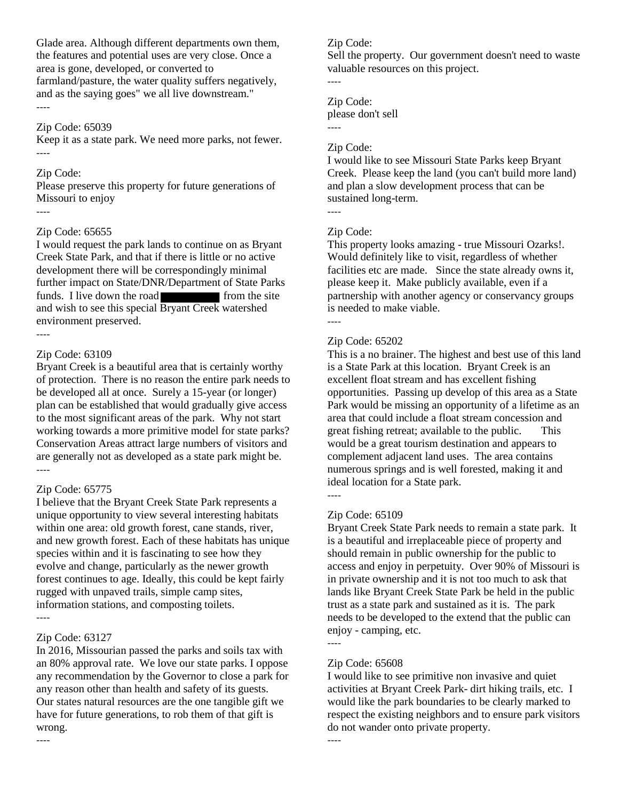Glade area. Although different departments own them, the features and potential uses are very close. Once a area is gone, developed, or converted to farmland/pasture, the water quality suffers negatively, and as the saying goes" we all live downstream." ----

#### Zip Code: 65039

Keep it as a state park. We need more parks, not fewer. ----

#### Zip Code:

Please preserve this property for future generations of Missouri to enjoy

#### ----

#### Zip Code: 65655

I would request the park lands to continue on as Bryant Creek State Park, and that if there is little or no active development there will be correspondingly minimal further impact on State/DNR/Department of State Parks funds. I live down the road from the site and wish to see this special Bryant Creek watershed environment preserved.

#### ----

#### Zip Code: 63109

Bryant Creek is a beautiful area that is certainly worthy of protection. There is no reason the entire park needs to be developed all at once. Surely a 15-year (or longer) plan can be established that would gradually give access to the most significant areas of the park. Why not start working towards a more primitive model for state parks? Conservation Areas attract large numbers of visitors and are generally not as developed as a state park might be. ----

#### Zip Code: 65775

I believe that the Bryant Creek State Park represents a unique opportunity to view several interesting habitats within one area: old growth forest, cane stands, river, and new growth forest. Each of these habitats has unique species within and it is fascinating to see how they evolve and change, particularly as the newer growth forest continues to age. Ideally, this could be kept fairly rugged with unpaved trails, simple camp sites, information stations, and composting toilets. ----

#### Zip Code: 63127

----

In 2016, Missourian passed the parks and soils tax with an 80% approval rate. We love our state parks. I oppose any recommendation by the Governor to close a park for any reason other than health and safety of its guests. Our states natural resources are the one tangible gift we have for future generations, to rob them of that gift is wrong.

#### Zip Code:

Sell the property. Our government doesn't need to waste valuable resources on this project.

#### Zip Code:

----

----

please don't sell

#### Zip Code:

I would like to see Missouri State Parks keep Bryant Creek. Please keep the land (you can't build more land) and plan a slow development process that can be sustained long-term. ----

#### Zip Code:

This property looks amazing - true Missouri Ozarks!. Would definitely like to visit, regardless of whether facilities etc are made. Since the state already owns it, please keep it. Make publicly available, even if a partnership with another agency or conservancy groups is needed to make viable.

#### ----

#### Zip Code: 65202

This is a no brainer. The highest and best use of this land is a State Park at this location. Bryant Creek is an excellent float stream and has excellent fishing opportunities. Passing up develop of this area as a State Park would be missing an opportunity of a lifetime as an area that could include a float stream concession and great fishing retreat; available to the public. This would be a great tourism destination and appears to complement adjacent land uses. The area contains numerous springs and is well forested, making it and ideal location for a State park.

# ----

#### Zip Code: 65109

Bryant Creek State Park needs to remain a state park. It is a beautiful and irreplaceable piece of property and should remain in public ownership for the public to access and enjoy in perpetuity. Over 90% of Missouri is in private ownership and it is not too much to ask that lands like Bryant Creek State Park be held in the public trust as a state park and sustained as it is. The park needs to be developed to the extend that the public can enjoy - camping, etc. ----

# Zip Code: 65608

----

I would like to see primitive non invasive and quiet activities at Bryant Creek Park- dirt hiking trails, etc. I would like the park boundaries to be clearly marked to respect the existing neighbors and to ensure park visitors do not wander onto private property.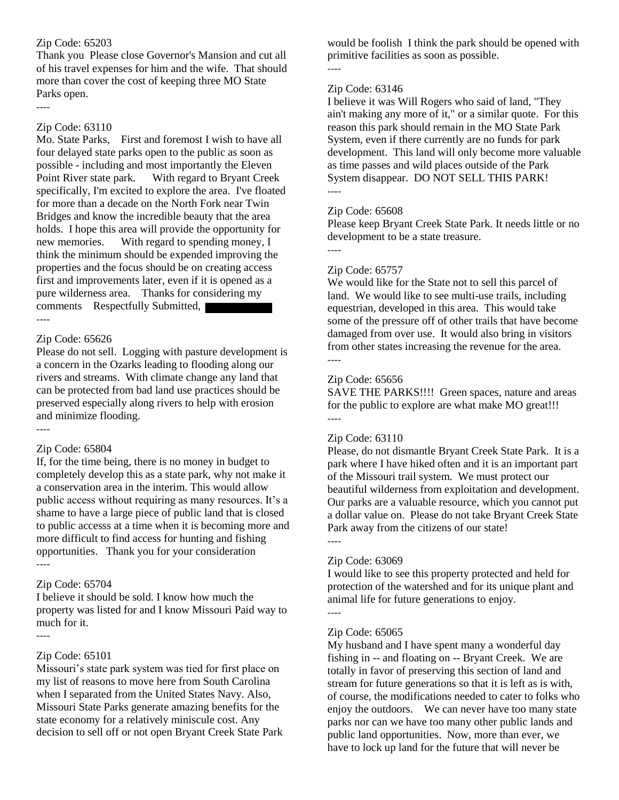Thank you Please close Governor's Mansion and cut all of his travel expenses for him and the wife. That should more than cover the cost of keeping three MO State Parks open.

# Zip Code: 63110

----

Mo. State Parks, First and foremost I wish to have all four delayed state parks open to the public as soon as possible - including and most importantly the Eleven Point River state park. With regard to Bryant Creek specifically, I'm excited to explore the area. I've floated for more than a decade on the North Fork near Twin Bridges and know the incredible beauty that the area holds. I hope this area will provide the opportunity for new memories. With regard to spending money, I think the minimum should be expended improving the properties and the focus should be on creating access first and improvements later, even if it is opened as a pure wilderness area. Thanks for considering my comments Respectfully Submitted, ----

# Zip Code: 65626

Please do not sell. Logging with pasture development is a concern in the Ozarks leading to flooding along our rivers and streams. With climate change any land that can be protected from bad land use practices should be preserved especially along rivers to help with erosion and minimize flooding.

# Zip Code: 65804

----

If, for the time being, there is no money in budget to completely develop this as a state park, why not make it a conservation area in the interim. This would allow public access without requiring as many resources. It's a shame to have a large piece of public land that is closed to public accesss at a time when it is becoming more and more difficult to find access for hunting and fishing opportunities. Thank you for your consideration ----

# Zip Code: 65704

I believe it should be sold. I know how much the property was listed for and I know Missouri Paid way to much for it.

# ----

# Zip Code: 65101

Missouri's state park system was tied for first place on my list of reasons to move here from South Carolina when I separated from the United States Navy. Also, Missouri State Parks generate amazing benefits for the state economy for a relatively miniscule cost. Any decision to sell off or not open Bryant Creek State Park would be foolish I think the park should be opened with primitive facilities as soon as possible. ----

# Zip Code: 63146

I believe it was Will Rogers who said of land, "They ain't making any more of it," or a similar quote. For this reason this park should remain in the MO State Park System, even if there currently are no funds for park development. This land will only become more valuable as time passes and wild places outside of the Park System disappear. DO NOT SELL THIS PARK! ----

# Zip Code: 65608

Please keep Bryant Creek State Park. It needs little or no development to be a state treasure.

----

# Zip Code: 65757

We would like for the State not to sell this parcel of land. We would like to see multi-use trails, including equestrian, developed in this area. This would take some of the pressure off of other trails that have become damaged from over use. It would also bring in visitors from other states increasing the revenue for the area. ----

# Zip Code: 65656

SAVE THE PARKS!!!! Green spaces, nature and areas for the public to explore are what make MO great!!! ----

# Zip Code: 63110

Please, do not dismantle Bryant Creek State Park. It is a park where I have hiked often and it is an important part of the Missouri trail system. We must protect our beautiful wilderness from exploitation and development. Our parks are a valuable resource, which you cannot put a dollar value on. Please do not take Bryant Creek State Park away from the citizens of our state!

# ----

# Zip Code: 63069

I would like to see this property protected and held for protection of the watershed and for its unique plant and animal life for future generations to enjoy. ----

# Zip Code: 65065

My husband and I have spent many a wonderful day fishing in -- and floating on -- Bryant Creek. We are totally in favor of preserving this section of land and stream for future generations so that it is left as is with, of course, the modifications needed to cater to folks who enjoy the outdoors. We can never have too many state parks nor can we have too many other public lands and public land opportunities. Now, more than ever, we have to lock up land for the future that will never be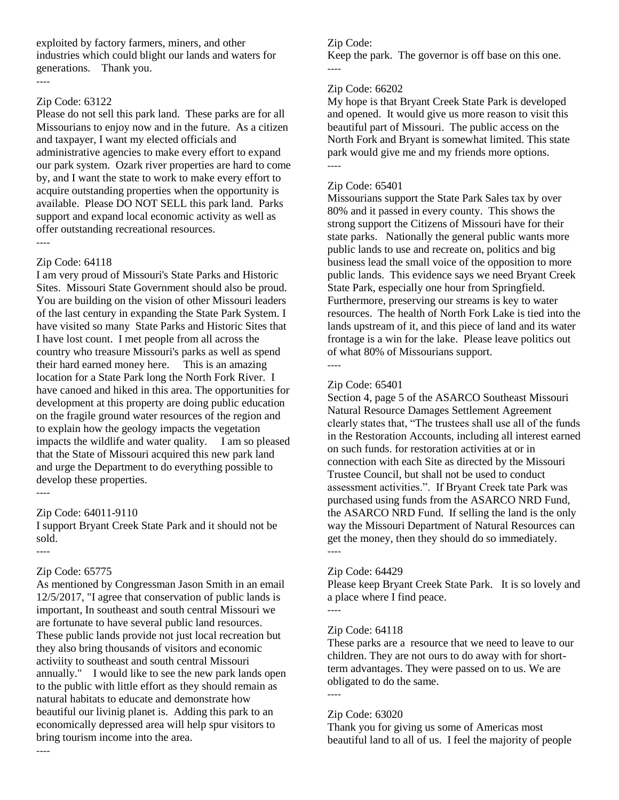exploited by factory farmers, miners, and other industries which could blight our lands and waters for generations. Thank you. ----

#### Zip Code: 63122

Please do not sell this park land. These parks are for all Missourians to enjoy now and in the future. As a citizen and taxpayer, I want my elected officials and administrative agencies to make every effort to expand our park system. Ozark river properties are hard to come by, and I want the state to work to make every effort to acquire outstanding properties when the opportunity is available. Please DO NOT SELL this park land. Parks support and expand local economic activity as well as offer outstanding recreational resources. ----

# Zip Code: 64118

I am very proud of Missouri's State Parks and Historic Sites. Missouri State Government should also be proud. You are building on the vision of other Missouri leaders of the last century in expanding the State Park System. I have visited so many State Parks and Historic Sites that I have lost count. I met people from all across the country who treasure Missouri's parks as well as spend their hard earned money here. This is an amazing location for a State Park long the North Fork River. I have canoed and hiked in this area. The opportunities for development at this property are doing public education on the fragile ground water resources of the region and to explain how the geology impacts the vegetation impacts the wildlife and water quality. I am so pleased that the State of Missouri acquired this new park land and urge the Department to do everything possible to develop these properties.

----

# Zip Code: 64011-9110

I support Bryant Creek State Park and it should not be sold.

----

# Zip Code: 65775

As mentioned by Congressman Jason Smith in an email 12/5/2017, "I agree that conservation of public lands is important, In southeast and south central Missouri we are fortunate to have several public land resources. These public lands provide not just local recreation but they also bring thousands of visitors and economic activiity to southeast and south central Missouri annually." I would like to see the new park lands open to the public with little effort as they should remain as natural habitats to educate and demonstrate how beautiful our livinig planet is. Adding this park to an economically depressed area will help spur visitors to bring tourism income into the area.

# Zip Code:

Keep the park. The governor is off base on this one. ----

# Zip Code: 66202

My hope is that Bryant Creek State Park is developed and opened. It would give us more reason to visit this beautiful part of Missouri. The public access on the North Fork and Bryant is somewhat limited. This state park would give me and my friends more options. ----

# Zip Code: 65401

Missourians support the State Park Sales tax by over 80% and it passed in every county. This shows the strong support the Citizens of Missouri have for their state parks. Nationally the general public wants more public lands to use and recreate on, politics and big business lead the small voice of the opposition to more public lands. This evidence says we need Bryant Creek State Park, especially one hour from Springfield. Furthermore, preserving our streams is key to water resources. The health of North Fork Lake is tied into the lands upstream of it, and this piece of land and its water frontage is a win for the lake. Please leave politics out of what 80% of Missourians support.

# Zip Code: 65401

----

Section 4, page 5 of the ASARCO Southeast Missouri Natural Resource Damages Settlement Agreement clearly states that, "The trustees shall use all of the funds in the Restoration Accounts, including all interest earned on such funds. for restoration activities at or in connection with each Site as directed by the Missouri Trustee Council, but shall not be used to conduct assessment activities.". If Bryant Creek tate Park was purchased using funds from the ASARCO NRD Fund, the ASARCO NRD Fund. If selling the land is the only way the Missouri Department of Natural Resources can get the money, then they should do so immediately. ----

# Zip Code: 64429

Please keep Bryant Creek State Park. It is so lovely and a place where I find peace.

# ----

# Zip Code: 64118

These parks are a resource that we need to leave to our children. They are not ours to do away with for shortterm advantages. They were passed on to us. We are obligated to do the same. ----

# Zip Code: 63020

Thank you for giving us some of Americas most beautiful land to all of us. I feel the majority of people

----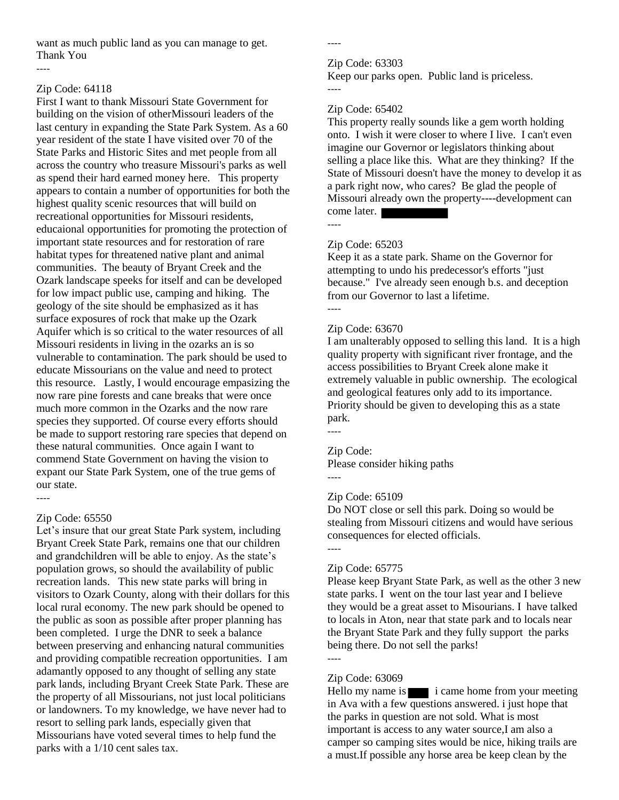want as much public land as you can manage to get. Thank You

----

# Zip Code: 64118

First I want to thank Missouri State Government for building on the vision of otherMissouri leaders of the last century in expanding the State Park System. As a 60 year resident of the state I have visited over 70 of the State Parks and Historic Sites and met people from all across the country who treasure Missouri's parks as well as spend their hard earned money here. This property appears to contain a number of opportunities for both the highest quality scenic resources that will build on recreational opportunities for Missouri residents, educaional opportunities for promoting the protection of important state resources and for restoration of rare habitat types for threatened native plant and animal communities. The beauty of Bryant Creek and the Ozark landscape speeks for itself and can be developed for low impact public use, camping and hiking. The geology of the site should be emphasized as it has surface exposures of rock that make up the Ozark Aquifer which is so critical to the water resources of all Missouri residents in living in the ozarks an is so vulnerable to contamination. The park should be used to educate Missourians on the value and need to protect this resource. Lastly, I would encourage empasizing the now rare pine forests and cane breaks that were once much more common in the Ozarks and the now rare species they supported. Of course every efforts should be made to support restoring rare species that depend on these natural communities. Once again I want to commend State Government on having the vision to expant our State Park System, one of the true gems of our state. ----

# Zip Code: 65550

Let's insure that our great State Park system, including Bryant Creek State Park, remains one that our children and grandchildren will be able to enjoy. As the state's population grows, so should the availability of public recreation lands. This new state parks will bring in visitors to Ozark County, along with their dollars for this local rural economy. The new park should be opened to the public as soon as possible after proper planning has been completed. I urge the DNR to seek a balance between preserving and enhancing natural communities and providing compatible recreation opportunities. I am adamantly opposed to any thought of selling any state park lands, including Bryant Creek State Park. These are the property of all Missourians, not just local politicians or landowners. To my knowledge, we have never had to resort to selling park lands, especially given that Missourians have voted several times to help fund the parks with a 1/10 cent sales tax.

----

#### Zip Code: 63303

Keep our parks open. Public land is priceless. ----

# Zip Code: 65402

This property really sounds like a gem worth holding onto. I wish it were closer to where I live. I can't even imagine our Governor or legislators thinking about selling a place like this. What are they thinking? If the State of Missouri doesn't have the money to develop it as a park right now, who cares? Be glad the people of Missouri already own the property----development can come later. ----

# Zip Code: 65203

Keep it as a state park. Shame on the Governor for attempting to undo his predecessor's efforts "just because." I've already seen enough b.s. and deception from our Governor to last a lifetime. ----

# Zip Code: 63670

I am unalterably opposed to selling this land. It is a high quality property with significant river frontage, and the access possibilities to Bryant Creek alone make it extremely valuable in public ownership. The ecological and geological features only add to its importance. Priority should be given to developing this as a state park. ----

# Zip Code:

Please consider hiking paths

#### ----

----

# Zip Code: 65109

Do NOT close or sell this park. Doing so would be stealing from Missouri citizens and would have serious consequences for elected officials.

# Zip Code: 65775

Please keep Bryant State Park, as well as the other 3 new state parks. I went on the tour last year and I believe they would be a great asset to Misourians. I have talked to locals in Aton, near that state park and to locals near the Bryant State Park and they fully support the parks being there. Do not sell the parks!

# ----

# Zip Code: 63069

Hello my name is  $\blacksquare$  i came home from your meeting in Ava with a few questions answered. i just hope that the parks in question are not sold. What is most important is access to any water source,I am also a camper so camping sites would be nice, hiking trails are a must.If possible any horse area be keep clean by the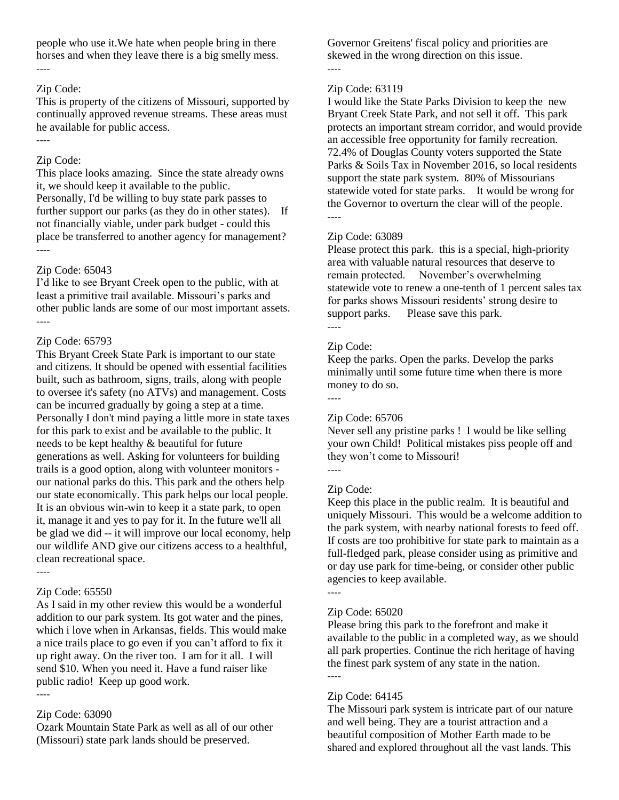people who use it.We hate when people bring in there horses and when they leave there is a big smelly mess. ----

#### Zip Code:

This is property of the citizens of Missouri, supported by continually approved revenue streams. These areas must he available for public access.

# Zip Code:

----

This place looks amazing. Since the state already owns it, we should keep it available to the public. Personally, I'd be willing to buy state park passes to further support our parks (as they do in other states). If not financially viable, under park budget - could this place be transferred to another agency for management? ----

# Zip Code: 65043

I'd like to see Bryant Creek open to the public, with at least a primitive trail available. Missouri's parks and other public lands are some of our most important assets. ----

# Zip Code: 65793

This Bryant Creek State Park is important to our state and citizens. It should be opened with essential facilities built, such as bathroom, signs, trails, along with people to oversee it's safety (no ATVs) and management. Costs can be incurred gradually by going a step at a time. Personally I don't mind paying a little more in state taxes for this park to exist and be available to the public. It needs to be kept healthy & beautiful for future generations as well. Asking for volunteers for building trails is a good option, along with volunteer monitors our national parks do this. This park and the others help our state economically. This park helps our local people. It is an obvious win-win to keep it a state park, to open it, manage it and yes to pay for it. In the future we'll all be glad we did -- it will improve our local economy, help our wildlife AND give our citizens access to a healthful, clean recreational space.

----

# Zip Code: 65550

As I said in my other review this would be a wonderful addition to our park system. Its got water and the pines, which i love when in Arkansas, fields. This would make a nice trails place to go even if you can't afford to fix it up right away. On the river too. I am for it all. I will send \$10. When you need it. Have a fund raiser like public radio! Keep up good work. ----

# Zip Code: 63090

Ozark Mountain State Park as well as all of our other (Missouri) state park lands should be preserved.

Governor Greitens' fiscal policy and priorities are skewed in the wrong direction on this issue.

# Zip Code: 63119

----

I would like the State Parks Division to keep the new Bryant Creek State Park, and not sell it off. This park protects an important stream corridor, and would provide an accessible free opportunity for family recreation. 72.4% of Douglas County voters supported the State Parks & Soils Tax in November 2016, so local residents support the state park system. 80% of Missourians statewide voted for state parks. It would be wrong for the Governor to overturn the clear will of the people. ----

# Zip Code: 63089

Please protect this park. this is a special, high-priority area with valuable natural resources that deserve to remain protected. November's overwhelming statewide vote to renew a one-tenth of 1 percent sales tax for parks shows Missouri residents' strong desire to support parks. Please save this park. ----

# Zip Code:

Keep the parks. Open the parks. Develop the parks minimally until some future time when there is more money to do so. ----

# Zip Code: 65706

Never sell any pristine parks ! I would be like selling your own Child! Political mistakes piss people off and they won't come to Missouri!

# Zip Code:

Keep this place in the public realm. It is beautiful and uniquely Missouri. This would be a welcome addition to the park system, with nearby national forests to feed off. If costs are too prohibitive for state park to maintain as a full-fledged park, please consider using as primitive and or day use park for time-being, or consider other public agencies to keep available.

----

# Zip Code: 65020

Please bring this park to the forefront and make it available to the public in a completed way, as we should all park properties. Continue the rich heritage of having the finest park system of any state in the nation. ----

# Zip Code: 64145

The Missouri park system is intricate part of our nature and well being. They are a tourist attraction and a beautiful composition of Mother Earth made to be shared and explored throughout all the vast lands. This

<sup>----</sup>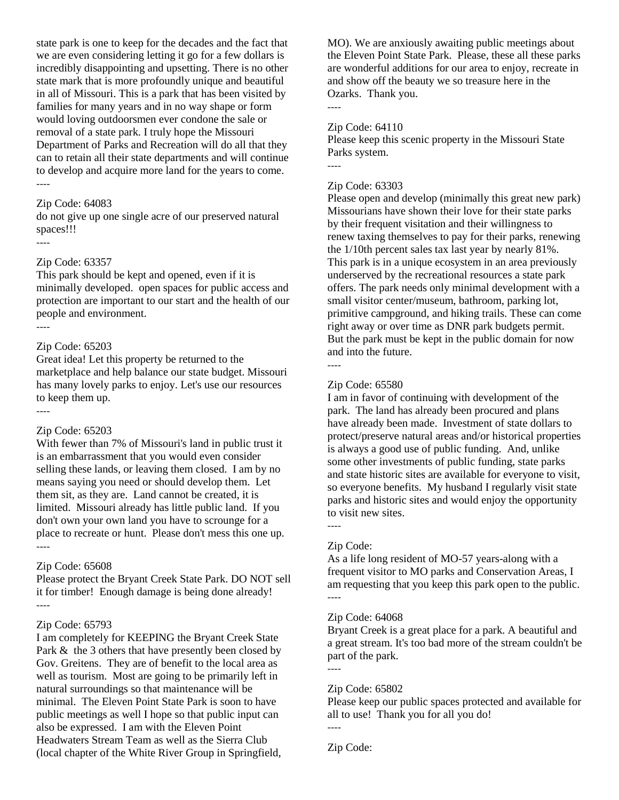state park is one to keep for the decades and the fact that we are even considering letting it go for a few dollars is incredibly disappointing and upsetting. There is no other state mark that is more profoundly unique and beautiful in all of Missouri. This is a park that has been visited by families for many years and in no way shape or form would loving outdoorsmen ever condone the sale or removal of a state park. I truly hope the Missouri Department of Parks and Recreation will do all that they can to retain all their state departments and will continue to develop and acquire more land for the years to come. ----

#### Zip Code: 64083

do not give up one single acre of our preserved natural spaces!!!

#### Zip Code: 63357

----

This park should be kept and opened, even if it is minimally developed. open spaces for public access and protection are important to our start and the health of our people and environment. ----

#### Zip Code: 65203

Great idea! Let this property be returned to the marketplace and help balance our state budget. Missouri has many lovely parks to enjoy. Let's use our resources to keep them up. ----

#### Zip Code: 65203

With fewer than 7% of Missouri's land in public trust it is an embarrassment that you would even consider selling these lands, or leaving them closed. I am by no means saying you need or should develop them. Let them sit, as they are. Land cannot be created, it is limited. Missouri already has little public land. If you don't own your own land you have to scrounge for a place to recreate or hunt. Please don't mess this one up. ----

#### Zip Code: 65608

Please protect the Bryant Creek State Park. DO NOT sell it for timber! Enough damage is being done already! ----

#### Zip Code: 65793

I am completely for KEEPING the Bryant Creek State Park & the 3 others that have presently been closed by Gov. Greitens. They are of benefit to the local area as well as tourism. Most are going to be primarily left in natural surroundings so that maintenance will be minimal. The Eleven Point State Park is soon to have public meetings as well I hope so that public input can also be expressed. I am with the Eleven Point Headwaters Stream Team as well as the Sierra Club (local chapter of the White River Group in Springfield, MO). We are anxiously awaiting public meetings about the Eleven Point State Park. Please, these all these parks are wonderful additions for our area to enjoy, recreate in and show off the beauty we so treasure here in the Ozarks. Thank you.

#### Zip Code: 64110

Please keep this scenic property in the Missouri State Parks system.

----

----

#### Zip Code: 63303

Please open and develop (minimally this great new park) Missourians have shown their love for their state parks by their frequent visitation and their willingness to renew taxing themselves to pay for their parks, renewing the 1/10th percent sales tax last year by nearly 81%. This park is in a unique ecosystem in an area previously underserved by the recreational resources a state park offers. The park needs only minimal development with a small visitor center/museum, bathroom, parking lot, primitive campground, and hiking trails. These can come right away or over time as DNR park budgets permit. But the park must be kept in the public domain for now and into the future.

#### Zip Code: 65580

----

I am in favor of continuing with development of the park. The land has already been procured and plans have already been made. Investment of state dollars to protect/preserve natural areas and/or historical properties is always a good use of public funding. And, unlike some other investments of public funding, state parks and state historic sites are available for everyone to visit, so everyone benefits. My husband I regularly visit state parks and historic sites and would enjoy the opportunity to visit new sites.

#### Zip Code:

----

As a life long resident of MO-57 years-along with a frequent visitor to MO parks and Conservation Areas, I am requesting that you keep this park open to the public. ----

#### Zip Code: 64068

Bryant Creek is a great place for a park. A beautiful and a great stream. It's too bad more of the stream couldn't be part of the park.

# ----

# Zip Code: 65802

Please keep our public spaces protected and available for all to use! Thank you for all you do!

Zip Code:

----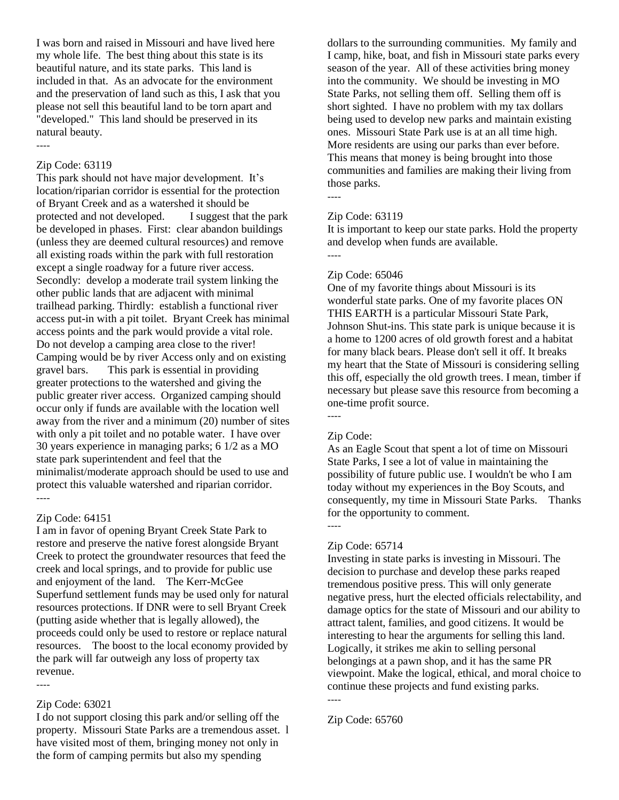I was born and raised in Missouri and have lived here my whole life. The best thing about this state is its beautiful nature, and its state parks. This land is included in that. As an advocate for the environment and the preservation of land such as this, I ask that you please not sell this beautiful land to be torn apart and "developed." This land should be preserved in its natural beauty.

## Zip Code: 63119

----

This park should not have major development. It's location/riparian corridor is essential for the protection of Bryant Creek and as a watershed it should be protected and not developed. I suggest that the park be developed in phases. First: clear abandon buildings (unless they are deemed cultural resources) and remove all existing roads within the park with full restoration except a single roadway for a future river access. Secondly: develop a moderate trail system linking the other public lands that are adjacent with minimal trailhead parking. Thirdly: establish a functional river access put-in with a pit toilet. Bryant Creek has minimal access points and the park would provide a vital role. Do not develop a camping area close to the river! Camping would be by river Access only and on existing gravel bars. This park is essential in providing greater protections to the watershed and giving the public greater river access. Organized camping should occur only if funds are available with the location well away from the river and a minimum (20) number of sites with only a pit toilet and no potable water. I have over 30 years experience in managing parks; 6 1/2 as a MO state park superintendent and feel that the minimalist/moderate approach should be used to use and protect this valuable watershed and riparian corridor. ----

#### Zip Code: 64151

I am in favor of opening Bryant Creek State Park to restore and preserve the native forest alongside Bryant Creek to protect the groundwater resources that feed the creek and local springs, and to provide for public use and enjoyment of the land. The Kerr-McGee Superfund settlement funds may be used only for natural resources protections. If DNR were to sell Bryant Creek (putting aside whether that is legally allowed), the proceeds could only be used to restore or replace natural resources. The boost to the local economy provided by the park will far outweigh any loss of property tax revenue.

----

#### Zip Code: 63021

I do not support closing this park and/or selling off the property. Missouri State Parks are a tremendous asset. l have visited most of them, bringing money not only in the form of camping permits but also my spending

dollars to the surrounding communities. My family and I camp, hike, boat, and fish in Missouri state parks every season of the year. All of these activities bring money into the community. We should be investing in MO State Parks, not selling them off. Selling them off is short sighted. I have no problem with my tax dollars being used to develop new parks and maintain existing ones. Missouri State Park use is at an all time high. More residents are using our parks than ever before. This means that money is being brought into those communities and families are making their living from those parks.

#### Zip Code: 63119

It is important to keep our state parks. Hold the property and develop when funds are available.

----

----

#### Zip Code: 65046

One of my favorite things about Missouri is its wonderful state parks. One of my favorite places ON THIS EARTH is a particular Missouri State Park, Johnson Shut-ins. This state park is unique because it is a home to 1200 acres of old growth forest and a habitat for many black bears. Please don't sell it off. It breaks my heart that the State of Missouri is considering selling this off, especially the old growth trees. I mean, timber if necessary but please save this resource from becoming a one-time profit source. ----

## Zip Code:

----

As an Eagle Scout that spent a lot of time on Missouri State Parks, I see a lot of value in maintaining the possibility of future public use. I wouldn't be who I am today without my experiences in the Boy Scouts, and consequently, my time in Missouri State Parks. Thanks for the opportunity to comment.

#### Zip Code: 65714

Investing in state parks is investing in Missouri. The decision to purchase and develop these parks reaped tremendous positive press. This will only generate negative press, hurt the elected officials relectability, and damage optics for the state of Missouri and our ability to attract talent, families, and good citizens. It would be interesting to hear the arguments for selling this land. Logically, it strikes me akin to selling personal belongings at a pawn shop, and it has the same PR viewpoint. Make the logical, ethical, and moral choice to continue these projects and fund existing parks. ----

Zip Code: 65760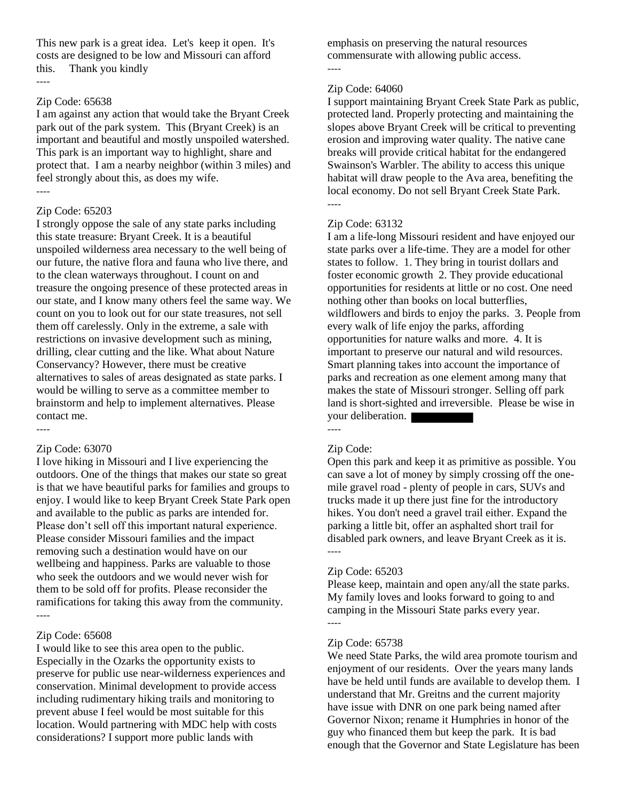This new park is a great idea. Let's keep it open. It's costs are designed to be low and Missouri can afford this. Thank you kindly ----

#### Zip Code: 65638

I am against any action that would take the Bryant Creek park out of the park system. This (Bryant Creek) is an important and beautiful and mostly unspoiled watershed. This park is an important way to highlight, share and protect that. I am a nearby neighbor (within 3 miles) and feel strongly about this, as does my wife. ----

## Zip Code: 65203

I strongly oppose the sale of any state parks including this state treasure: Bryant Creek. It is a beautiful unspoiled wilderness area necessary to the well being of our future, the native flora and fauna who live there, and to the clean waterways throughout. I count on and treasure the ongoing presence of these protected areas in our state, and I know many others feel the same way. We count on you to look out for our state treasures, not sell them off carelessly. Only in the extreme, a sale with restrictions on invasive development such as mining, drilling, clear cutting and the like. What about Nature Conservancy? However, there must be creative alternatives to sales of areas designated as state parks. I would be willing to serve as a committee member to brainstorm and help to implement alternatives. Please contact me. ----

## Zip Code: 63070

I love hiking in Missouri and I live experiencing the outdoors. One of the things that makes our state so great is that we have beautiful parks for families and groups to enjoy. I would like to keep Bryant Creek State Park open and available to the public as parks are intended for. Please don't sell off this important natural experience. Please consider Missouri families and the impact removing such a destination would have on our wellbeing and happiness. Parks are valuable to those who seek the outdoors and we would never wish for them to be sold off for profits. Please reconsider the ramifications for taking this away from the community. ----

## Zip Code: 65608

I would like to see this area open to the public. Especially in the Ozarks the opportunity exists to preserve for public use near-wilderness experiences and conservation. Minimal development to provide access including rudimentary hiking trails and monitoring to prevent abuse I feel would be most suitable for this location. Would partnering with MDC help with costs considerations? I support more public lands with

emphasis on preserving the natural resources commensurate with allowing public access.

# ----

## Zip Code: 64060

I support maintaining Bryant Creek State Park as public, protected land. Properly protecting and maintaining the slopes above Bryant Creek will be critical to preventing erosion and improving water quality. The native cane breaks will provide critical habitat for the endangered Swainson's Warbler. The ability to access this unique habitat will draw people to the Ava area, benefiting the local economy. Do not sell Bryant Creek State Park. ----

## Zip Code: 63132

I am a life-long Missouri resident and have enjoyed our state parks over a life-time. They are a model for other states to follow. 1. They bring in tourist dollars and foster economic growth 2. They provide educational opportunities for residents at little or no cost. One need nothing other than books on local butterflies, wildflowers and birds to enjoy the parks. 3. People from every walk of life enjoy the parks, affording opportunities for nature walks and more. 4. It is important to preserve our natural and wild resources. Smart planning takes into account the importance of parks and recreation as one element among many that makes the state of Missouri stronger. Selling off park land is short-sighted and irreversible. Please be wise in your deliberation. ----

## Zip Code:

Open this park and keep it as primitive as possible. You can save a lot of money by simply crossing off the onemile gravel road - plenty of people in cars, SUVs and trucks made it up there just fine for the introductory hikes. You don't need a gravel trail either. Expand the parking a little bit, offer an asphalted short trail for disabled park owners, and leave Bryant Creek as it is. ----

#### Zip Code: 65203

Please keep, maintain and open any/all the state parks. My family loves and looks forward to going to and camping in the Missouri State parks every year. ----

#### Zip Code: 65738

We need State Parks, the wild area promote tourism and enjoyment of our residents. Over the years many lands have be held until funds are available to develop them. I understand that Mr. Greitns and the current majority have issue with DNR on one park being named after Governor Nixon; rename it Humphries in honor of the guy who financed them but keep the park. It is bad enough that the Governor and State Legislature has been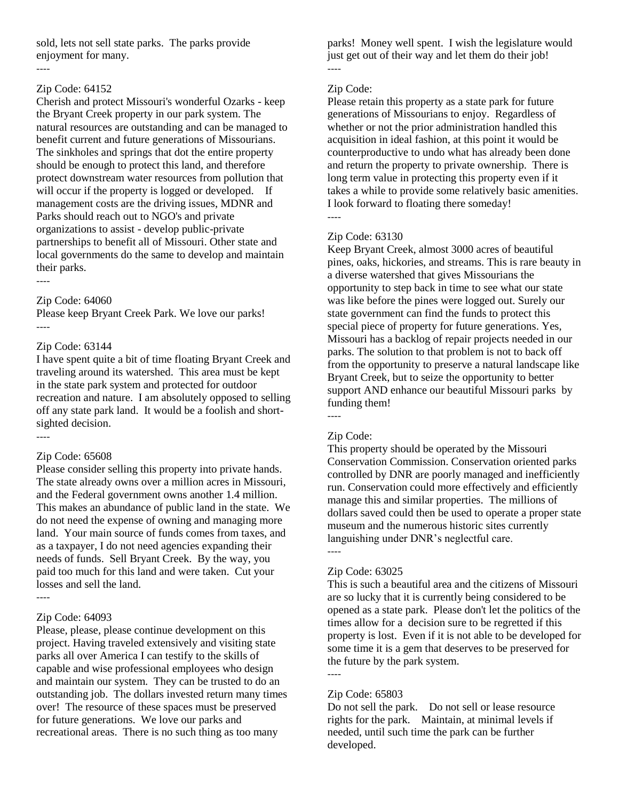sold, lets not sell state parks. The parks provide enjoyment for many.

#### Zip Code: 64152

----

Cherish and protect Missouri's wonderful Ozarks - keep the Bryant Creek property in our park system. The natural resources are outstanding and can be managed to benefit current and future generations of Missourians. The sinkholes and springs that dot the entire property should be enough to protect this land, and therefore protect downstream water resources from pollution that will occur if the property is logged or developed. If management costs are the driving issues, MDNR and Parks should reach out to NGO's and private organizations to assist - develop public-private partnerships to benefit all of Missouri. Other state and local governments do the same to develop and maintain their parks. ----

Zip Code: 64060

Please keep Bryant Creek Park. We love our parks! ----

#### Zip Code: 63144

I have spent quite a bit of time floating Bryant Creek and traveling around its watershed. This area must be kept in the state park system and protected for outdoor recreation and nature. I am absolutely opposed to selling off any state park land. It would be a foolish and shortsighted decision.

----

#### Zip Code: 65608

Please consider selling this property into private hands. The state already owns over a million acres in Missouri, and the Federal government owns another 1.4 million. This makes an abundance of public land in the state. We do not need the expense of owning and managing more land. Your main source of funds comes from taxes, and as a taxpayer, I do not need agencies expanding their needs of funds. Sell Bryant Creek. By the way, you paid too much for this land and were taken. Cut your losses and sell the land. ----

#### Zip Code: 64093

Please, please, please continue development on this project. Having traveled extensively and visiting state parks all over America I can testify to the skills of capable and wise professional employees who design and maintain our system. They can be trusted to do an outstanding job. The dollars invested return many times over! The resource of these spaces must be preserved for future generations. We love our parks and recreational areas. There is no such thing as too many

parks! Money well spent. I wish the legislature would just get out of their way and let them do their job! ----

## Zip Code:

Please retain this property as a state park for future generations of Missourians to enjoy. Regardless of whether or not the prior administration handled this acquisition in ideal fashion, at this point it would be counterproductive to undo what has already been done and return the property to private ownership. There is long term value in protecting this property even if it takes a while to provide some relatively basic amenities. I look forward to floating there someday! ----

## Zip Code: 63130

Keep Bryant Creek, almost 3000 acres of beautiful pines, oaks, hickories, and streams. This is rare beauty in a diverse watershed that gives Missourians the opportunity to step back in time to see what our state was like before the pines were logged out. Surely our state government can find the funds to protect this special piece of property for future generations. Yes, Missouri has a backlog of repair projects needed in our parks. The solution to that problem is not to back off from the opportunity to preserve a natural landscape like Bryant Creek, but to seize the opportunity to better support AND enhance our beautiful Missouri parks by funding them!

----

## Zip Code:

This property should be operated by the Missouri Conservation Commission. Conservation oriented parks controlled by DNR are poorly managed and inefficiently run. Conservation could more effectively and efficiently manage this and similar properties. The millions of dollars saved could then be used to operate a proper state museum and the numerous historic sites currently languishing under DNR's neglectful care.

----

#### Zip Code: 63025

This is such a beautiful area and the citizens of Missouri are so lucky that it is currently being considered to be opened as a state park. Please don't let the politics of the times allow for a decision sure to be regretted if this property is lost. Even if it is not able to be developed for some time it is a gem that deserves to be preserved for the future by the park system.

----

#### Zip Code: 65803

Do not sell the park. Do not sell or lease resource rights for the park. Maintain, at minimal levels if needed, until such time the park can be further developed.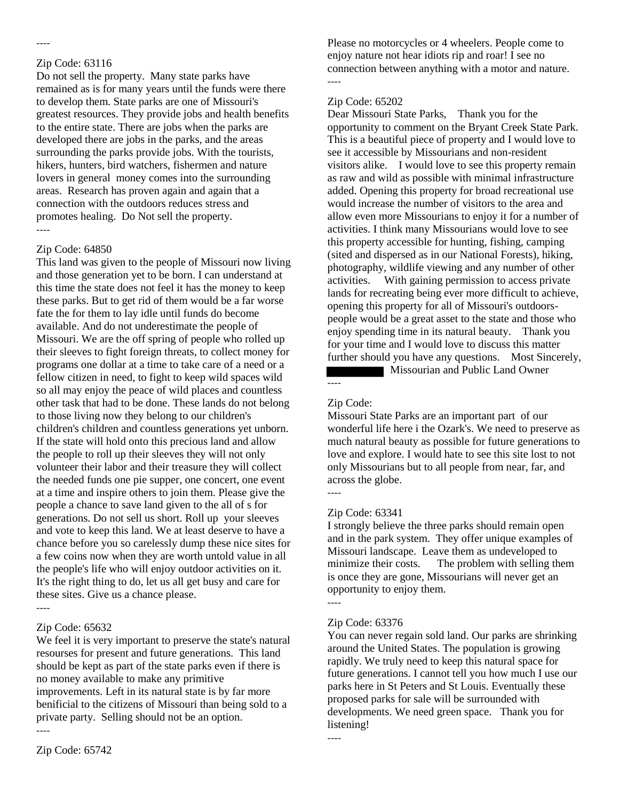## Zip Code: 63116

----

Do not sell the property. Many state parks have remained as is for many years until the funds were there to develop them. State parks are one of Missouri's greatest resources. They provide jobs and health benefits to the entire state. There are jobs when the parks are developed there are jobs in the parks, and the areas surrounding the parks provide jobs. With the tourists, hikers, hunters, bird watchers, fishermen and nature lovers in general money comes into the surrounding areas. Research has proven again and again that a connection with the outdoors reduces stress and promotes healing. Do Not sell the property. ----

#### Zip Code: 64850

This land was given to the people of Missouri now living and those generation yet to be born. I can understand at this time the state does not feel it has the money to keep these parks. But to get rid of them would be a far worse fate the for them to lay idle until funds do become available. And do not underestimate the people of Missouri. We are the off spring of people who rolled up their sleeves to fight foreign threats, to collect money for programs one dollar at a time to take care of a need or a fellow citizen in need, to fight to keep wild spaces wild so all may enjoy the peace of wild places and countless other task that had to be done. These lands do not belong to those living now they belong to our children's children's children and countless generations yet unborn. If the state will hold onto this precious land and allow the people to roll up their sleeves they will not only volunteer their labor and their treasure they will collect the needed funds one pie supper, one concert, one event at a time and inspire others to join them. Please give the people a chance to save land given to the all of s for generations. Do not sell us short. Roll up your sleeves and vote to keep this land. We at least deserve to have a chance before you so carelessly dump these nice sites for a few coins now when they are worth untold value in all the people's life who will enjoy outdoor activities on it. It's the right thing to do, let us all get busy and care for these sites. Give us a chance please. ----

## Zip Code: 65632

We feel it is very important to preserve the state's natural resourses for present and future generations. This land should be kept as part of the state parks even if there is no money available to make any primitive improvements. Left in its natural state is by far more benificial to the citizens of Missouri than being sold to a private party. Selling should not be an option. ----

Please no motorcycles or 4 wheelers. People come to enjoy nature not hear idiots rip and roar! I see no connection between anything with a motor and nature. ----

## Zip Code: 65202

Dear Missouri State Parks, Thank you for the opportunity to comment on the Bryant Creek State Park. This is a beautiful piece of property and I would love to see it accessible by Missourians and non-resident visitors alike. I would love to see this property remain as raw and wild as possible with minimal infrastructure added. Opening this property for broad recreational use would increase the number of visitors to the area and allow even more Missourians to enjoy it for a number of activities. I think many Missourians would love to see this property accessible for hunting, fishing, camping (sited and dispersed as in our National Forests), hiking, photography, wildlife viewing and any number of other activities. With gaining permission to access private lands for recreating being ever more difficult to achieve, opening this property for all of Missouri's outdoorspeople would be a great asset to the state and those who enjoy spending time in its natural beauty. Thank you for your time and I would love to discuss this matter further should you have any questions. Most Sincerely, **Missourian and Public Land Owner** 

## Zip Code:

----

Missouri State Parks are an important part of our wonderful life here i the Ozark's. We need to preserve as much natural beauty as possible for future generations to love and explore. I would hate to see this site lost to not only Missourians but to all people from near, far, and across the globe. ----

## Zip Code: 63341

I strongly believe the three parks should remain open and in the park system. They offer unique examples of Missouri landscape. Leave them as undeveloped to minimize their costs. The problem with selling them is once they are gone, Missourians will never get an opportunity to enjoy them.

#### ----

## Zip Code: 63376

You can never regain sold land. Our parks are shrinking around the United States. The population is growing rapidly. We truly need to keep this natural space for future generations. I cannot tell you how much I use our parks here in St Peters and St Louis. Eventually these proposed parks for sale will be surrounded with developments. We need green space. Thank you for listening!

----